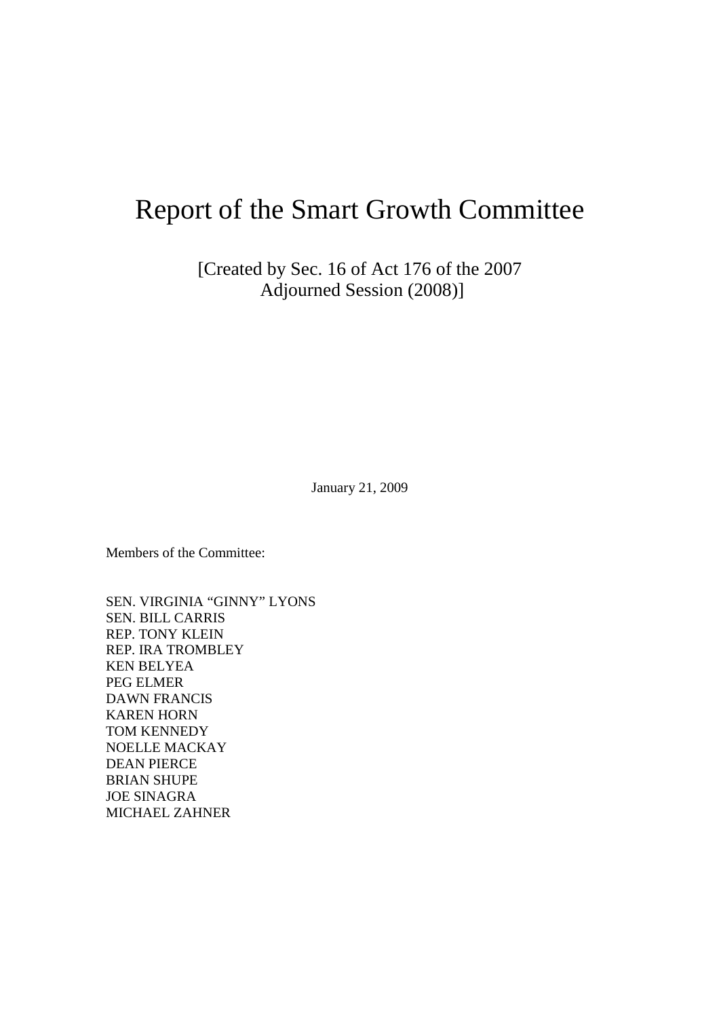# Report of the Smart Growth Committee

[Created by Sec. 16 of Act 176 of the 2007 Adjourned Session (2008)]

January 21, 2009

Members of the Committee:

SEN. VIRGINIA "GINNY" LYONS SEN. BILL CARRIS REP. TONY KLEIN REP. IRA TROMBLEY KEN BELYEA PEG ELMER DAWN FRANCIS KAREN HORN TOM KENNEDY NOELLE MACKAY DEAN PIERCE BRIAN SHUPE JOE SINAGRA MICHAEL ZAHNER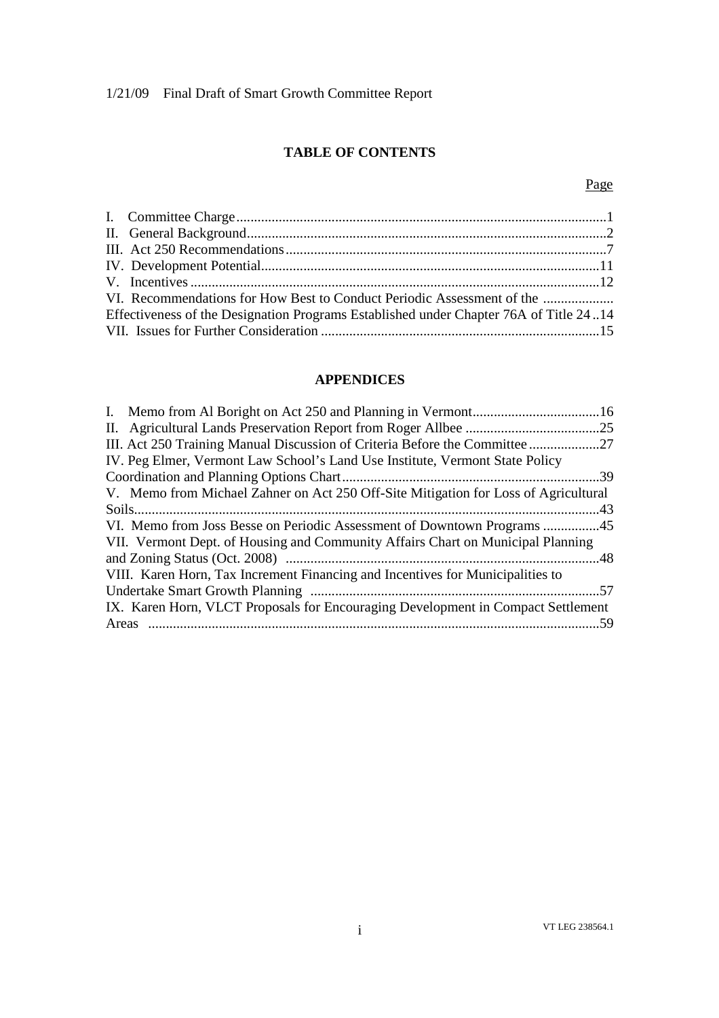# **TABLE OF CONTENTS**

# Page

| VI. Recommendations for How Best to Conduct Periodic Assessment of the<br>Effectiveness of the Designation Programs Established under Chapter 76A of Title 2414 |
|-----------------------------------------------------------------------------------------------------------------------------------------------------------------|

# **APPENDICES**

| III. Act 250 Training Manual Discussion of Criteria Before the Committee 27         |  |
|-------------------------------------------------------------------------------------|--|
| IV. Peg Elmer, Vermont Law School's Land Use Institute, Vermont State Policy        |  |
|                                                                                     |  |
| V. Memo from Michael Zahner on Act 250 Off-Site Mitigation for Loss of Agricultural |  |
|                                                                                     |  |
|                                                                                     |  |
| VII. Vermont Dept. of Housing and Community Affairs Chart on Municipal Planning     |  |
|                                                                                     |  |
| VIII. Karen Horn, Tax Increment Financing and Incentives for Municipalities to      |  |
|                                                                                     |  |
| IX. Karen Horn, VLCT Proposals for Encouraging Development in Compact Settlement    |  |
|                                                                                     |  |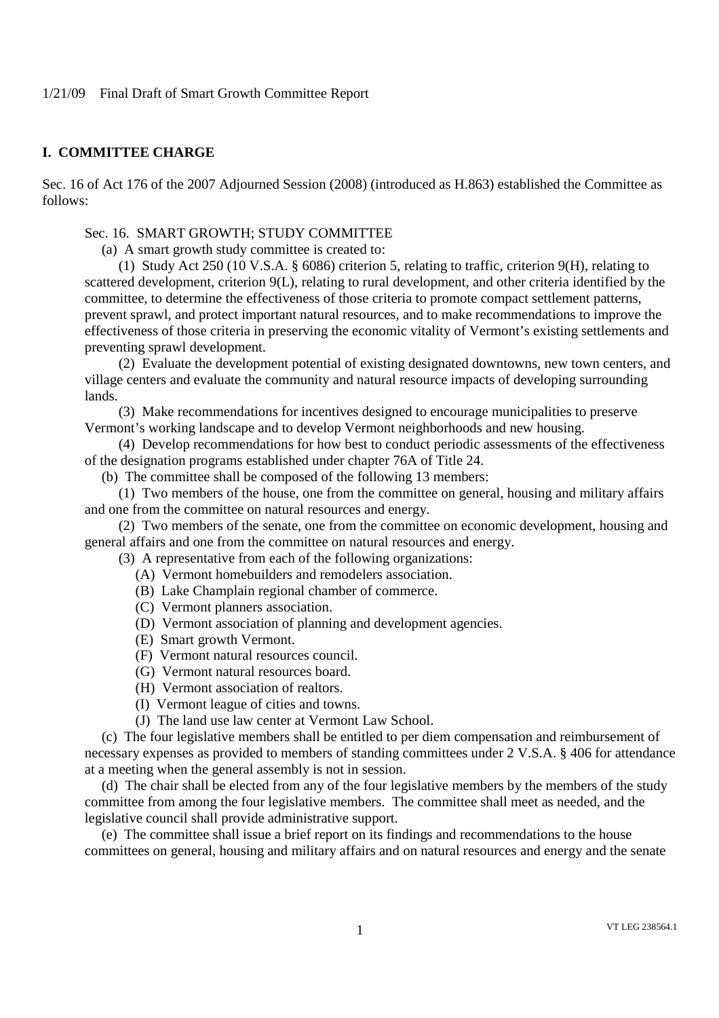## **I. COMMITTEE CHARGE**

Sec. 16 of Act 176 of the 2007 Adjourned Session (2008) (introduced as H.863) established the Committee as follows:

# Sec. 16. SMART GROWTH; STUDY COMMITTEE

(a) A smart growth study committee is created to:

(1) Study Act 250 (10 V.S.A. § 6086) criterion 5, relating to traffic, criterion 9(H), relating to scattered development, criterion 9(L), relating to rural development, and other criteria identified by the committee, to determine the effectiveness of those criteria to promote compact settlement patterns, prevent sprawl, and protect important natural resources, and to make recommendations to improve the effectiveness of those criteria in preserving the economic vitality of Vermont's existing settlements and preventing sprawl development.

(2) Evaluate the development potential of existing designated downtowns, new town centers, and village centers and evaluate the community and natural resource impacts of developing surrounding lands.

(3) Make recommendations for incentives designed to encourage municipalities to preserve Vermont's working landscape and to develop Vermont neighborhoods and new housing.

(4) Develop recommendations for how best to conduct periodic assessments of the effectiveness of the designation programs established under chapter 76A of Title 24.

(b) The committee shall be composed of the following 13 members:

(1) Two members of the house, one from the committee on general, housing and military affairs and one from the committee on natural resources and energy.

(2) Two members of the senate, one from the committee on economic development, housing and general affairs and one from the committee on natural resources and energy.

(3) A representative from each of the following organizations:

- (A) Vermont homebuilders and remodelers association.
- (B) Lake Champlain regional chamber of commerce.
- (C) Vermont planners association.
- (D) Vermont association of planning and development agencies.
- (E) Smart growth Vermont.
- (F) Vermont natural resources council.
- (G) Vermont natural resources board.
- (H) Vermont association of realtors.
- (I) Vermont league of cities and towns.
- (J) The land use law center at Vermont Law School.

(c) The four legislative members shall be entitled to per diem compensation and reimbursement of necessary expenses as provided to members of standing committees under 2 V.S.A. § 406 for attendance at a meeting when the general assembly is not in session.

(d) The chair shall be elected from any of the four legislative members by the members of the study committee from among the four legislative members. The committee shall meet as needed, and the legislative council shall provide administrative support.

(e) The committee shall issue a brief report on its findings and recommendations to the house committees on general, housing and military affairs and on natural resources and energy and the senate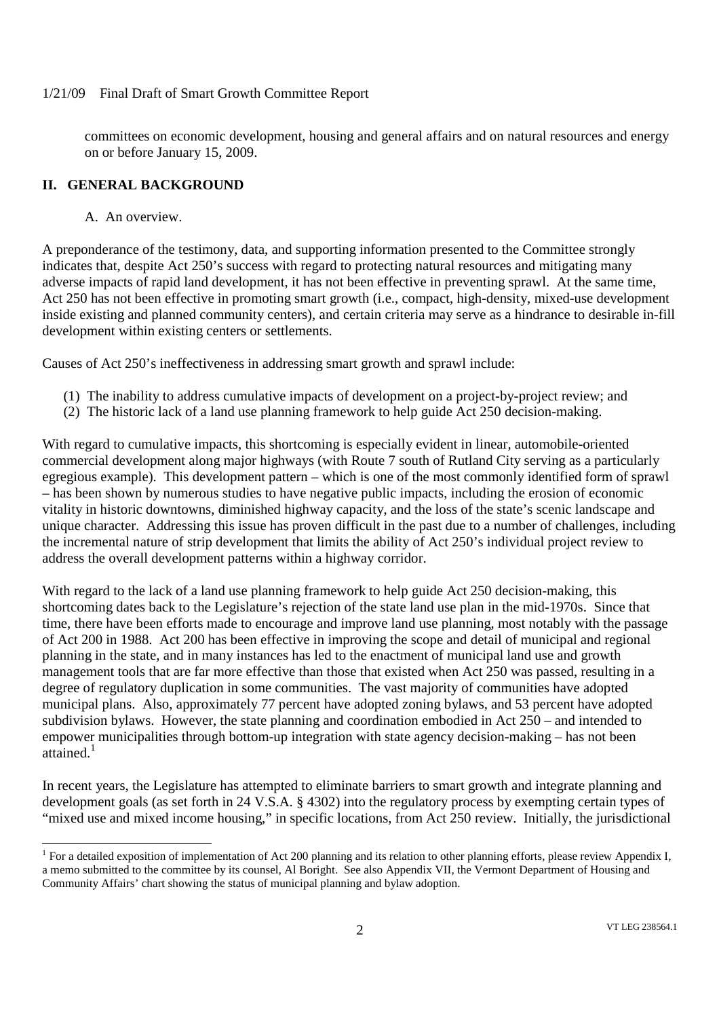committees on economic development, housing and general affairs and on natural resources and energy on or before January 15, 2009.

# **II. GENERAL BACKGROUND**

A. An overview.

A preponderance of the testimony, data, and supporting information presented to the Committee strongly indicates that, despite Act 250's success with regard to protecting natural resources and mitigating many adverse impacts of rapid land development, it has not been effective in preventing sprawl. At the same time, Act 250 has not been effective in promoting smart growth (i.e., compact, high-density, mixed-use development inside existing and planned community centers), and certain criteria may serve as a hindrance to desirable in-fill development within existing centers or settlements.

Causes of Act 250's ineffectiveness in addressing smart growth and sprawl include:

- (1) The inability to address cumulative impacts of development on a project-by-project review; and
- (2) The historic lack of a land use planning framework to help guide Act 250 decision-making.

With regard to cumulative impacts, this shortcoming is especially evident in linear, automobile-oriented commercial development along major highways (with Route 7 south of Rutland City serving as a particularly egregious example). This development pattern – which is one of the most commonly identified form of sprawl – has been shown by numerous studies to have negative public impacts, including the erosion of economic vitality in historic downtowns, diminished highway capacity, and the loss of the state's scenic landscape and unique character. Addressing this issue has proven difficult in the past due to a number of challenges, including the incremental nature of strip development that limits the ability of Act 250's individual project review to address the overall development patterns within a highway corridor.

With regard to the lack of a land use planning framework to help guide Act 250 decision-making, this shortcoming dates back to the Legislature's rejection of the state land use plan in the mid-1970s. Since that time, there have been efforts made to encourage and improve land use planning, most notably with the passage of Act 200 in 1988. Act 200 has been effective in improving the scope and detail of municipal and regional planning in the state, and in many instances has led to the enactment of municipal land use and growth management tools that are far more effective than those that existed when Act 250 was passed, resulting in a degree of regulatory duplication in some communities. The vast majority of communities have adopted municipal plans. Also, approximately 77 percent have adopted zoning bylaws, and 53 percent have adopted subdivision bylaws. However, the state planning and coordination embodied in Act 250 – and intended to empower municipalities through bottom-up integration with state agency decision-making – has not been attained.<sup>1</sup>

In recent years, the Legislature has attempted to eliminate barriers to smart growth and integrate planning and development goals (as set forth in 24 V.S.A. § 4302) into the regulatory process by exempting certain types of "mixed use and mixed income housing," in specific locations, from Act 250 review. Initially, the jurisdictional

<sup>&</sup>lt;sup>1</sup> For a detailed exposition of implementation of Act 200 planning and its relation to other planning efforts, please review Appendix I, a memo submitted to the committee by its counsel, Al Boright. See also Appendix VII, the Vermont Department of Housing and Community Affairs' chart showing the status of municipal planning and bylaw adoption.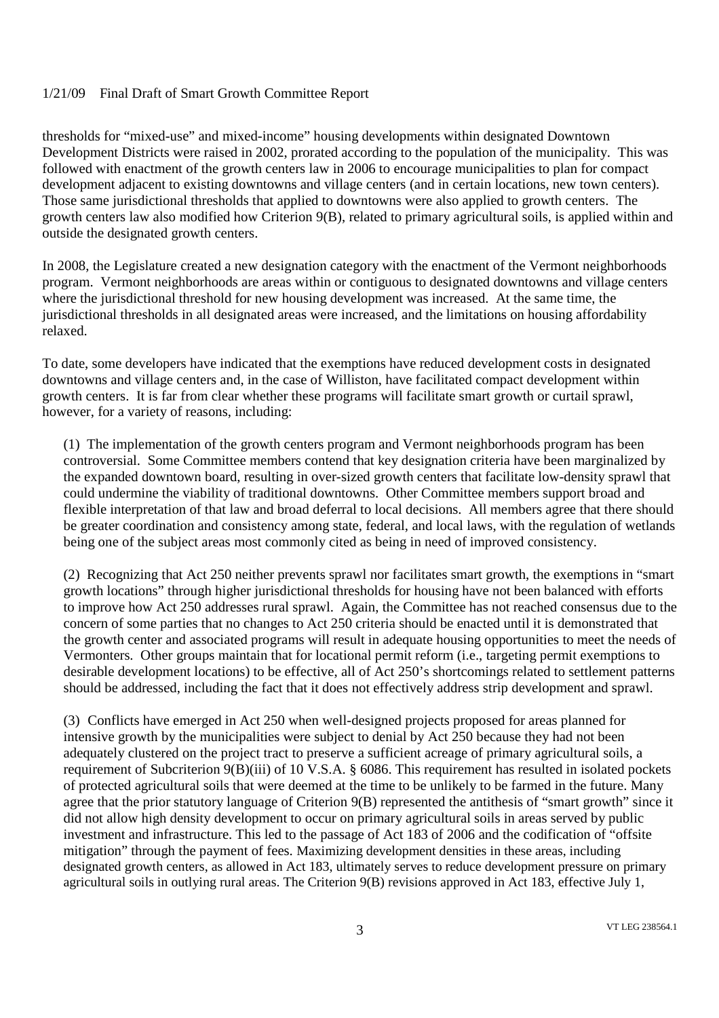thresholds for "mixed-use" and mixed-income" housing developments within designated Downtown Development Districts were raised in 2002, prorated according to the population of the municipality. This was followed with enactment of the growth centers law in 2006 to encourage municipalities to plan for compact development adjacent to existing downtowns and village centers (and in certain locations, new town centers). Those same jurisdictional thresholds that applied to downtowns were also applied to growth centers. The growth centers law also modified how Criterion 9(B), related to primary agricultural soils, is applied within and outside the designated growth centers.

In 2008, the Legislature created a new designation category with the enactment of the Vermont neighborhoods program. Vermont neighborhoods are areas within or contiguous to designated downtowns and village centers where the jurisdictional threshold for new housing development was increased. At the same time, the jurisdictional thresholds in all designated areas were increased, and the limitations on housing affordability relaxed.

To date, some developers have indicated that the exemptions have reduced development costs in designated downtowns and village centers and, in the case of Williston, have facilitated compact development within growth centers. It is far from clear whether these programs will facilitate smart growth or curtail sprawl, however, for a variety of reasons, including:

(1) The implementation of the growth centers program and Vermont neighborhoods program has been controversial. Some Committee members contend that key designation criteria have been marginalized by the expanded downtown board, resulting in over-sized growth centers that facilitate low-density sprawl that could undermine the viability of traditional downtowns. Other Committee members support broad and flexible interpretation of that law and broad deferral to local decisions. All members agree that there should be greater coordination and consistency among state, federal, and local laws, with the regulation of wetlands being one of the subject areas most commonly cited as being in need of improved consistency.

(2) Recognizing that Act 250 neither prevents sprawl nor facilitates smart growth, the exemptions in "smart growth locations" through higher jurisdictional thresholds for housing have not been balanced with efforts to improve how Act 250 addresses rural sprawl. Again, the Committee has not reached consensus due to the concern of some parties that no changes to Act 250 criteria should be enacted until it is demonstrated that the growth center and associated programs will result in adequate housing opportunities to meet the needs of Vermonters. Other groups maintain that for locational permit reform (i.e., targeting permit exemptions to desirable development locations) to be effective, all of Act 250's shortcomings related to settlement patterns should be addressed, including the fact that it does not effectively address strip development and sprawl.

(3) Conflicts have emerged in Act 250 when well-designed projects proposed for areas planned for intensive growth by the municipalities were subject to denial by Act 250 because they had not been adequately clustered on the project tract to preserve a sufficient acreage of primary agricultural soils, a requirement of Subcriterion 9(B)(iii) of 10 V.S.A. § 6086. This requirement has resulted in isolated pockets of protected agricultural soils that were deemed at the time to be unlikely to be farmed in the future. Many agree that the prior statutory language of Criterion 9(B) represented the antithesis of "smart growth" since it did not allow high density development to occur on primary agricultural soils in areas served by public investment and infrastructure. This led to the passage of Act 183 of 2006 and the codification of "offsite mitigation" through the payment of fees. Maximizing development densities in these areas, including designated growth centers, as allowed in Act 183, ultimately serves to reduce development pressure on primary agricultural soils in outlying rural areas. The Criterion 9(B) revisions approved in Act 183, effective July 1,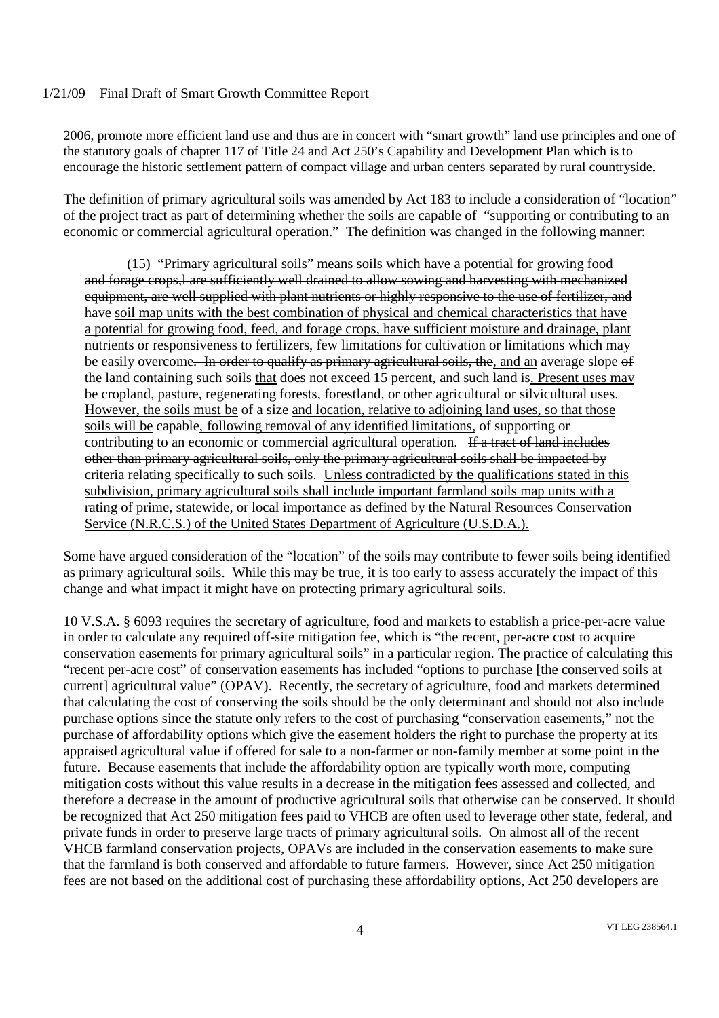2006, promote more efficient land use and thus are in concert with "smart growth" land use principles and one of the statutory goals of chapter 117 of Title 24 and Act 250's Capability and Development Plan which is to encourage the historic settlement pattern of compact village and urban centers separated by rural countryside.

The definition of primary agricultural soils was amended by Act 183 to include a consideration of "location" of the project tract as part of determining whether the soils are capable of "supporting or contributing to an economic or commercial agricultural operation." The definition was changed in the following manner:

(15) "Primary agricultural soils" means soils which have a potential for growing food and forage crops,l are sufficiently well drained to allow sowing and harvesting with mechanized equipment, are well supplied with plant nutrients or highly responsive to the use of fertilizer, and have soil map units with the best combination of physical and chemical characteristics that have a potential for growing food, feed, and forage crops, have sufficient moisture and drainage, plant nutrients or responsiveness to fertilizers, few limitations for cultivation or limitations which may be easily overcome. In order to qualify as primary agricultural soils, the, and an average slope of the land containing such soils that does not exceed 15 percent, and such land is. Present uses may be cropland, pasture, regenerating forests, forestland, or other agricultural or silvicultural uses. However, the soils must be of a size and location, relative to adjoining land uses, so that those soils will be capable, following removal of any identified limitations, of supporting or contributing to an economic or commercial agricultural operation. If a tract of land includes other than primary agricultural soils, only the primary agricultural soils shall be impacted by criteria relating specifically to such soils. Unless contradicted by the qualifications stated in this subdivision, primary agricultural soils shall include important farmland soils map units with a rating of prime, statewide, or local importance as defined by the Natural Resources Conservation Service (N.R.C.S.) of the United States Department of Agriculture (U.S.D.A.).

Some have argued consideration of the "location" of the soils may contribute to fewer soils being identified as primary agricultural soils. While this may be true, it is too early to assess accurately the impact of this change and what impact it might have on protecting primary agricultural soils.

10 V.S.A. § 6093 requires the secretary of agriculture, food and markets to establish a price-per-acre value in order to calculate any required off-site mitigation fee, which is "the recent, per-acre cost to acquire conservation easements for primary agricultural soils" in a particular region. The practice of calculating this "recent per-acre cost" of conservation easements has included "options to purchase [the conserved soils at current] agricultural value" (OPAV). Recently, the secretary of agriculture, food and markets determined that calculating the cost of conserving the soils should be the only determinant and should not also include purchase options since the statute only refers to the cost of purchasing "conservation easements," not the purchase of affordability options which give the easement holders the right to purchase the property at its appraised agricultural value if offered for sale to a non-farmer or non-family member at some point in the future. Because easements that include the affordability option are typically worth more, computing mitigation costs without this value results in a decrease in the mitigation fees assessed and collected, and therefore a decrease in the amount of productive agricultural soils that otherwise can be conserved. It should be recognized that Act 250 mitigation fees paid to VHCB are often used to leverage other state, federal, and private funds in order to preserve large tracts of primary agricultural soils. On almost all of the recent VHCB farmland conservation projects, OPAVs are included in the conservation easements to make sure that the farmland is both conserved and affordable to future farmers. However, since Act 250 mitigation fees are not based on the additional cost of purchasing these affordability options, Act 250 developers are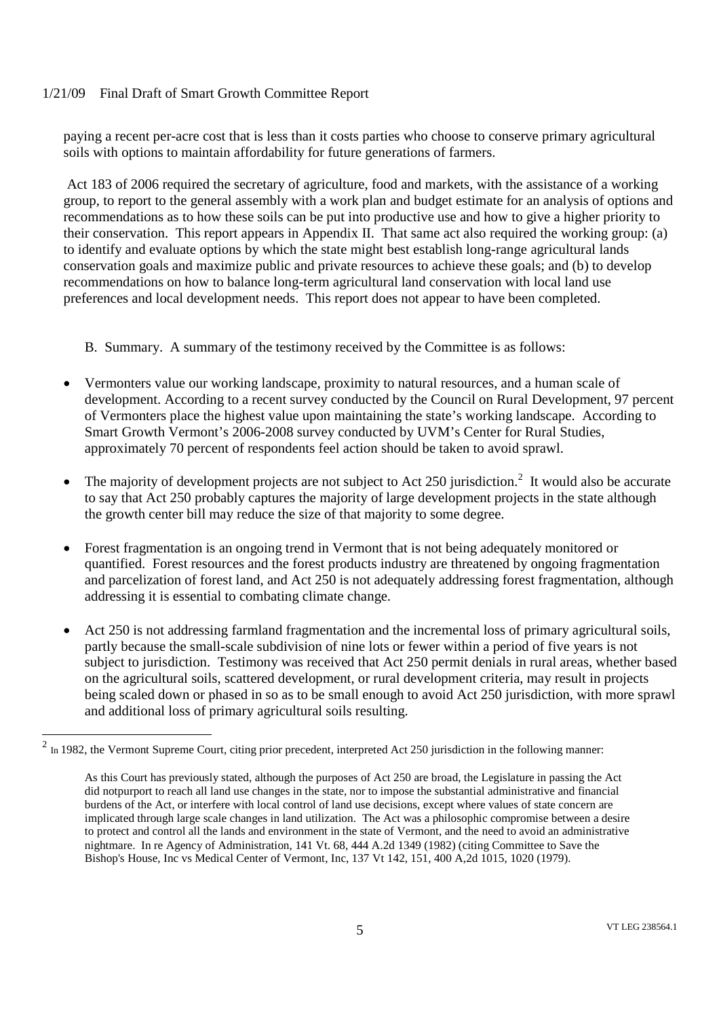paying a recent per-acre cost that is less than it costs parties who choose to conserve primary agricultural soils with options to maintain affordability for future generations of farmers.

Act 183 of 2006 required the secretary of agriculture, food and markets, with the assistance of a working group, to report to the general assembly with a work plan and budget estimate for an analysis of options and recommendations as to how these soils can be put into productive use and how to give a higher priority to their conservation. This report appears in Appendix II. That same act also required the working group: (a) to identify and evaluate options by which the state might best establish long-range agricultural lands conservation goals and maximize public and private resources to achieve these goals; and (b) to develop recommendations on how to balance long-term agricultural land conservation with local land use preferences and local development needs. This report does not appear to have been completed.

- B. Summary. A summary of the testimony received by the Committee is as follows:
- Vermonters value our working landscape, proximity to natural resources, and a human scale of development. According to a recent survey conducted by the Council on Rural Development, 97 percent of Vermonters place the highest value upon maintaining the state's working landscape. According to Smart Growth Vermont's 2006-2008 survey conducted by UVM's Center for Rural Studies, approximately 70 percent of respondents feel action should be taken to avoid sprawl.
- The majority of development projects are not subject to Act 250 jurisdiction.<sup>2</sup> It would also be accurate to say that Act 250 probably captures the majority of large development projects in the state although the growth center bill may reduce the size of that majority to some degree.
- Forest fragmentation is an ongoing trend in Vermont that is not being adequately monitored or quantified. Forest resources and the forest products industry are threatened by ongoing fragmentation and parcelization of forest land, and Act 250 is not adequately addressing forest fragmentation, although addressing it is essential to combating climate change.
- Act 250 is not addressing farmland fragmentation and the incremental loss of primary agricultural soils, partly because the small-scale subdivision of nine lots or fewer within a period of five years is not subject to jurisdiction. Testimony was received that Act 250 permit denials in rural areas, whether based on the agricultural soils, scattered development, or rural development criteria, may result in projects being scaled down or phased in so as to be small enough to avoid Act 250 jurisdiction, with more sprawl and additional loss of primary agricultural soils resulting.

 $2 \text{ In } 1982$ , the Vermont Supreme Court, citing prior precedent, interpreted Act 250 jurisdiction in the following manner:

As this Court has previously stated, although the purposes of Act 250 are broad, the Legislature in passing the Act did notpurport to reach all land use changes in the state, nor to impose the substantial administrative and financial burdens of the Act, or interfere with local control of land use decisions, except where values of state concern are implicated through large scale changes in land utilization. The Act was a philosophic compromise between a desire to protect and control all the lands and environment in the state of Vermont, and the need to avoid an administrative nightmare. In re Agency of Administration, 141 Vt. 68, 444 A.2d 1349 (1982) (citing Committee to Save the Bishop's House, Inc vs Medical Center of Vermont, Inc, 137 Vt 142, 151, 400 A,2d 1015, 1020 (1979).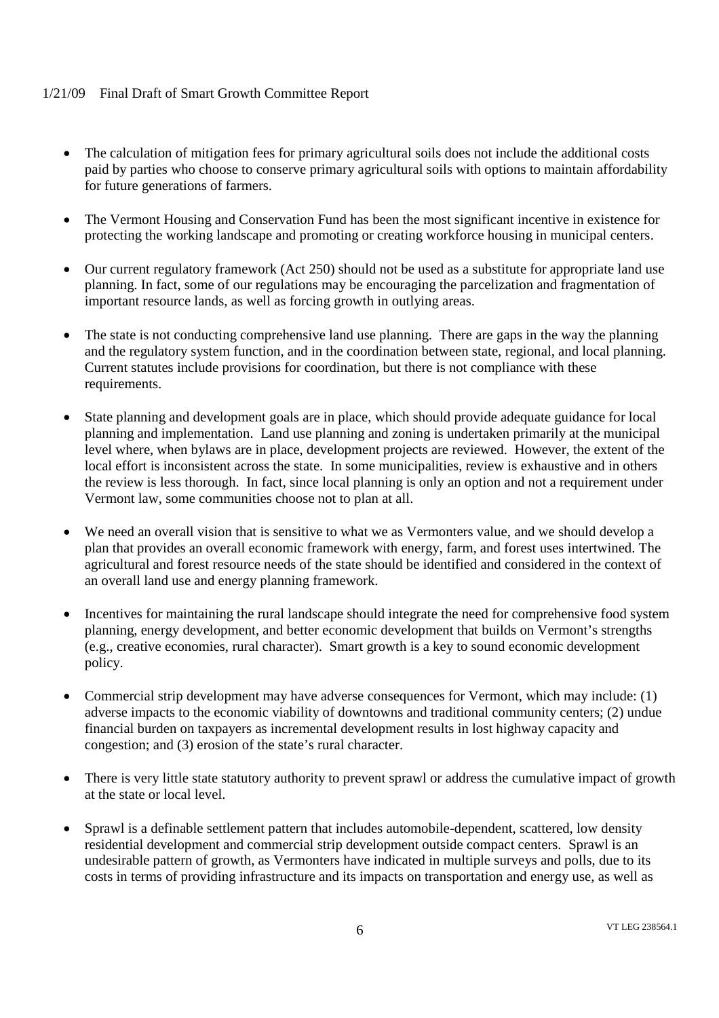- The calculation of mitigation fees for primary agricultural soils does not include the additional costs paid by parties who choose to conserve primary agricultural soils with options to maintain affordability for future generations of farmers.
- The Vermont Housing and Conservation Fund has been the most significant incentive in existence for protecting the working landscape and promoting or creating workforce housing in municipal centers.
- Our current regulatory framework (Act 250) should not be used as a substitute for appropriate land use planning. In fact, some of our regulations may be encouraging the parcelization and fragmentation of important resource lands, as well as forcing growth in outlying areas.
- The state is not conducting comprehensive land use planning. There are gaps in the way the planning and the regulatory system function, and in the coordination between state, regional, and local planning. Current statutes include provisions for coordination, but there is not compliance with these requirements.
- State planning and development goals are in place, which should provide adequate guidance for local planning and implementation. Land use planning and zoning is undertaken primarily at the municipal level where, when bylaws are in place, development projects are reviewed. However, the extent of the local effort is inconsistent across the state. In some municipalities, review is exhaustive and in others the review is less thorough. In fact, since local planning is only an option and not a requirement under Vermont law, some communities choose not to plan at all.
- We need an overall vision that is sensitive to what we as Vermonters value, and we should develop a plan that provides an overall economic framework with energy, farm, and forest uses intertwined. The agricultural and forest resource needs of the state should be identified and considered in the context of an overall land use and energy planning framework.
- Incentives for maintaining the rural landscape should integrate the need for comprehensive food system planning, energy development, and better economic development that builds on Vermont's strengths (e.g., creative economies, rural character). Smart growth is a key to sound economic development policy.
- Commercial strip development may have adverse consequences for Vermont, which may include: (1) adverse impacts to the economic viability of downtowns and traditional community centers; (2) undue financial burden on taxpayers as incremental development results in lost highway capacity and congestion; and (3) erosion of the state's rural character.
- There is very little state statutory authority to prevent sprawl or address the cumulative impact of growth at the state or local level.
- Sprawl is a definable settlement pattern that includes automobile-dependent, scattered, low density residential development and commercial strip development outside compact centers. Sprawl is an undesirable pattern of growth, as Vermonters have indicated in multiple surveys and polls, due to its costs in terms of providing infrastructure and its impacts on transportation and energy use, as well as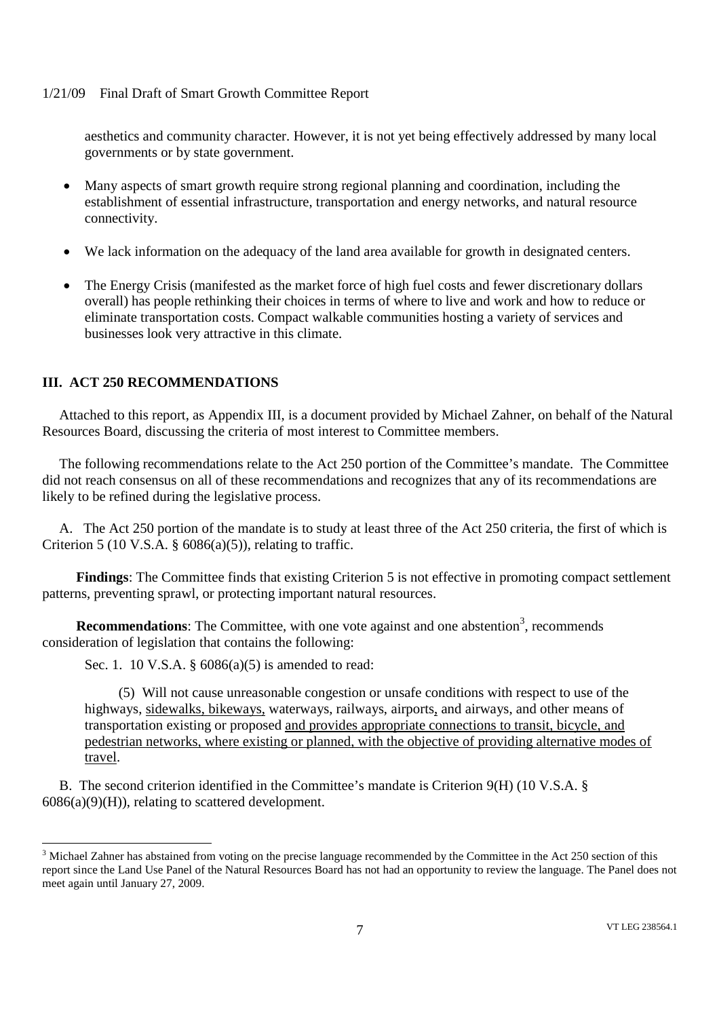aesthetics and community character. However, it is not yet being effectively addressed by many local governments or by state government.

- Many aspects of smart growth require strong regional planning and coordination, including the establishment of essential infrastructure, transportation and energy networks, and natural resource connectivity.
- We lack information on the adequacy of the land area available for growth in designated centers.
- The Energy Crisis (manifested as the market force of high fuel costs and fewer discretionary dollars overall) has people rethinking their choices in terms of where to live and work and how to reduce or eliminate transportation costs. Compact walkable communities hosting a variety of services and businesses look very attractive in this climate.

# **III. ACT 250 RECOMMENDATIONS**

Attached to this report, as Appendix III, is a document provided by Michael Zahner, on behalf of the Natural Resources Board, discussing the criteria of most interest to Committee members.

The following recommendations relate to the Act 250 portion of the Committee's mandate. The Committee did not reach consensus on all of these recommendations and recognizes that any of its recommendations are likely to be refined during the legislative process.

A. The Act 250 portion of the mandate is to study at least three of the Act 250 criteria, the first of which is Criterion 5 (10 V.S.A.  $\S$  6086(a)(5)), relating to traffic.

**Findings**: The Committee finds that existing Criterion 5 is not effective in promoting compact settlement patterns, preventing sprawl, or protecting important natural resources.

**Recommendations**: The Committee, with one vote against and one abstention<sup>3</sup>, recommends consideration of legislation that contains the following:

Sec. 1. 10 V.S.A. § 6086(a)(5) is amended to read:

(5) Will not cause unreasonable congestion or unsafe conditions with respect to use of the highways, sidewalks, bikeways, waterways, railways, airports, and airways, and other means of transportation existing or proposed and provides appropriate connections to transit, bicycle, and pedestrian networks, where existing or planned, with the objective of providing alternative modes of travel.

B. The second criterion identified in the Committee's mandate is Criterion 9(H) (10 V.S.A. §  $6086(a)(9)(H)$ , relating to scattered development.

<sup>&</sup>lt;sup>3</sup> Michael Zahner has abstained from voting on the precise language recommended by the Committee in the Act 250 section of this report since the Land Use Panel of the Natural Resources Board has not had an opportunity to review the language. The Panel does not meet again until January 27, 2009.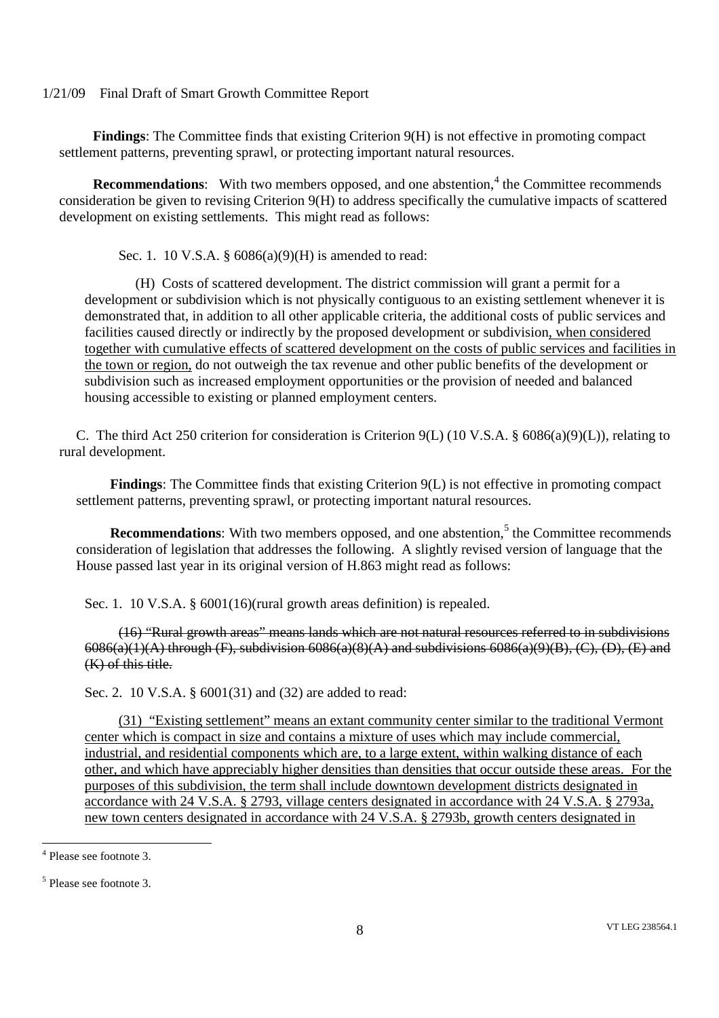**Findings**: The Committee finds that existing Criterion 9(H) is not effective in promoting compact settlement patterns, preventing sprawl, or protecting important natural resources.

**Recommendations**: With two members opposed, and one abstention,<sup>4</sup> the Committee recommends consideration be given to revising Criterion 9(H) to address specifically the cumulative impacts of scattered development on existing settlements. This might read as follows:

Sec. 1. 10 V.S.A. § 6086(a)(9)(H) is amended to read:

(H) Costs of scattered development. The district commission will grant a permit for a development or subdivision which is not physically contiguous to an existing settlement whenever it is demonstrated that, in addition to all other applicable criteria, the additional costs of public services and facilities caused directly or indirectly by the proposed development or subdivision, when considered together with cumulative effects of scattered development on the costs of public services and facilities in the town or region, do not outweigh the tax revenue and other public benefits of the development or subdivision such as increased employment opportunities or the provision of needed and balanced housing accessible to existing or planned employment centers.

C. The third Act 250 criterion for consideration is Criterion 9(L) (10 V.S.A. § 6086(a)(9)(L)), relating to rural development.

**Findings**: The Committee finds that existing Criterion 9(L) is not effective in promoting compact settlement patterns, preventing sprawl, or protecting important natural resources.

**Recommendations**: With two members opposed, and one abstention,<sup>5</sup> the Committee recommends consideration of legislation that addresses the following. A slightly revised version of language that the House passed last year in its original version of H.863 might read as follows:

Sec. 1. 10 V.S.A. § 6001(16)(rural growth areas definition) is repealed.

(16) "Rural growth areas" means lands which are not natural resources referred to in subdivisions  $6086(a)(1)(A)$  through (F), subdivision  $6086(a)(8)(A)$  and subdivisions  $6086(a)(9)(B)$ , (C), (D), (E) and (K) of this title.

Sec. 2. 10 V.S.A. § 6001(31) and (32) are added to read:

(31) "Existing settlement" means an extant community center similar to the traditional Vermont center which is compact in size and contains a mixture of uses which may include commercial, industrial, and residential components which are, to a large extent, within walking distance of each other, and which have appreciably higher densities than densities that occur outside these areas. For the purposes of this subdivision, the term shall include downtown development districts designated in accordance with 24 V.S.A. § 2793, village centers designated in accordance with 24 V.S.A. § 2793a, new town centers designated in accordance with 24 V.S.A. § 2793b, growth centers designated in

<sup>4</sup> Please see footnote 3.

<sup>&</sup>lt;sup>5</sup> Please see footnote 3.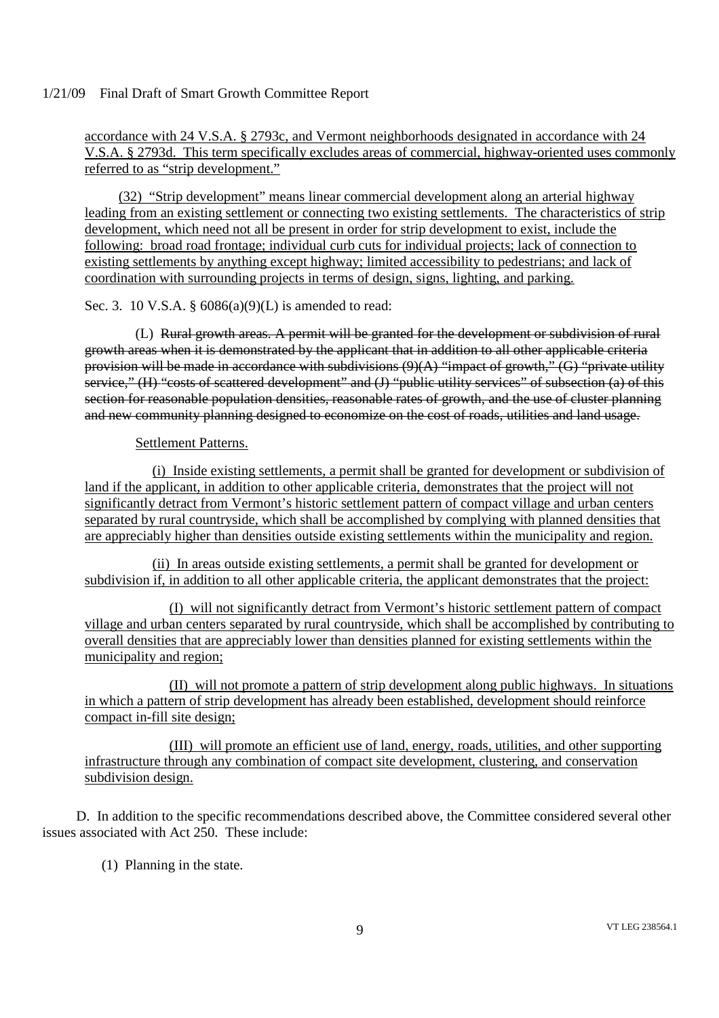accordance with 24 V.S.A. § 2793c, and Vermont neighborhoods designated in accordance with 24 V.S.A. § 2793d. This term specifically excludes areas of commercial, highway-oriented uses commonly referred to as "strip development."

(32) "Strip development" means linear commercial development along an arterial highway leading from an existing settlement or connecting two existing settlements. The characteristics of strip development, which need not all be present in order for strip development to exist, include the following: broad road frontage; individual curb cuts for individual projects; lack of connection to existing settlements by anything except highway; limited accessibility to pedestrians; and lack of coordination with surrounding projects in terms of design, signs, lighting, and parking.

Sec. 3. 10 V.S.A. § 6086(a)(9)(L) is amended to read:

(L) Rural growth areas. A permit will be granted for the development or subdivision of rural growth areas when it is demonstrated by the applicant that in addition to all other applicable criteria provision will be made in accordance with subdivisions  $(9)(A)$  "impact of growth," (G) "private utility service," (H) "costs of scattered development" and (J) "public utility services" of subsection (a) of this section for reasonable population densities, reasonable rates of growth, and the use of cluster planning and new community planning designed to economize on the cost of roads, utilities and land usage.

Settlement Patterns.

(i) Inside existing settlements, a permit shall be granted for development or subdivision of land if the applicant, in addition to other applicable criteria, demonstrates that the project will not significantly detract from Vermont's historic settlement pattern of compact village and urban centers separated by rural countryside, which shall be accomplished by complying with planned densities that are appreciably higher than densities outside existing settlements within the municipality and region.

(ii) In areas outside existing settlements, a permit shall be granted for development or subdivision if, in addition to all other applicable criteria, the applicant demonstrates that the project:

(I) will not significantly detract from Vermont's historic settlement pattern of compact village and urban centers separated by rural countryside, which shall be accomplished by contributing to overall densities that are appreciably lower than densities planned for existing settlements within the municipality and region;

(II) will not promote a pattern of strip development along public highways. In situations in which a pattern of strip development has already been established, development should reinforce compact in-fill site design;

(III) will promote an efficient use of land, energy, roads, utilities, and other supporting infrastructure through any combination of compact site development, clustering, and conservation subdivision design.

D. In addition to the specific recommendations described above, the Committee considered several other issues associated with Act 250. These include:

(1) Planning in the state.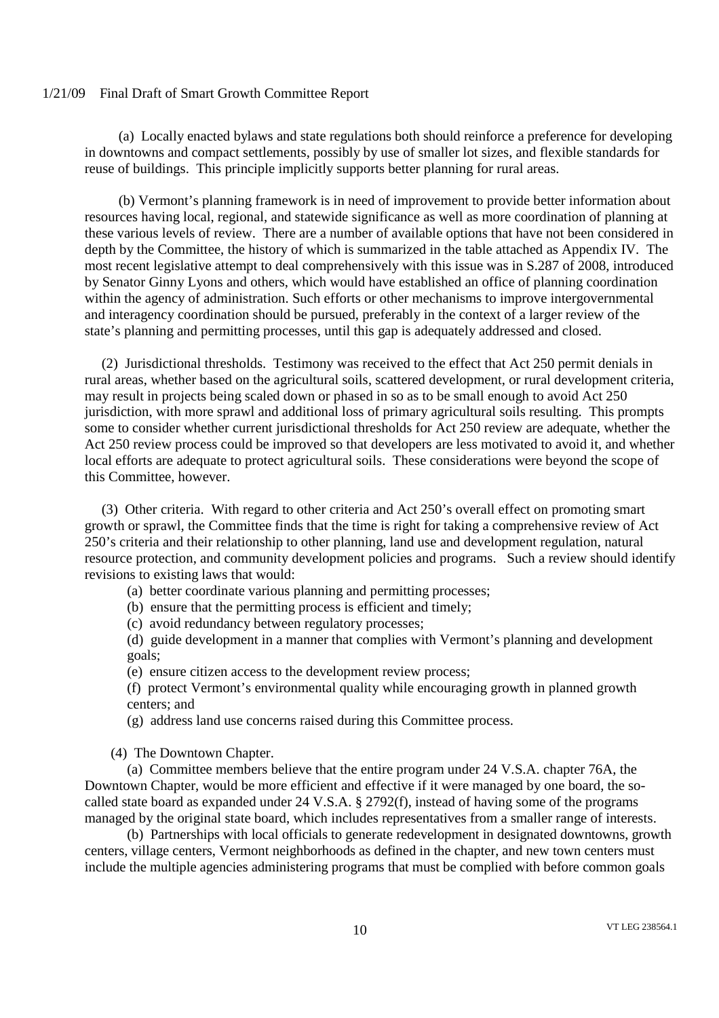(a) Locally enacted bylaws and state regulations both should reinforce a preference for developing in downtowns and compact settlements, possibly by use of smaller lot sizes, and flexible standards for reuse of buildings. This principle implicitly supports better planning for rural areas.

(b) Vermont's planning framework is in need of improvement to provide better information about resources having local, regional, and statewide significance as well as more coordination of planning at these various levels of review. There are a number of available options that have not been considered in depth by the Committee, the history of which is summarized in the table attached as Appendix IV. The most recent legislative attempt to deal comprehensively with this issue was in S.287 of 2008, introduced by Senator Ginny Lyons and others, which would have established an office of planning coordination within the agency of administration. Such efforts or other mechanisms to improve intergovernmental and interagency coordination should be pursued, preferably in the context of a larger review of the state's planning and permitting processes, until this gap is adequately addressed and closed.

(2) Jurisdictional thresholds. Testimony was received to the effect that Act 250 permit denials in rural areas, whether based on the agricultural soils, scattered development, or rural development criteria, may result in projects being scaled down or phased in so as to be small enough to avoid Act 250 jurisdiction, with more sprawl and additional loss of primary agricultural soils resulting. This prompts some to consider whether current jurisdictional thresholds for Act 250 review are adequate, whether the Act 250 review process could be improved so that developers are less motivated to avoid it, and whether local efforts are adequate to protect agricultural soils. These considerations were beyond the scope of this Committee, however.

(3) Other criteria. With regard to other criteria and Act 250's overall effect on promoting smart growth or sprawl, the Committee finds that the time is right for taking a comprehensive review of Act 250's criteria and their relationship to other planning, land use and development regulation, natural resource protection, and community development policies and programs. Such a review should identify revisions to existing laws that would:

- (a) better coordinate various planning and permitting processes;
- (b) ensure that the permitting process is efficient and timely;
- (c) avoid redundancy between regulatory processes;

(d) guide development in a manner that complies with Vermont's planning and development goals;

(e) ensure citizen access to the development review process;

(f) protect Vermont's environmental quality while encouraging growth in planned growth centers; and

(g) address land use concerns raised during this Committee process.

(4) The Downtown Chapter.

(a) Committee members believe that the entire program under 24 V.S.A. chapter 76A, the Downtown Chapter, would be more efficient and effective if it were managed by one board, the socalled state board as expanded under 24 V.S.A. § 2792(f), instead of having some of the programs managed by the original state board, which includes representatives from a smaller range of interests.

(b) Partnerships with local officials to generate redevelopment in designated downtowns, growth centers, village centers, Vermont neighborhoods as defined in the chapter, and new town centers must include the multiple agencies administering programs that must be complied with before common goals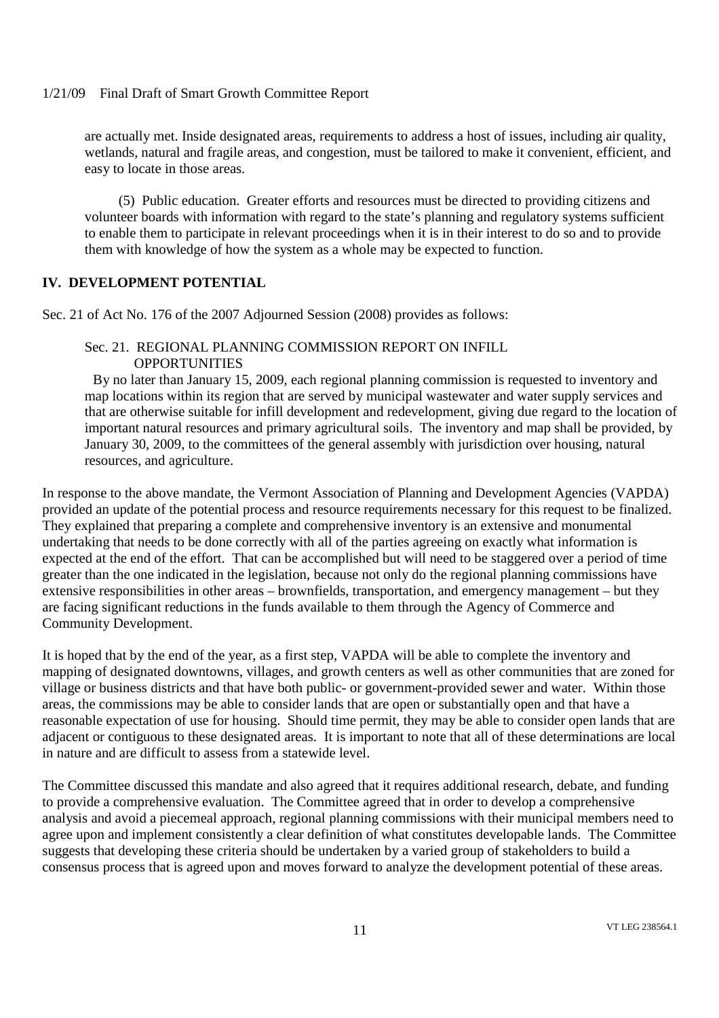are actually met. Inside designated areas, requirements to address a host of issues, including air quality, wetlands, natural and fragile areas, and congestion, must be tailored to make it convenient, efficient, and easy to locate in those areas.

(5) Public education. Greater efforts and resources must be directed to providing citizens and volunteer boards with information with regard to the state's planning and regulatory systems sufficient to enable them to participate in relevant proceedings when it is in their interest to do so and to provide them with knowledge of how the system as a whole may be expected to function.

# **IV. DEVELOPMENT POTENTIAL**

Sec. 21 of Act No. 176 of the 2007 Adjourned Session (2008) provides as follows:

# Sec. 21. REGIONAL PLANNING COMMISSION REPORT ON INFILL **OPPORTUNITIES**

By no later than January 15, 2009, each regional planning commission is requested to inventory and map locations within its region that are served by municipal wastewater and water supply services and that are otherwise suitable for infill development and redevelopment, giving due regard to the location of important natural resources and primary agricultural soils. The inventory and map shall be provided, by January 30, 2009, to the committees of the general assembly with jurisdiction over housing, natural resources, and agriculture.

In response to the above mandate, the Vermont Association of Planning and Development Agencies (VAPDA) provided an update of the potential process and resource requirements necessary for this request to be finalized. They explained that preparing a complete and comprehensive inventory is an extensive and monumental undertaking that needs to be done correctly with all of the parties agreeing on exactly what information is expected at the end of the effort. That can be accomplished but will need to be staggered over a period of time greater than the one indicated in the legislation, because not only do the regional planning commissions have extensive responsibilities in other areas – brownfields, transportation, and emergency management – but they are facing significant reductions in the funds available to them through the Agency of Commerce and Community Development.

It is hoped that by the end of the year, as a first step, VAPDA will be able to complete the inventory and mapping of designated downtowns, villages, and growth centers as well as other communities that are zoned for village or business districts and that have both public- or government-provided sewer and water. Within those areas, the commissions may be able to consider lands that are open or substantially open and that have a reasonable expectation of use for housing. Should time permit, they may be able to consider open lands that are adjacent or contiguous to these designated areas. It is important to note that all of these determinations are local in nature and are difficult to assess from a statewide level.

The Committee discussed this mandate and also agreed that it requires additional research, debate, and funding to provide a comprehensive evaluation. The Committee agreed that in order to develop a comprehensive analysis and avoid a piecemeal approach, regional planning commissions with their municipal members need to agree upon and implement consistently a clear definition of what constitutes developable lands. The Committee suggests that developing these criteria should be undertaken by a varied group of stakeholders to build a consensus process that is agreed upon and moves forward to analyze the development potential of these areas.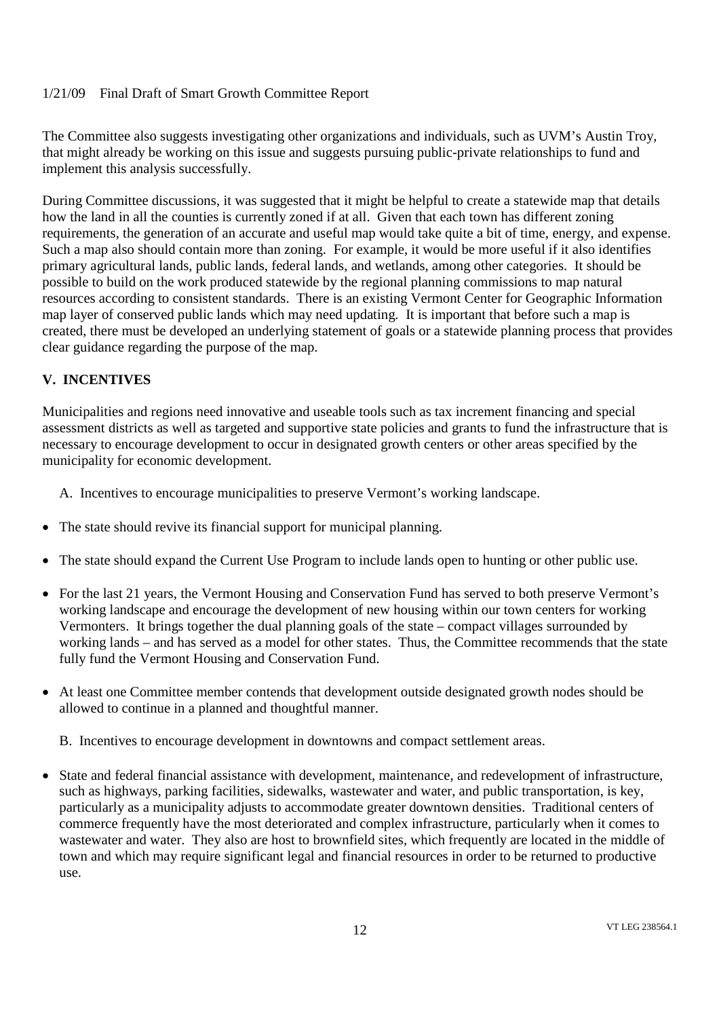The Committee also suggests investigating other organizations and individuals, such as UVM's Austin Troy, that might already be working on this issue and suggests pursuing public-private relationships to fund and implement this analysis successfully.

During Committee discussions, it was suggested that it might be helpful to create a statewide map that details how the land in all the counties is currently zoned if at all. Given that each town has different zoning requirements, the generation of an accurate and useful map would take quite a bit of time, energy, and expense. Such a map also should contain more than zoning. For example, it would be more useful if it also identifies primary agricultural lands, public lands, federal lands, and wetlands, among other categories. It should be possible to build on the work produced statewide by the regional planning commissions to map natural resources according to consistent standards. There is an existing Vermont Center for Geographic Information map layer of conserved public lands which may need updating. It is important that before such a map is created, there must be developed an underlying statement of goals or a statewide planning process that provides clear guidance regarding the purpose of the map.

# **V. INCENTIVES**

Municipalities and regions need innovative and useable tools such as tax increment financing and special assessment districts as well as targeted and supportive state policies and grants to fund the infrastructure that is necessary to encourage development to occur in designated growth centers or other areas specified by the municipality for economic development.

A. Incentives to encourage municipalities to preserve Vermont's working landscape.

- The state should revive its financial support for municipal planning.
- The state should expand the Current Use Program to include lands open to hunting or other public use.
- For the last 21 years, the Vermont Housing and Conservation Fund has served to both preserve Vermont's working landscape and encourage the development of new housing within our town centers for working Vermonters. It brings together the dual planning goals of the state – compact villages surrounded by working lands – and has served as a model for other states. Thus, the Committee recommends that the state fully fund the Vermont Housing and Conservation Fund.
- At least one Committee member contends that development outside designated growth nodes should be allowed to continue in a planned and thoughtful manner.

B. Incentives to encourage development in downtowns and compact settlement areas.

 State and federal financial assistance with development, maintenance, and redevelopment of infrastructure, such as highways, parking facilities, sidewalks, wastewater and water, and public transportation, is key, particularly as a municipality adjusts to accommodate greater downtown densities. Traditional centers of commerce frequently have the most deteriorated and complex infrastructure, particularly when it comes to wastewater and water. They also are host to brownfield sites, which frequently are located in the middle of town and which may require significant legal and financial resources in order to be returned to productive use.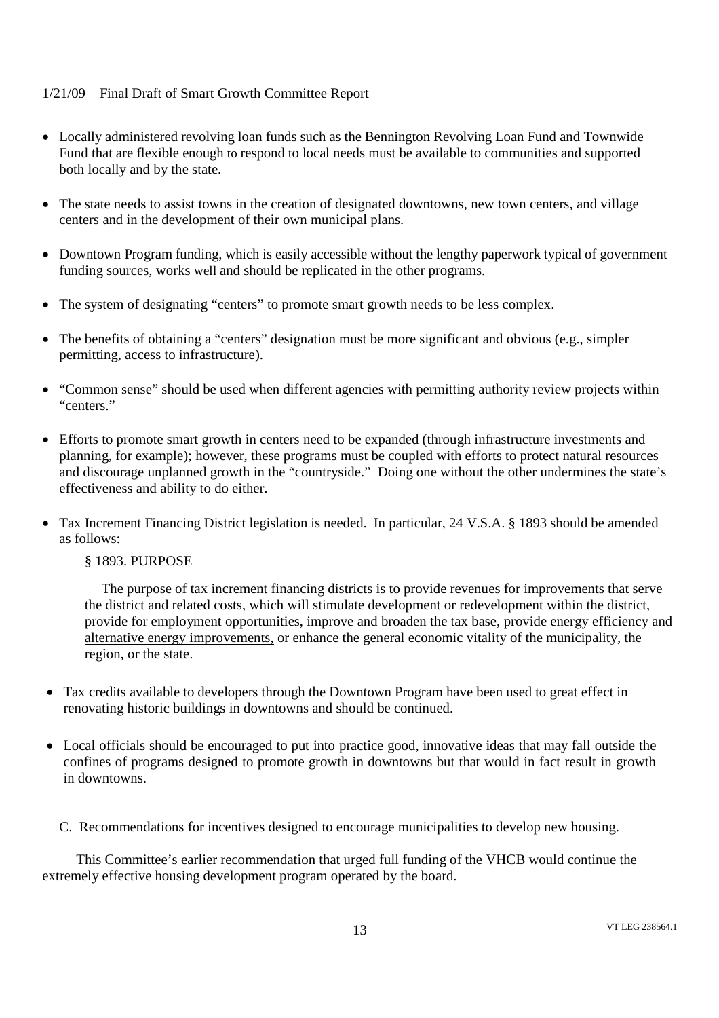- Locally administered revolving loan funds such as the Bennington Revolving Loan Fund and Townwide Fund that are flexible enough to respond to local needs must be available to communities and supported both locally and by the state.
- The state needs to assist towns in the creation of designated downtowns, new town centers, and village centers and in the development of their own municipal plans.
- Downtown Program funding, which is easily accessible without the lengthy paperwork typical of government funding sources, works well and should be replicated in the other programs.
- The system of designating "centers" to promote smart growth needs to be less complex.
- The benefits of obtaining a "centers" designation must be more significant and obvious (e.g., simpler permitting, access to infrastructure).
- "Common sense" should be used when different agencies with permitting authority review projects within "centers"
- Efforts to promote smart growth in centers need to be expanded (through infrastructure investments and planning, for example); however, these programs must be coupled with efforts to protect natural resources and discourage unplanned growth in the "countryside." Doing one without the other undermines the state's effectiveness and ability to do either.
- Tax Increment Financing District legislation is needed. In particular, 24 V.S.A. § 1893 should be amended as follows:

§ 1893. PURPOSE

The purpose of tax increment financing districts is to provide revenues for improvements that serve the district and related costs, which will stimulate development or redevelopment within the district, provide for employment opportunities, improve and broaden the tax base, provide energy efficiency and alternative energy improvements, or enhance the general economic vitality of the municipality, the region, or the state.

- Tax credits available to developers through the Downtown Program have been used to great effect in renovating historic buildings in downtowns and should be continued.
- Local officials should be encouraged to put into practice good, innovative ideas that may fall outside the confines of programs designed to promote growth in downtowns but that would in fact result in growth in downtowns.
	- C. Recommendations for incentives designed to encourage municipalities to develop new housing.

This Committee's earlier recommendation that urged full funding of the VHCB would continue the extremely effective housing development program operated by the board.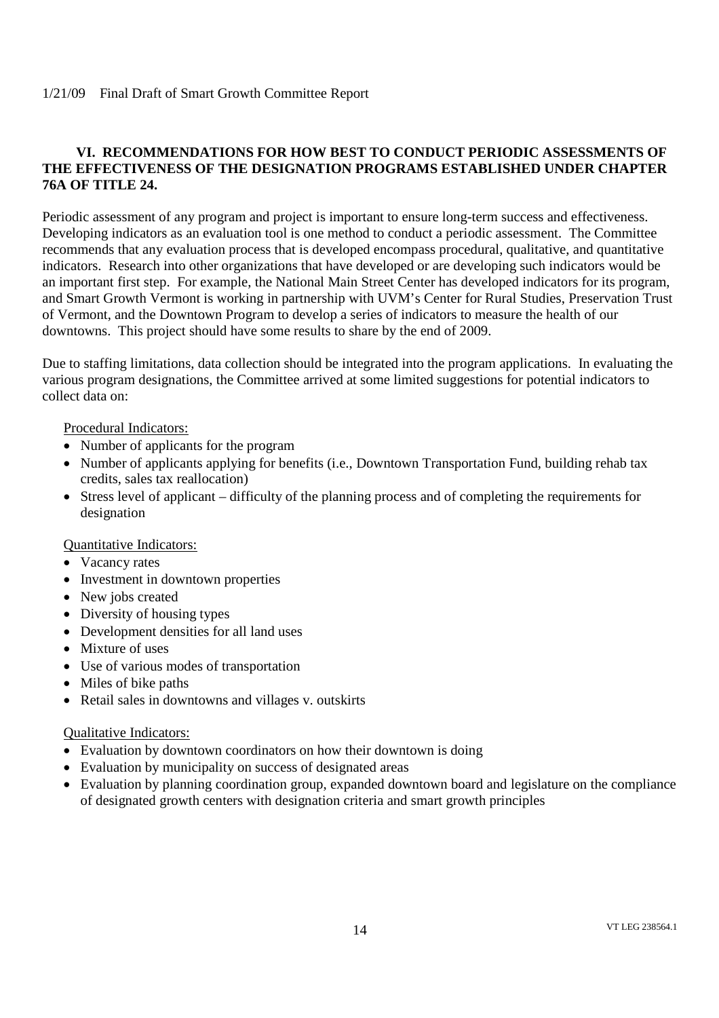# **VI. RECOMMENDATIONS FOR HOW BEST TO CONDUCT PERIODIC ASSESSMENTS OF THE EFFECTIVENESS OF THE DESIGNATION PROGRAMS ESTABLISHED UNDER CHAPTER 76A OF TITLE 24.**

Periodic assessment of any program and project is important to ensure long-term success and effectiveness. Developing indicators as an evaluation tool is one method to conduct a periodic assessment. The Committee recommends that any evaluation process that is developed encompass procedural, qualitative, and quantitative indicators. Research into other organizations that have developed or are developing such indicators would be an important first step. For example, the National Main Street Center has developed indicators for its program, and Smart Growth Vermont is working in partnership with UVM's Center for Rural Studies, Preservation Trust of Vermont, and the Downtown Program to develop a series of indicators to measure the health of our downtowns. This project should have some results to share by the end of 2009.

Due to staffing limitations, data collection should be integrated into the program applications. In evaluating the various program designations, the Committee arrived at some limited suggestions for potential indicators to collect data on:

Procedural Indicators:

- Number of applicants for the program
- Number of applicants applying for benefits (i.e., Downtown Transportation Fund, building rehab tax credits, sales tax reallocation)
- Stress level of applicant difficulty of the planning process and of completing the requirements for designation

#### Quantitative Indicators:

- Vacancy rates
- Investment in downtown properties
- New jobs created
- Diversity of housing types
- Development densities for all land uses
- Mixture of uses
- Use of various modes of transportation
- Miles of bike paths
- Retail sales in downtowns and villages v. outskirts

#### Qualitative Indicators:

- Evaluation by downtown coordinators on how their downtown is doing
- Evaluation by municipality on success of designated areas
- Evaluation by planning coordination group, expanded downtown board and legislature on the compliance of designated growth centers with designation criteria and smart growth principles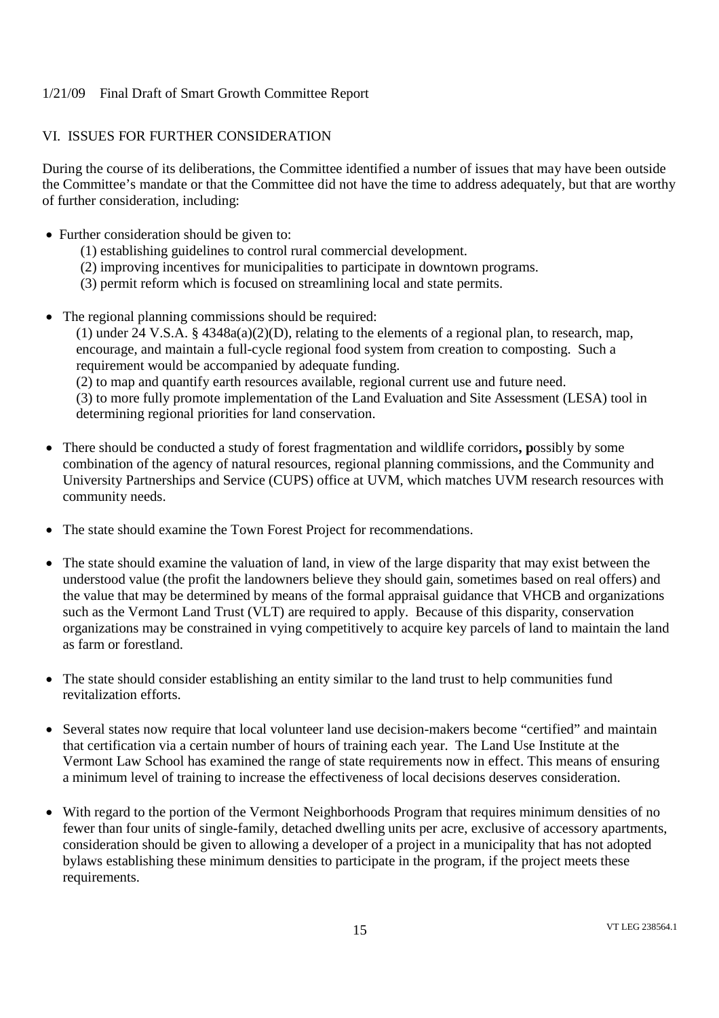# VI. ISSUES FOR FURTHER CONSIDERATION

During the course of its deliberations, the Committee identified a number of issues that may have been outside the Committee's mandate or that the Committee did not have the time to address adequately, but that are worthy of further consideration, including:

- Further consideration should be given to:
	- (1) establishing guidelines to control rural commercial development.
	- (2) improving incentives for municipalities to participate in downtown programs.
	- (3) permit reform which is focused on streamlining local and state permits.
- The regional planning commissions should be required:

(1) under 24 V.S.A. § 4348a(a)(2)(D), relating to the elements of a regional plan, to research, map, encourage, and maintain a full-cycle regional food system from creation to composting. Such a requirement would be accompanied by adequate funding. (2) to map and quantify earth resources available, regional current use and future need.

(3) to more fully promote implementation of the Land Evaluation and Site Assessment (LESA) tool in determining regional priorities for land conservation.

- There should be conducted a study of forest fragmentation and wildlife corridors**, p**ossibly by some combination of the agency of natural resources, regional planning commissions, and the Community and University Partnerships and Service (CUPS) office at UVM, which matches UVM research resources with community needs.
- The state should examine the Town Forest Project for recommendations.
- The state should examine the valuation of land, in view of the large disparity that may exist between the understood value (the profit the landowners believe they should gain, sometimes based on real offers) and the value that may be determined by means of the formal appraisal guidance that VHCB and organizations such as the Vermont Land Trust (VLT) are required to apply. Because of this disparity, conservation organizations may be constrained in vying competitively to acquire key parcels of land to maintain the land as farm or forestland.
- The state should consider establishing an entity similar to the land trust to help communities fund revitalization efforts.
- Several states now require that local volunteer land use decision-makers become "certified" and maintain that certification via a certain number of hours of training each year. The Land Use Institute at the Vermont Law School has examined the range of state requirements now in effect. This means of ensuring a minimum level of training to increase the effectiveness of local decisions deserves consideration.
- With regard to the portion of the Vermont Neighborhoods Program that requires minimum densities of no fewer than four units of single-family, detached dwelling units per acre, exclusive of accessory apartments, consideration should be given to allowing a developer of a project in a municipality that has not adopted bylaws establishing these minimum densities to participate in the program, if the project meets these requirements.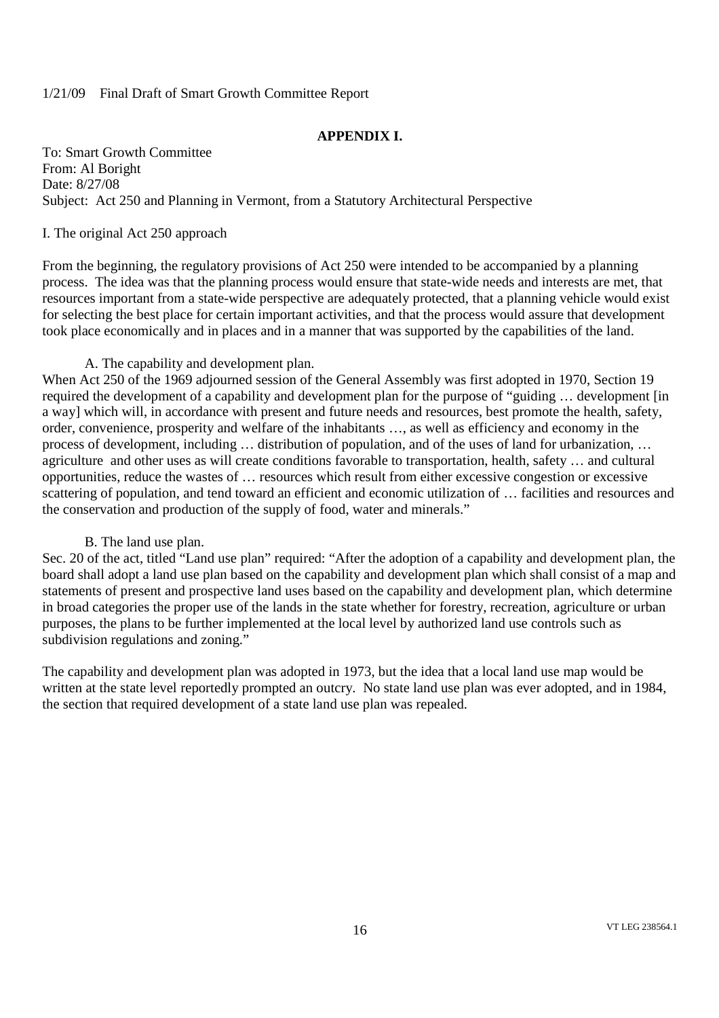# **APPENDIX I.**

To: Smart Growth Committee From: Al Boright Date: 8/27/08 Subject: Act 250 and Planning in Vermont, from a Statutory Architectural Perspective

## I. The original Act 250 approach

From the beginning, the regulatory provisions of Act 250 were intended to be accompanied by a planning process. The idea was that the planning process would ensure that state-wide needs and interests are met, that resources important from a state-wide perspective are adequately protected, that a planning vehicle would exist for selecting the best place for certain important activities, and that the process would assure that development took place economically and in places and in a manner that was supported by the capabilities of the land.

# A. The capability and development plan.

When Act 250 of the 1969 adjourned session of the General Assembly was first adopted in 1970, Section 19 required the development of a capability and development plan for the purpose of "guiding … development [in a way] which will, in accordance with present and future needs and resources, best promote the health, safety, order, convenience, prosperity and welfare of the inhabitants …, as well as efficiency and economy in the process of development, including … distribution of population, and of the uses of land for urbanization, … agriculture and other uses as will create conditions favorable to transportation, health, safety … and cultural opportunities, reduce the wastes of … resources which result from either excessive congestion or excessive scattering of population, and tend toward an efficient and economic utilization of … facilities and resources and the conservation and production of the supply of food, water and minerals."

#### B. The land use plan.

Sec. 20 of the act, titled "Land use plan" required: "After the adoption of a capability and development plan, the board shall adopt a land use plan based on the capability and development plan which shall consist of a map and statements of present and prospective land uses based on the capability and development plan, which determine in broad categories the proper use of the lands in the state whether for forestry, recreation, agriculture or urban purposes, the plans to be further implemented at the local level by authorized land use controls such as subdivision regulations and zoning."

The capability and development plan was adopted in 1973, but the idea that a local land use map would be written at the state level reportedly prompted an outcry. No state land use plan was ever adopted, and in 1984, the section that required development of a state land use plan was repealed.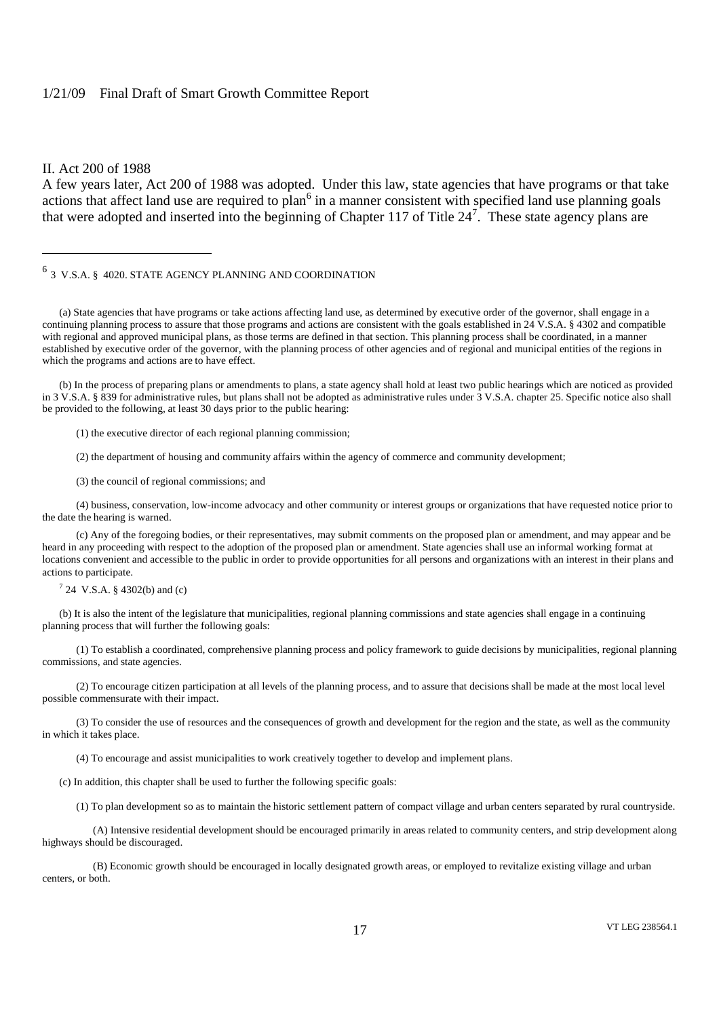#### II. Act 200 of 1988

A few years later, Act 200 of 1988 was adopted. Under this law, state agencies that have programs or that take actions that affect land use are required to plan<sup>6</sup> in a manner consistent with specified land use planning goals that were adopted and inserted into the beginning of Chapter 117 of Title  $24^7$ . These state agency plans are

# $^6$  3 V.S.A. § 4020. STATE AGENCY PLANNING AND COORDINATION

(a) State agencies that have programs or take actions affecting land use, as determined by executive order of the governor, shall engage in a continuing planning process to assure that those programs and actions are consistent with the goals established in 24 V.S.A. § 4302 and compatible with regional and approved municipal plans, as those terms are defined in that section. This planning process shall be coordinated, in a manner established by executive order of the governor, with the planning process of other agencies and of regional and municipal entities of the regions in which the programs and actions are to have effect.

(b) In the process of preparing plans or amendments to plans, a state agency shall hold at least two public hearings which are noticed as provided in 3 V.S.A. § 839 for administrative rules, but plans shall not be adopted as administrative rules under 3 V.S.A. chapter 25. Specific notice also shall be provided to the following, at least 30 days prior to the public hearing:

(1) the executive director of each regional planning commission;

(2) the department of housing and community affairs within the agency of commerce and community development;

(3) the council of regional commissions; and

(4) business, conservation, low-income advocacy and other community or interest groups or organizations that have requested notice prior to the date the hearing is warned.

(c) Any of the foregoing bodies, or their representatives, may submit comments on the proposed plan or amendment, and may appear and be heard in any proceeding with respect to the adoption of the proposed plan or amendment. State agencies shall use an informal working format at locations convenient and accessible to the public in order to provide opportunities for all persons and organizations with an interest in their plans and actions to participate.

 $7^{7}$  24 V.S.A. § 4302(b) and (c)

(b) It is also the intent of the legislature that municipalities, regional planning commissions and state agencies shall engage in a continuing planning process that will further the following goals:

(1) To establish a coordinated, comprehensive planning process and policy framework to guide decisions by municipalities, regional planning commissions, and state agencies.

(2) To encourage citizen participation at all levels of the planning process, and to assure that decisions shall be made at the most local level possible commensurate with their impact.

(3) To consider the use of resources and the consequences of growth and development for the region and the state, as well as the community in which it takes place.

(4) To encourage and assist municipalities to work creatively together to develop and implement plans.

(c) In addition, this chapter shall be used to further the following specific goals:

(1) To plan development so as to maintain the historic settlement pattern of compact village and urban centers separated by rural countryside.

(A) Intensive residential development should be encouraged primarily in areas related to community centers, and strip development along highways should be discouraged.

(B) Economic growth should be encouraged in locally designated growth areas, or employed to revitalize existing village and urban centers, or both.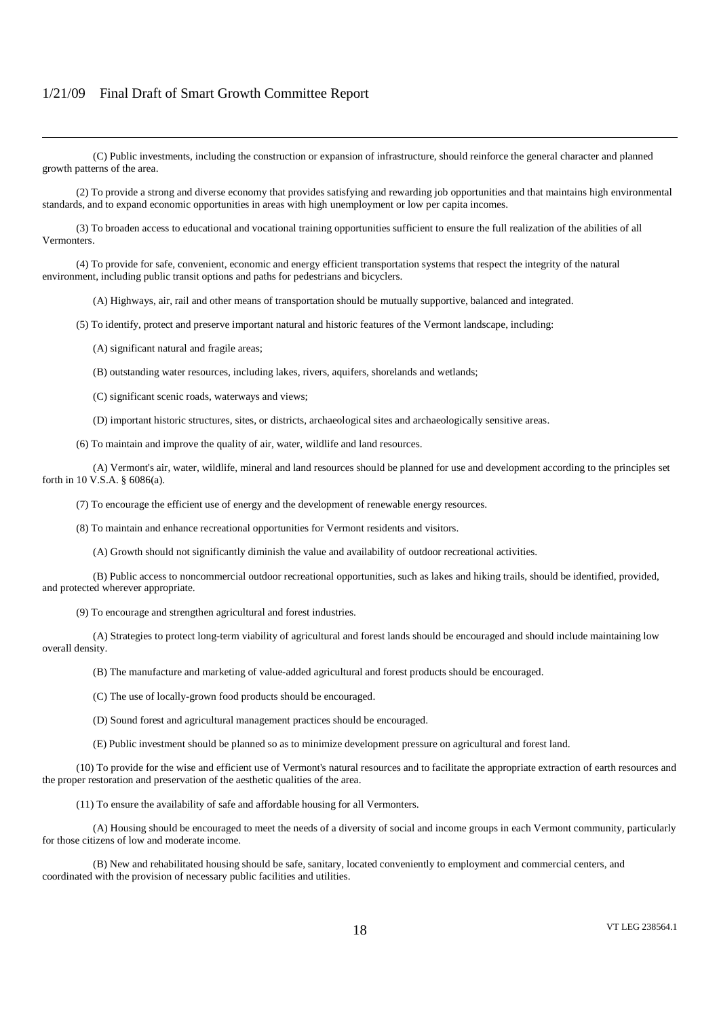(C) Public investments, including the construction or expansion of infrastructure, should reinforce the general character and planned growth patterns of the area.

(2) To provide a strong and diverse economy that provides satisfying and rewarding job opportunities and that maintains high environmental standards, and to expand economic opportunities in areas with high unemployment or low per capita incomes.

(3) To broaden access to educational and vocational training opportunities sufficient to ensure the full realization of the abilities of all Vermonters.

(4) To provide for safe, convenient, economic and energy efficient transportation systems that respect the integrity of the natural environment, including public transit options and paths for pedestrians and bicyclers.

(A) Highways, air, rail and other means of transportation should be mutually supportive, balanced and integrated.

(5) To identify, protect and preserve important natural and historic features of the Vermont landscape, including:

(A) significant natural and fragile areas;

(B) outstanding water resources, including lakes, rivers, aquifers, shorelands and wetlands;

(C) significant scenic roads, waterways and views;

(D) important historic structures, sites, or districts, archaeological sites and archaeologically sensitive areas.

(6) To maintain and improve the quality of air, water, wildlife and land resources.

(A) Vermont's air, water, wildlife, mineral and land resources should be planned for use and development according to the principles set forth in 10 V.S.A. § 6086(a).

(7) To encourage the efficient use of energy and the development of renewable energy resources.

(8) To maintain and enhance recreational opportunities for Vermont residents and visitors.

(A) Growth should not significantly diminish the value and availability of outdoor recreational activities.

(B) Public access to noncommercial outdoor recreational opportunities, such as lakes and hiking trails, should be identified, provided, and protected wherever appropriate.

(9) To encourage and strengthen agricultural and forest industries.

(A) Strategies to protect long-term viability of agricultural and forest lands should be encouraged and should include maintaining low overall density.

(B) The manufacture and marketing of value-added agricultural and forest products should be encouraged.

(C) The use of locally-grown food products should be encouraged.

(D) Sound forest and agricultural management practices should be encouraged.

(E) Public investment should be planned so as to minimize development pressure on agricultural and forest land.

(10) To provide for the wise and efficient use of Vermont's natural resources and to facilitate the appropriate extraction of earth resources and the proper restoration and preservation of the aesthetic qualities of the area.

(11) To ensure the availability of safe and affordable housing for all Vermonters.

(A) Housing should be encouraged to meet the needs of a diversity of social and income groups in each Vermont community, particularly for those citizens of low and moderate income.

(B) New and rehabilitated housing should be safe, sanitary, located conveniently to employment and commercial centers, and coordinated with the provision of necessary public facilities and utilities.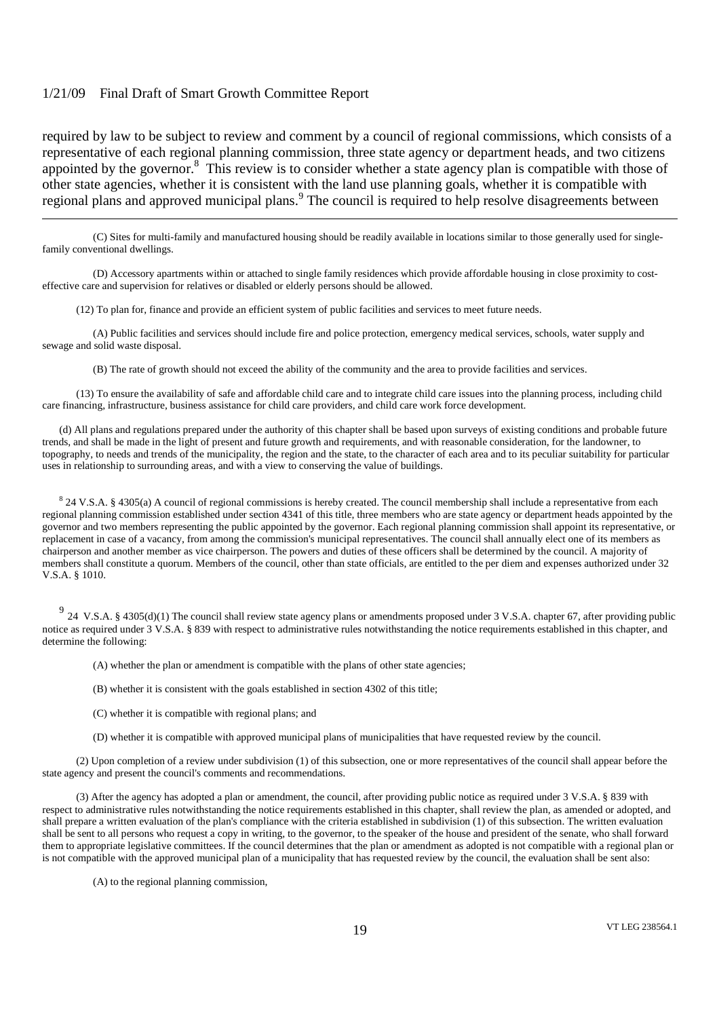required by law to be subject to review and comment by a council of regional commissions, which consists of a representative of each regional planning commission, three state agency or department heads, and two citizens appointed by the governor.<sup>8</sup> This review is to consider whether a state agency plan is compatible with those of other state agencies, whether it is consistent with the land use planning goals, whether it is compatible with regional plans and approved municipal plans.<sup>9</sup> The council is required to help resolve disagreements between

(C) Sites for multi-family and manufactured housing should be readily available in locations similar to those generally used for singlefamily conventional dwellings.

(D) Accessory apartments within or attached to single family residences which provide affordable housing in close proximity to costeffective care and supervision for relatives or disabled or elderly persons should be allowed.

(12) To plan for, finance and provide an efficient system of public facilities and services to meet future needs.

(A) Public facilities and services should include fire and police protection, emergency medical services, schools, water supply and sewage and solid waste disposal.

(B) The rate of growth should not exceed the ability of the community and the area to provide facilities and services.

(13) To ensure the availability of safe and affordable child care and to integrate child care issues into the planning process, including child care financing, infrastructure, business assistance for child care providers, and child care work force development.

(d) All plans and regulations prepared under the authority of this chapter shall be based upon surveys of existing conditions and probable future trends, and shall be made in the light of present and future growth and requirements, and with reasonable consideration, for the landowner, to topography, to needs and trends of the municipality, the region and the state, to the character of each area and to its peculiar suitability for particular uses in relationship to surrounding areas, and with a view to conserving the value of buildings.

 $824$  V.S.A. § 4305(a) A council of regional commissions is hereby created. The council membership shall include a representative from each regional planning commission established under section 4341 of this title, three members who are state agency or department heads appointed by the governor and two members representing the public appointed by the governor. Each regional planning commission shall appoint its representative, or replacement in case of a vacancy, from among the commission's municipal representatives. The council shall annually elect one of its members as chairperson and another member as vice chairperson. The powers and duties of these officers shall be determined by the council. A majority of members shall constitute a quorum. Members of the council, other than state officials, are entitled to the per diem and expenses authorized under 32 V.S.A. § 1010.

<sup>9</sup> 24 V.S.A. § 4305(d)(1) The council shall review state agency plans or amendments proposed under 3 V.S.A. chapter 67, after providing public notice as required under 3 V.S.A. § 839 with respect to administrative rules notwithstanding the notice requirements established in this chapter, and determine the following:

(A) whether the plan or amendment is compatible with the plans of other state agencies;

(B) whether it is consistent with the goals established in section 4302 of this title;

(C) whether it is compatible with regional plans; and

(D) whether it is compatible with approved municipal plans of municipalities that have requested review by the council.

(2) Upon completion of a review under subdivision (1) of this subsection, one or more representatives of the council shall appear before the state agency and present the council's comments and recommendations.

(3) After the agency has adopted a plan or amendment, the council, after providing public notice as required under 3 V.S.A. § 839 with respect to administrative rules notwithstanding the notice requirements established in this chapter, shall review the plan, as amended or adopted, and shall prepare a written evaluation of the plan's compliance with the criteria established in subdivision (1) of this subsection. The written evaluation shall be sent to all persons who request a copy in writing, to the governor, to the speaker of the house and president of the senate, who shall forward them to appropriate legislative committees. If the council determines that the plan or amendment as adopted is not compatible with a regional plan or is not compatible with the approved municipal plan of a municipality that has requested review by the council, the evaluation shall be sent also:

(A) to the regional planning commission,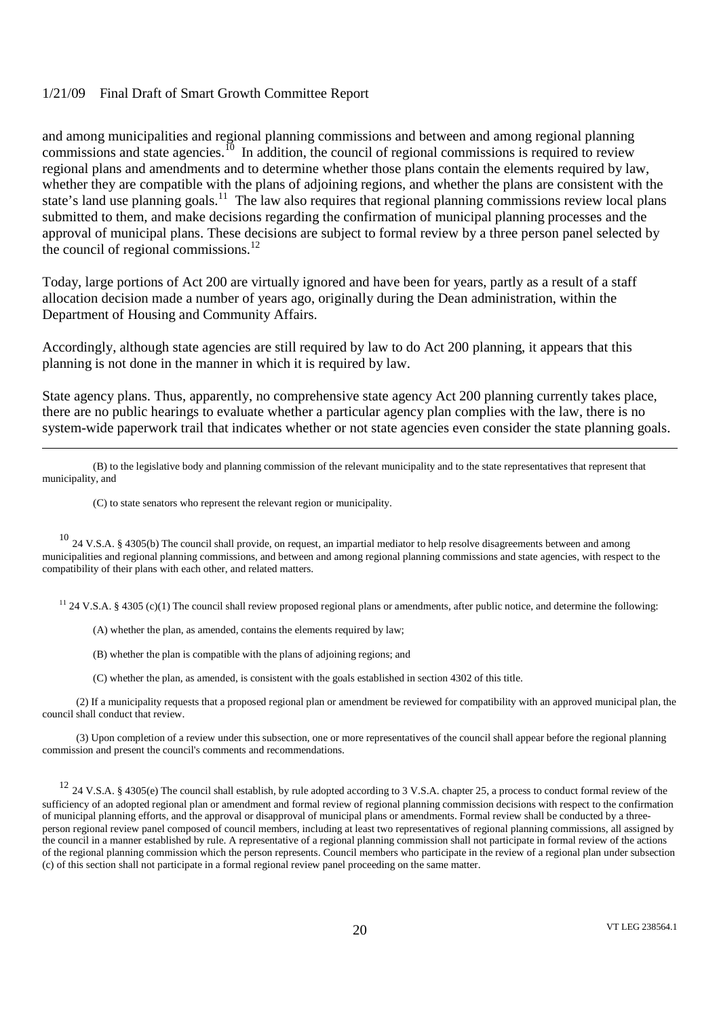and among municipalities and regional planning commissions and between and among regional planning commissions and state agencies.<sup>10</sup> In addition, the council of regional commissions is required to review regional plans and amendments and to determine whether those plans contain the elements required by law, whether they are compatible with the plans of adjoining regions, and whether the plans are consistent with the state's land use planning goals.<sup>11</sup> The law also requires that regional planning commissions review local plans submitted to them, and make decisions regarding the confirmation of municipal planning processes and the approval of municipal plans. These decisions are subject to formal review by a three person panel selected by the council of regional commissions.<sup>12</sup>

Today, large portions of Act 200 are virtually ignored and have been for years, partly as a result of a staff allocation decision made a number of years ago, originally during the Dean administration, within the Department of Housing and Community Affairs.

Accordingly, although state agencies are still required by law to do Act 200 planning, it appears that this planning is not done in the manner in which it is required by law.

State agency plans. Thus, apparently, no comprehensive state agency Act 200 planning currently takes place, there are no public hearings to evaluate whether a particular agency plan complies with the law, there is no system-wide paperwork trail that indicates whether or not state agencies even consider the state planning goals.

(B) to the legislative body and planning commission of the relevant municipality and to the state representatives that represent that municipality, and

(C) to state senators who represent the relevant region or municipality.

<sup>10</sup> 24 V.S.A. § 4305(b) The council shall provide, on request, an impartial mediator to help resolve disagreements between and among municipalities and regional planning commissions, and between and among regional planning commissions and state agencies, with respect to the compatibility of their plans with each other, and related matters.

 $11$  24 V.S.A. § 4305 (c)(1) The council shall review proposed regional plans or amendments, after public notice, and determine the following:

(A) whether the plan, as amended, contains the elements required by law;

(B) whether the plan is compatible with the plans of adjoining regions; and

(C) whether the plan, as amended, is consistent with the goals established in section 4302 of this title.

(2) If a municipality requests that a proposed regional plan or amendment be reviewed for compatibility with an approved municipal plan, the council shall conduct that review.

(3) Upon completion of a review under this subsection, one or more representatives of the council shall appear before the regional planning commission and present the council's comments and recommendations.

<sup>12</sup> 24 V.S.A. § 4305(e) The council shall establish, by rule adopted according to 3 V.S.A. chapter 25, a process to conduct formal review of the sufficiency of an adopted regional plan or amendment and formal review of regional planning commission decisions with respect to the confirmation of municipal planning efforts, and the approval or disapproval of municipal plans or amendments. Formal review shall be conducted by a threeperson regional review panel composed of council members, including at least two representatives of regional planning commissions, all assigned by the council in a manner established by rule. A representative of a regional planning commission shall not participate in formal review of the actions of the regional planning commission which the person represents. Council members who participate in the review of a regional plan under subsection (c) of this section shall not participate in a formal regional review panel proceeding on the same matter.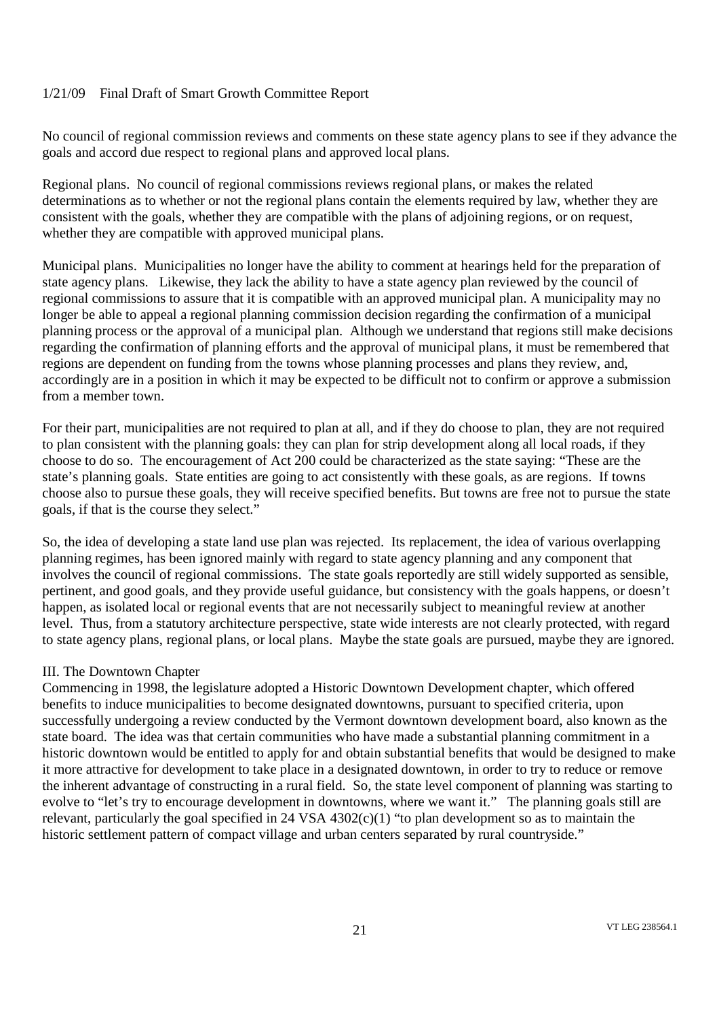No council of regional commission reviews and comments on these state agency plans to see if they advance the goals and accord due respect to regional plans and approved local plans.

Regional plans. No council of regional commissions reviews regional plans, or makes the related determinations as to whether or not the regional plans contain the elements required by law, whether they are consistent with the goals, whether they are compatible with the plans of adjoining regions, or on request, whether they are compatible with approved municipal plans.

Municipal plans. Municipalities no longer have the ability to comment at hearings held for the preparation of state agency plans. Likewise, they lack the ability to have a state agency plan reviewed by the council of regional commissions to assure that it is compatible with an approved municipal plan. A municipality may no longer be able to appeal a regional planning commission decision regarding the confirmation of a municipal planning process or the approval of a municipal plan. Although we understand that regions still make decisions regarding the confirmation of planning efforts and the approval of municipal plans, it must be remembered that regions are dependent on funding from the towns whose planning processes and plans they review, and, accordingly are in a position in which it may be expected to be difficult not to confirm or approve a submission from a member town.

For their part, municipalities are not required to plan at all, and if they do choose to plan, they are not required to plan consistent with the planning goals: they can plan for strip development along all local roads, if they choose to do so. The encouragement of Act 200 could be characterized as the state saying: "These are the state's planning goals. State entities are going to act consistently with these goals, as are regions. If towns choose also to pursue these goals, they will receive specified benefits. But towns are free not to pursue the state goals, if that is the course they select."

So, the idea of developing a state land use plan was rejected. Its replacement, the idea of various overlapping planning regimes, has been ignored mainly with regard to state agency planning and any component that involves the council of regional commissions. The state goals reportedly are still widely supported as sensible, pertinent, and good goals, and they provide useful guidance, but consistency with the goals happens, or doesn't happen, as isolated local or regional events that are not necessarily subject to meaningful review at another level. Thus, from a statutory architecture perspective, state wide interests are not clearly protected, with regard to state agency plans, regional plans, or local plans. Maybe the state goals are pursued, maybe they are ignored.

#### III. The Downtown Chapter

Commencing in 1998, the legislature adopted a Historic Downtown Development chapter, which offered benefits to induce municipalities to become designated downtowns, pursuant to specified criteria, upon successfully undergoing a review conducted by the Vermont downtown development board, also known as the state board. The idea was that certain communities who have made a substantial planning commitment in a historic downtown would be entitled to apply for and obtain substantial benefits that would be designed to make it more attractive for development to take place in a designated downtown, in order to try to reduce or remove the inherent advantage of constructing in a rural field. So, the state level component of planning was starting to evolve to "let's try to encourage development in downtowns, where we want it." The planning goals still are relevant, particularly the goal specified in 24 VSA 4302(c)(1) "to plan development so as to maintain the historic settlement pattern of compact village and urban centers separated by rural countryside."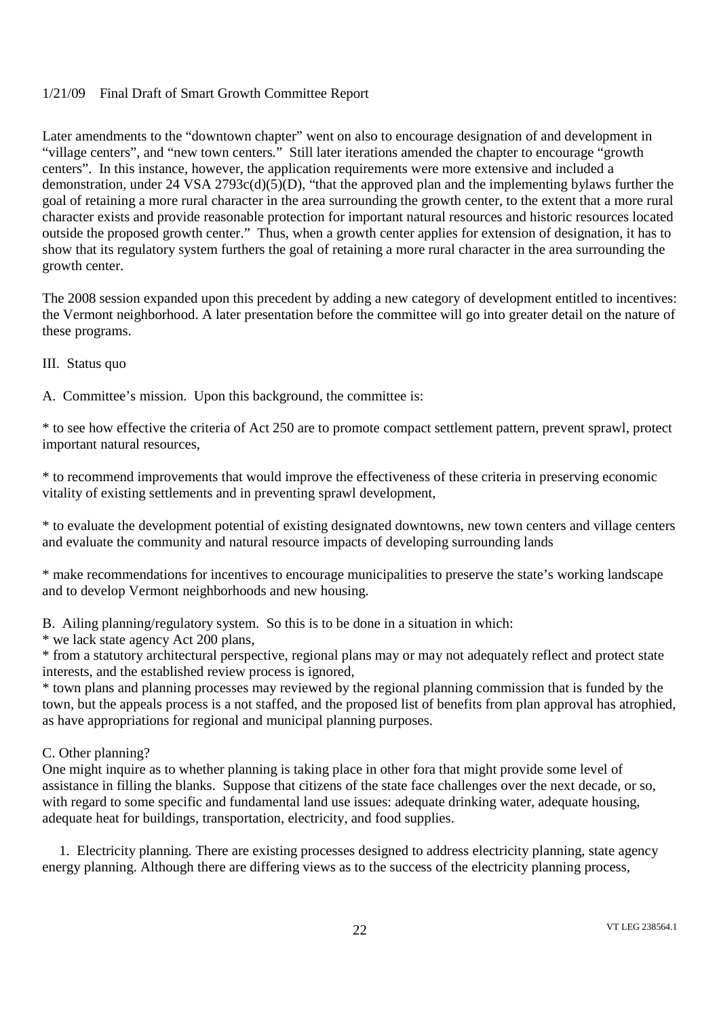Later amendments to the "downtown chapter" went on also to encourage designation of and development in "village centers", and "new town centers." Still later iterations amended the chapter to encourage "growth centers". In this instance, however, the application requirements were more extensive and included a demonstration, under 24 VSA 2793c(d)(5)(D), "that the approved plan and the implementing bylaws further the goal of retaining a more rural character in the area surrounding the growth center, to the extent that a more rural character exists and provide reasonable protection for important natural resources and historic resources located outside the proposed growth center." Thus, when a growth center applies for extension of designation, it has to show that its regulatory system furthers the goal of retaining a more rural character in the area surrounding the growth center.

The 2008 session expanded upon this precedent by adding a new category of development entitled to incentives: the Vermont neighborhood. A later presentation before the committee will go into greater detail on the nature of these programs.

III. Status quo

A. Committee's mission. Upon this background, the committee is:

\* to see how effective the criteria of Act 250 are to promote compact settlement pattern, prevent sprawl, protect important natural resources,

\* to recommend improvements that would improve the effectiveness of these criteria in preserving economic vitality of existing settlements and in preventing sprawl development,

\* to evaluate the development potential of existing designated downtowns, new town centers and village centers and evaluate the community and natural resource impacts of developing surrounding lands

\* make recommendations for incentives to encourage municipalities to preserve the state's working landscape and to develop Vermont neighborhoods and new housing.

B. Ailing planning/regulatory system. So this is to be done in a situation in which:

\* we lack state agency Act 200 plans,

\* from a statutory architectural perspective, regional plans may or may not adequately reflect and protect state interests, and the established review process is ignored,

\* town plans and planning processes may reviewed by the regional planning commission that is funded by the town, but the appeals process is a not staffed, and the proposed list of benefits from plan approval has atrophied, as have appropriations for regional and municipal planning purposes.

C. Other planning?

One might inquire as to whether planning is taking place in other fora that might provide some level of assistance in filling the blanks. Suppose that citizens of the state face challenges over the next decade, or so, with regard to some specific and fundamental land use issues: adequate drinking water, adequate housing, adequate heat for buildings, transportation, electricity, and food supplies.

1. Electricity planning. There are existing processes designed to address electricity planning, state agency energy planning. Although there are differing views as to the success of the electricity planning process,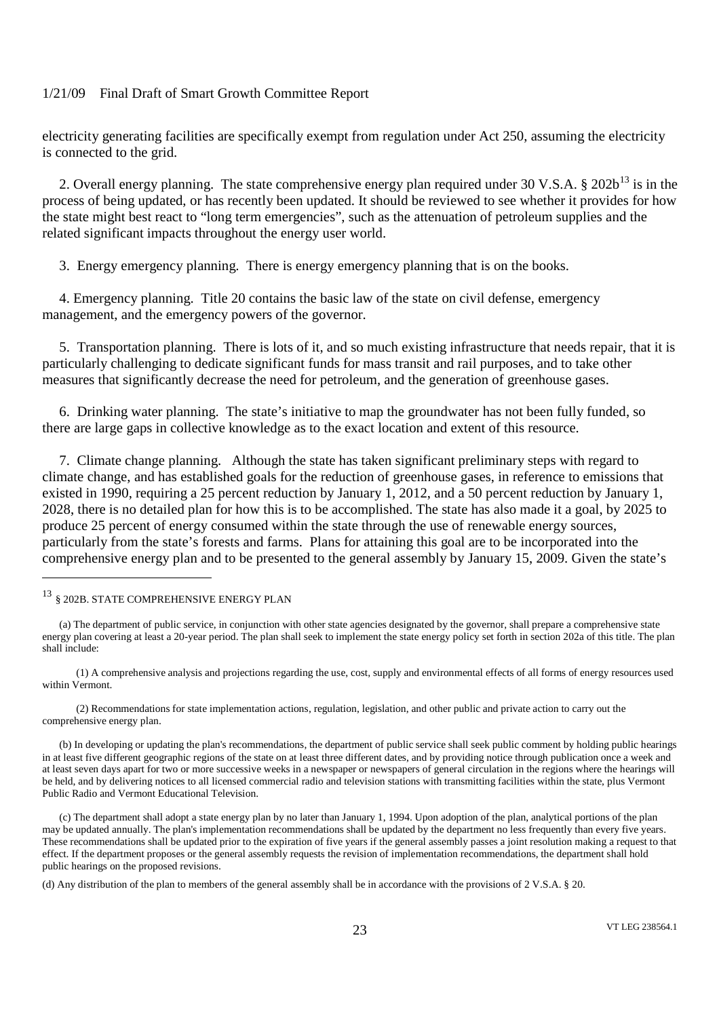electricity generating facilities are specifically exempt from regulation under Act 250, assuming the electricity is connected to the grid.

2. Overall energy planning. The state comprehensive energy plan required under 30 V.S.A. § 202b<sup>13</sup> is in the process of being updated, or has recently been updated. It should be reviewed to see whether it provides for how the state might best react to "long term emergencies", such as the attenuation of petroleum supplies and the related significant impacts throughout the energy user world.

3. Energy emergency planning. There is energy emergency planning that is on the books.

4. Emergency planning. Title 20 contains the basic law of the state on civil defense, emergency management, and the emergency powers of the governor.

5. Transportation planning. There is lots of it, and so much existing infrastructure that needs repair, that it is particularly challenging to dedicate significant funds for mass transit and rail purposes, and to take other measures that significantly decrease the need for petroleum, and the generation of greenhouse gases.

6. Drinking water planning. The state's initiative to map the groundwater has not been fully funded, so there are large gaps in collective knowledge as to the exact location and extent of this resource.

7. Climate change planning. Although the state has taken significant preliminary steps with regard to climate change, and has established goals for the reduction of greenhouse gases, in reference to emissions that existed in 1990, requiring a 25 percent reduction by January 1, 2012, and a 50 percent reduction by January 1, 2028, there is no detailed plan for how this is to be accomplished. The state has also made it a goal, by 2025 to produce 25 percent of energy consumed within the state through the use of renewable energy sources, particularly from the state's forests and farms. Plans for attaining this goal are to be incorporated into the comprehensive energy plan and to be presented to the general assembly by January 15, 2009. Given the state's

(1) A comprehensive analysis and projections regarding the use, cost, supply and environmental effects of all forms of energy resources used within Vermont.

(2) Recommendations for state implementation actions, regulation, legislation, and other public and private action to carry out the comprehensive energy plan.

(b) In developing or updating the plan's recommendations, the department of public service shall seek public comment by holding public hearings in at least five different geographic regions of the state on at least three different dates, and by providing notice through publication once a week and at least seven days apart for two or more successive weeks in a newspaper or newspapers of general circulation in the regions where the hearings will be held, and by delivering notices to all licensed commercial radio and television stations with transmitting facilities within the state, plus Vermont Public Radio and Vermont Educational Television.

(c) The department shall adopt a state energy plan by no later than January 1, 1994. Upon adoption of the plan, analytical portions of the plan may be updated annually. The plan's implementation recommendations shall be updated by the department no less frequently than every five years. These recommendations shall be updated prior to the expiration of five years if the general assembly passes a joint resolution making a request to that effect. If the department proposes or the general assembly requests the revision of implementation recommendations, the department shall hold public hearings on the proposed revisions.

(d) Any distribution of the plan to members of the general assembly shall be in accordance with the provisions of 2 V.S.A. § 20.

<sup>13</sup> § 202B. STATE COMPREHENSIVE ENERGY PLAN

<sup>(</sup>a) The department of public service, in conjunction with other state agencies designated by the governor, shall prepare a comprehensive state energy plan covering at least a 20-year period. The plan shall seek to implement the state energy policy set forth in section 202a of this title. The plan shall include: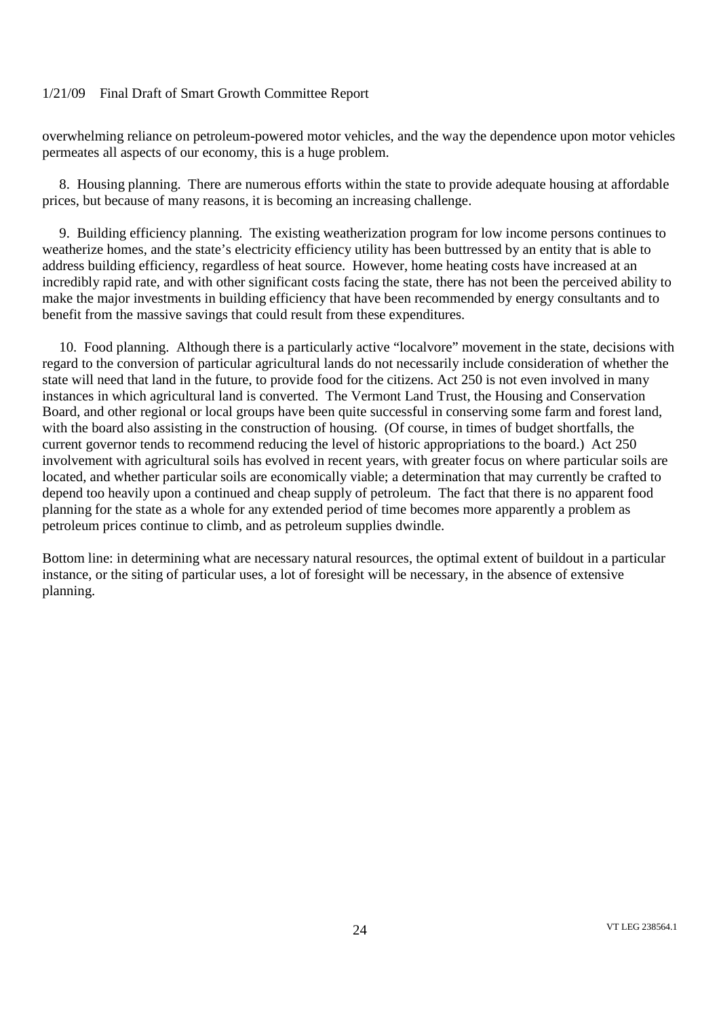overwhelming reliance on petroleum-powered motor vehicles, and the way the dependence upon motor vehicles permeates all aspects of our economy, this is a huge problem.

8. Housing planning. There are numerous efforts within the state to provide adequate housing at affordable prices, but because of many reasons, it is becoming an increasing challenge.

9. Building efficiency planning. The existing weatherization program for low income persons continues to weatherize homes, and the state's electricity efficiency utility has been buttressed by an entity that is able to address building efficiency, regardless of heat source. However, home heating costs have increased at an incredibly rapid rate, and with other significant costs facing the state, there has not been the perceived ability to make the major investments in building efficiency that have been recommended by energy consultants and to benefit from the massive savings that could result from these expenditures.

10. Food planning. Although there is a particularly active "localvore" movement in the state, decisions with regard to the conversion of particular agricultural lands do not necessarily include consideration of whether the state will need that land in the future, to provide food for the citizens. Act 250 is not even involved in many instances in which agricultural land is converted. The Vermont Land Trust, the Housing and Conservation Board, and other regional or local groups have been quite successful in conserving some farm and forest land, with the board also assisting in the construction of housing. (Of course, in times of budget shortfalls, the current governor tends to recommend reducing the level of historic appropriations to the board.) Act 250 involvement with agricultural soils has evolved in recent years, with greater focus on where particular soils are located, and whether particular soils are economically viable; a determination that may currently be crafted to depend too heavily upon a continued and cheap supply of petroleum. The fact that there is no apparent food planning for the state as a whole for any extended period of time becomes more apparently a problem as petroleum prices continue to climb, and as petroleum supplies dwindle.

Bottom line: in determining what are necessary natural resources, the optimal extent of buildout in a particular instance, or the siting of particular uses, a lot of foresight will be necessary, in the absence of extensive planning.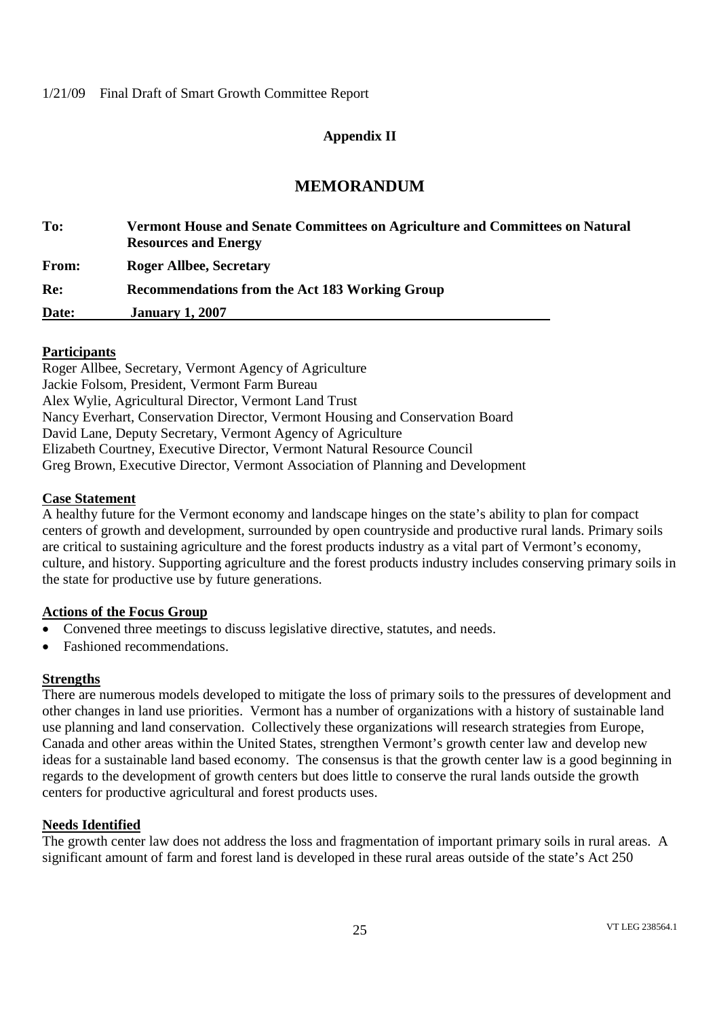# **Appendix II**

# **MEMORANDUM**

| To:          | Vermont House and Senate Committees on Agriculture and Committees on Natural<br><b>Resources and Energy</b> |
|--------------|-------------------------------------------------------------------------------------------------------------|
| <b>From:</b> | <b>Roger Allbee, Secretary</b>                                                                              |
| Re:          | Recommendations from the Act 183 Working Group                                                              |
| Date:        | <b>January 1, 2007</b>                                                                                      |

# **Participants**

Roger Allbee, Secretary, Vermont Agency of Agriculture Jackie Folsom, President, Vermont Farm Bureau Alex Wylie, Agricultural Director, Vermont Land Trust Nancy Everhart, Conservation Director, Vermont Housing and Conservation Board David Lane, Deputy Secretary, Vermont Agency of Agriculture Elizabeth Courtney, Executive Director, Vermont Natural Resource Council Greg Brown, Executive Director, Vermont Association of Planning and Development

# **Case Statement**

A healthy future for the Vermont economy and landscape hinges on the state's ability to plan for compact centers of growth and development, surrounded by open countryside and productive rural lands. Primary soils are critical to sustaining agriculture and the forest products industry as a vital part of Vermont's economy, culture, and history. Supporting agriculture and the forest products industry includes conserving primary soils in the state for productive use by future generations.

# **Actions of the Focus Group**

- Convened three meetings to discuss legislative directive, statutes, and needs.
- Fashioned recommendations.

# **Strengths**

There are numerous models developed to mitigate the loss of primary soils to the pressures of development and other changes in land use priorities. Vermont has a number of organizations with a history of sustainable land use planning and land conservation. Collectively these organizations will research strategies from Europe, Canada and other areas within the United States, strengthen Vermont's growth center law and develop new ideas for a sustainable land based economy. The consensus is that the growth center law is a good beginning in regards to the development of growth centers but does little to conserve the rural lands outside the growth centers for productive agricultural and forest products uses.

#### **Needs Identified**

The growth center law does not address the loss and fragmentation of important primary soils in rural areas. A significant amount of farm and forest land is developed in these rural areas outside of the state's Act 250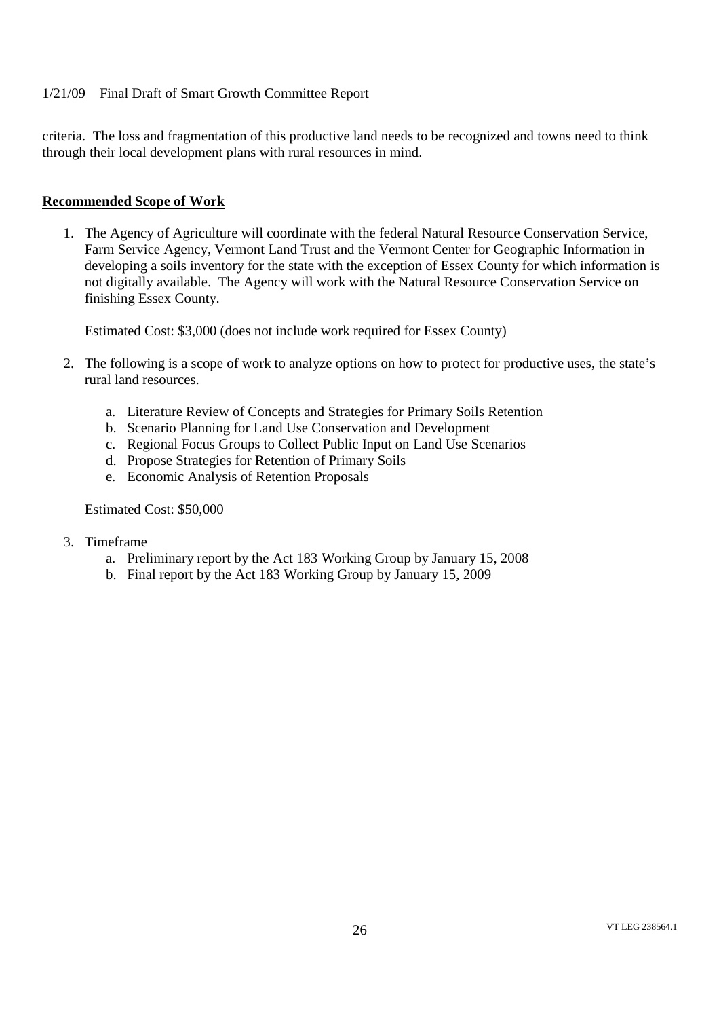criteria. The loss and fragmentation of this productive land needs to be recognized and towns need to think through their local development plans with rural resources in mind.

# **Recommended Scope of Work**

1. The Agency of Agriculture will coordinate with the federal Natural Resource Conservation Service, Farm Service Agency, Vermont Land Trust and the Vermont Center for Geographic Information in developing a soils inventory for the state with the exception of Essex County for which information is not digitally available. The Agency will work with the Natural Resource Conservation Service on finishing Essex County.

Estimated Cost: \$3,000 (does not include work required for Essex County)

- 2. The following is a scope of work to analyze options on how to protect for productive uses, the state's rural land resources.
	- a. Literature Review of Concepts and Strategies for Primary Soils Retention
	- b. Scenario Planning for Land Use Conservation and Development
	- c. Regional Focus Groups to Collect Public Input on Land Use Scenarios
	- d. Propose Strategies for Retention of Primary Soils
	- e. Economic Analysis of Retention Proposals

Estimated Cost: \$50,000

- 3. Timeframe
	- a. Preliminary report by the Act 183 Working Group by January 15, 2008
	- b. Final report by the Act 183 Working Group by January 15, 2009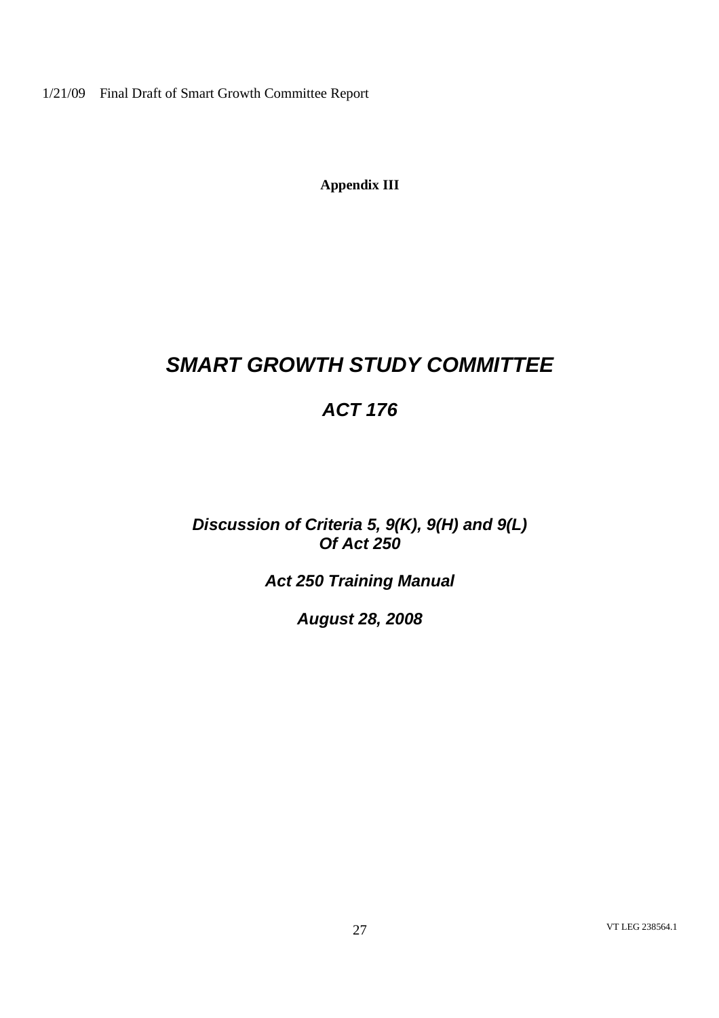**Appendix III**

# *SMART GROWTH STUDY COMMITTEE*

# *ACT 176*

*Discussion of Criteria 5, 9(K), 9(H) and 9(L) Of Act 250*

*Act 250 Training Manual*

*August 28, 2008*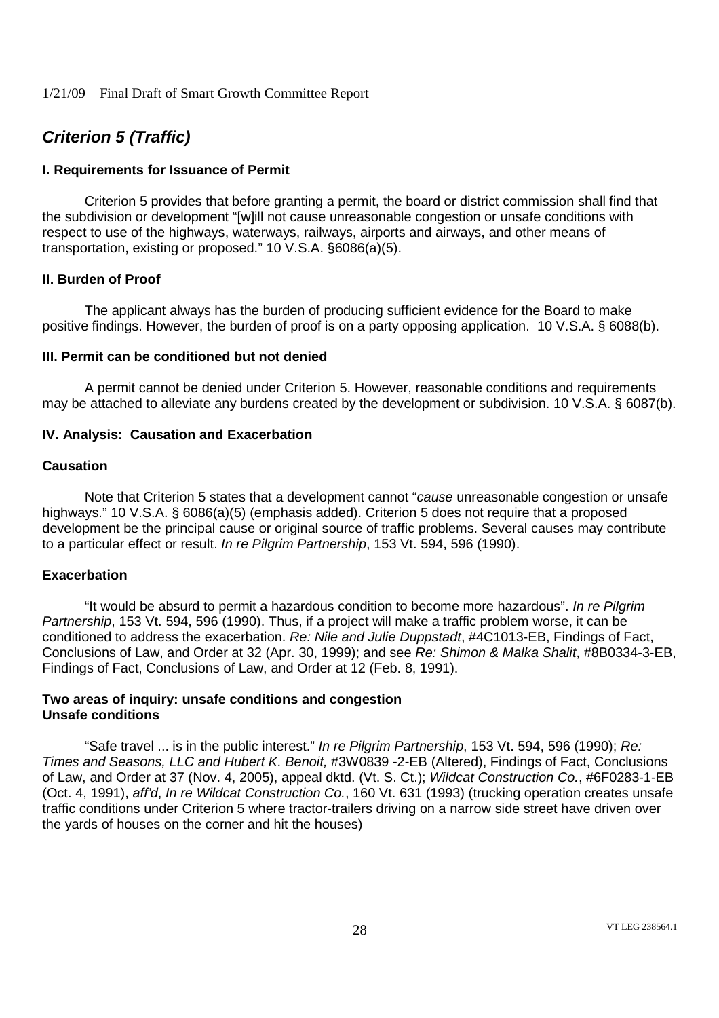# *Criterion 5 (Traffic)*

# **I. Requirements for Issuance of Permit**

Criterion 5 provides that before granting a permit, the board or district commission shall find that the subdivision or development "[w]ill not cause unreasonable congestion or unsafe conditions with respect to use of the highways, waterways, railways, airports and airways, and other means of transportation, existing or proposed." 10 V.S.A. §6086(a)(5).

# **II. Burden of Proof**

The applicant always has the burden of producing sufficient evidence for the Board to make positive findings. However, the burden of proof is on a party opposing application. 10 V.S.A. § 6088(b).

#### **III. Permit can be conditioned but not denied**

A permit cannot be denied under Criterion 5. However, reasonable conditions and requirements may be attached to alleviate any burdens created by the development or subdivision. 10 V.S.A. § 6087(b).

# **IV. Analysis: Causation and Exacerbation**

#### **Causation**

Note that Criterion 5 states that a development cannot "*cause* unreasonable congestion or unsafe highways." 10 V.S.A. § 6086(a)(5) (emphasis added). Criterion 5 does not require that a proposed development be the principal cause or original source of traffic problems. Several causes may contribute to a particular effect or result. *In re Pilgrim Partnership*, 153 Vt. 594, 596 (1990).

#### **Exacerbation**

"It would be absurd to permit a hazardous condition to become more hazardous". *In re Pilgrim Partnership*, 153 Vt. 594, 596 (1990). Thus, if a project will make a traffic problem worse, it can be conditioned to address the exacerbation. *Re: Nile and Julie Duppstadt*, #4C1013-EB, Findings of Fact, Conclusions of Law, and Order at 32 (Apr. 30, 1999); and see *Re: Shimon & Malka Shalit*, #8B0334-3-EB, Findings of Fact, Conclusions of Law, and Order at 12 (Feb. 8, 1991).

#### **Two areas of inquiry: unsafe conditions and congestion Unsafe conditions**

"Safe travel ... is in the public interest." *In re Pilgrim Partnership*, 153 Vt. 594, 596 (1990); *Re: Times and Seasons, LLC and Hubert K. Benoit,* #3W0839 -2-EB (Altered), Findings of Fact, Conclusions of Law, and Order at 37 (Nov. 4, 2005), appeal dktd. (Vt. S. Ct.); *Wildcat Construction Co.*, #6F0283-1-EB (Oct. 4, 1991), *aff'd*, *In re Wildcat Construction Co.*, 160 Vt. 631 (1993) (trucking operation creates unsafe traffic conditions under Criterion 5 where tractor-trailers driving on a narrow side street have driven over the yards of houses on the corner and hit the houses)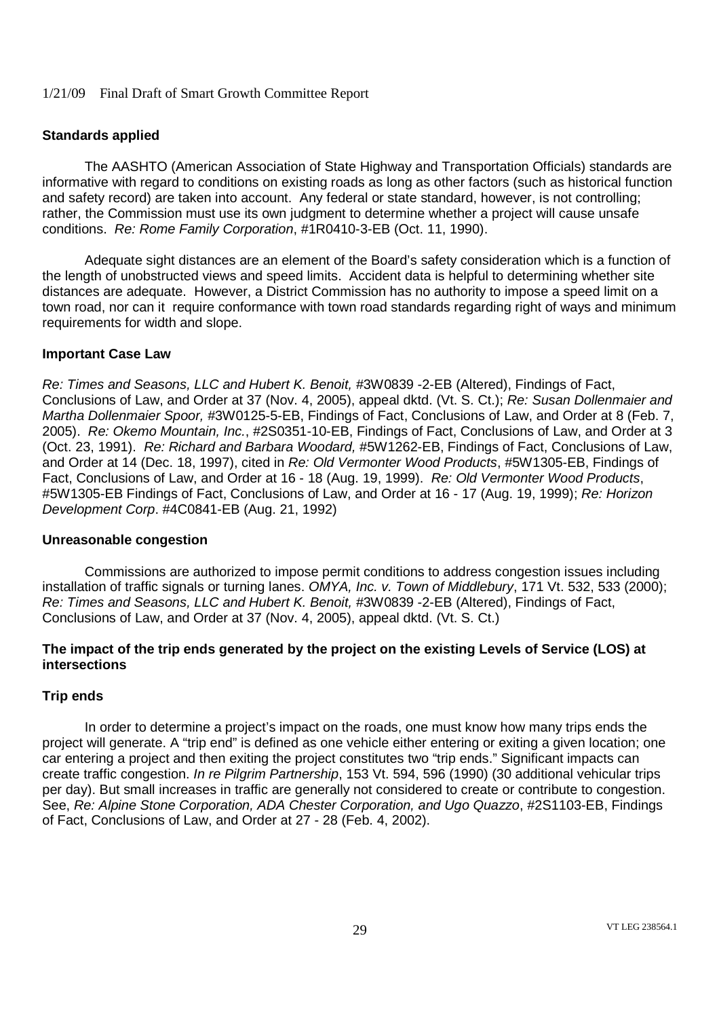# **Standards applied**

The AASHTO (American Association of State Highway and Transportation Officials) standards are informative with regard to conditions on existing roads as long as other factors (such as historical function and safety record) are taken into account. Any federal or state standard, however, is not controlling; rather, the Commission must use its own judgment to determine whether a project will cause unsafe conditions. *Re: Rome Family Corporation*, #1R0410-3-EB (Oct. 11, 1990).

Adequate sight distances are an element of the Board's safety consideration which is a function of the length of unobstructed views and speed limits. Accident data is helpful to determining whether site distances are adequate. However, a District Commission has no authority to impose a speed limit on a town road, nor can it require conformance with town road standards regarding right of ways and minimum requirements for width and slope.

#### **Important Case Law**

*Re: Times and Seasons, LLC and Hubert K. Benoit,* #3W0839 -2-EB (Altered), Findings of Fact, Conclusions of Law, and Order at 37 (Nov. 4, 2005), appeal dktd. (Vt. S. Ct.); *Re: Susan Dollenmaier and Martha Dollenmaier Spoor,* #3W0125-5-EB, Findings of Fact, Conclusions of Law, and Order at 8 (Feb. 7, 2005). *Re: Okemo Mountain, Inc.*, #2S0351-10-EB, Findings of Fact, Conclusions of Law, and Order at 3 (Oct. 23, 1991). *Re: Richard and Barbara Woodard,* #5W1262-EB, Findings of Fact, Conclusions of Law, and Order at 14 (Dec. 18, 1997), cited in *Re: Old Vermonter Wood Products*, #5W1305-EB, Findings of Fact, Conclusions of Law, and Order at 16 - 18 (Aug. 19, 1999). *Re: Old Vermonter Wood Products*, #5W1305-EB Findings of Fact, Conclusions of Law, and Order at 16 - 17 (Aug. 19, 1999); *Re: Horizon Development Corp*. #4C0841-EB (Aug. 21, 1992)

#### **Unreasonable congestion**

Commissions are authorized to impose permit conditions to address congestion issues including installation of traffic signals or turning lanes. *OMYA, Inc. v. Town of Middlebury*, 171 Vt. 532, 533 (2000); *Re: Times and Seasons, LLC and Hubert K. Benoit,* #3W0839 -2-EB (Altered), Findings of Fact, Conclusions of Law, and Order at 37 (Nov. 4, 2005), appeal dktd. (Vt. S. Ct.)

# **The impact of the trip ends generated by the project on the existing Levels of Service (LOS) at intersections**

#### **Trip ends**

In order to determine a project's impact on the roads, one must know how many trips ends the project will generate. A "trip end" is defined as one vehicle either entering or exiting a given location; one car entering a project and then exiting the project constitutes two "trip ends." Significant impacts can create traffic congestion. *In re Pilgrim Partnership*, 153 Vt. 594, 596 (1990) (30 additional vehicular trips per day). But small increases in traffic are generally not considered to create or contribute to congestion. See, *Re: Alpine Stone Corporation, ADA Chester Corporation, and Ugo Quazzo*, #2S1103-EB, Findings of Fact, Conclusions of Law, and Order at 27 - 28 (Feb. 4, 2002).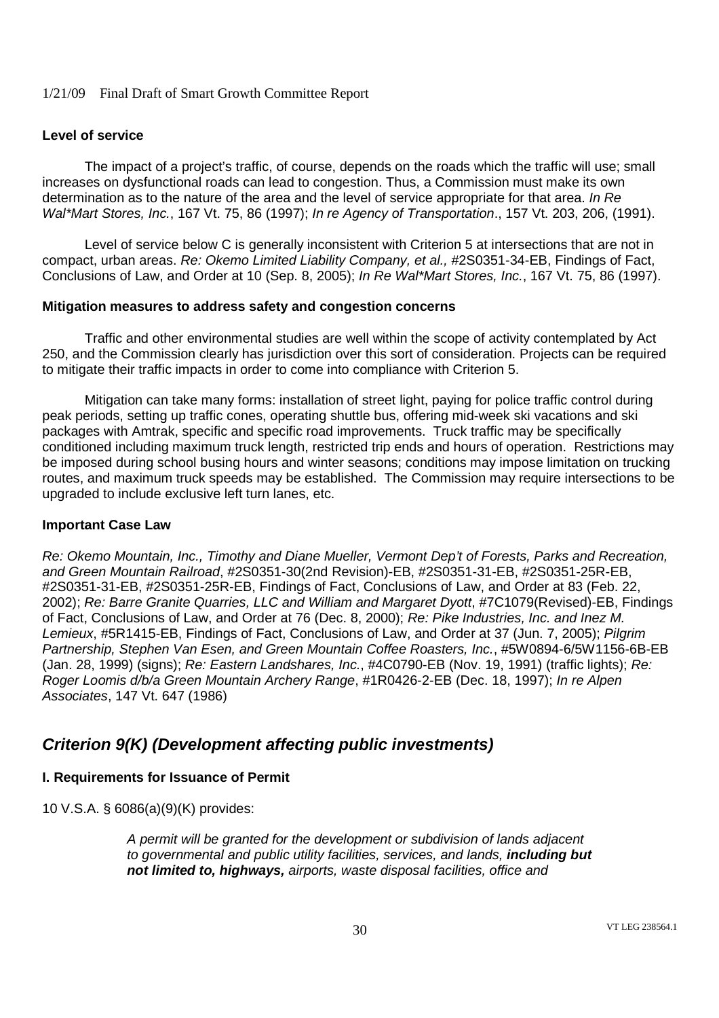# **Level of service**

The impact of a project's traffic, of course, depends on the roads which the traffic will use; small increases on dysfunctional roads can lead to congestion. Thus, a Commission must make its own determination as to the nature of the area and the level of service appropriate for that area. *In Re Wal\*Mart Stores, Inc.*, 167 Vt. 75, 86 (1997); *In re Agency of Transportation*., 157 Vt. 203, 206, (1991).

Level of service below C is generally inconsistent with Criterion 5 at intersections that are not in compact, urban areas. *Re: Okemo Limited Liability Company, et al.,* #2S0351-34-EB, Findings of Fact, Conclusions of Law, and Order at 10 (Sep. 8, 2005); *In Re Wal\*Mart Stores, Inc.*, 167 Vt. 75, 86 (1997).

#### **Mitigation measures to address safety and congestion concerns**

Traffic and other environmental studies are well within the scope of activity contemplated by Act 250, and the Commission clearly has jurisdiction over this sort of consideration. Projects can be required to mitigate their traffic impacts in order to come into compliance with Criterion 5.

Mitigation can take many forms: installation of street light, paying for police traffic control during peak periods, setting up traffic cones, operating shuttle bus, offering mid-week ski vacations and ski packages with Amtrak, specific and specific road improvements. Truck traffic may be specifically conditioned including maximum truck length, restricted trip ends and hours of operation. Restrictions may be imposed during school busing hours and winter seasons; conditions may impose limitation on trucking routes, and maximum truck speeds may be established. The Commission may require intersections to be upgraded to include exclusive left turn lanes, etc.

#### **Important Case Law**

*Re: Okemo Mountain, Inc., Timothy and Diane Mueller, Vermont Dep't of Forests, Parks and Recreation, and Green Mountain Railroad*, #2S0351-30(2nd Revision)-EB, #2S0351-31-EB, #2S0351-25R-EB, #2S0351-31-EB, #2S0351-25R-EB, Findings of Fact, Conclusions of Law, and Order at 83 (Feb. 22, 2002); *Re: Barre Granite Quarries, LLC and William and Margaret Dyott*, #7C1079(Revised)-EB, Findings of Fact, Conclusions of Law, and Order at 76 (Dec. 8, 2000); *Re: Pike Industries, Inc. and Inez M. Lemieux*, #5R1415-EB, Findings of Fact, Conclusions of Law, and Order at 37 (Jun. 7, 2005); *Pilgrim Partnership, Stephen Van Esen, and Green Mountain Coffee Roasters, Inc.*, #5W0894-6/5W1156-6B-EB (Jan. 28, 1999) (signs); *Re: Eastern Landshares, Inc.*, #4C0790-EB (Nov. 19, 1991) (traffic lights); *Re: Roger Loomis d/b/a Green Mountain Archery Range*, #1R0426-2-EB (Dec. 18, 1997); *In re Alpen Associates*, 147 Vt. 647 (1986)

# *Criterion 9(K) (Development affecting public investments)*

#### **I. Requirements for Issuance of Permit**

10 V.S.A. § 6086(a)(9)(K) provides:

*A permit will be granted for the development or subdivision of lands adjacent to governmental and public utility facilities, services, and lands, including but not limited to, highways, airports, waste disposal facilities, office and*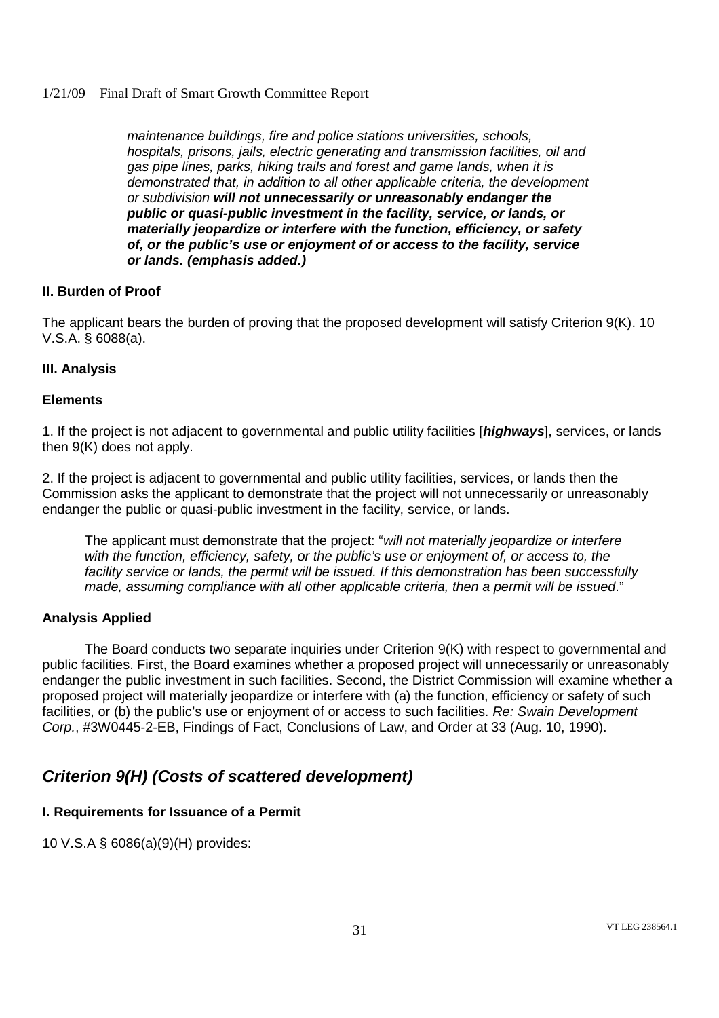*maintenance buildings, fire and police stations universities, schools, hospitals, prisons, jails, electric generating and transmission facilities, oil and gas pipe lines, parks, hiking trails and forest and game lands, when it is demonstrated that, in addition to all other applicable criteria, the development or subdivision will not unnecessarily or unreasonably endanger the public or quasi-public investment in the facility, service, or lands, or materially jeopardize or interfere with the function, efficiency, or safety of, or the public's use or enjoyment of or access to the facility, service or lands. (emphasis added.)*

# **II. Burden of Proof**

The applicant bears the burden of proving that the proposed development will satisfy Criterion 9(K). 10 V.S.A. § 6088(a).

# **III. Analysis**

# **Elements**

1. If the project is not adjacent to governmental and public utility facilities [*highways*], services, or lands then 9(K) does not apply.

2. If the project is adjacent to governmental and public utility facilities, services, or lands then the Commission asks the applicant to demonstrate that the project will not unnecessarily or unreasonably endanger the public or quasi-public investment in the facility, service, or lands.

The applicant must demonstrate that the project: "*will not materially jeopardize or interfere with the function, efficiency, safety, or the public's use or enjoyment of, or access to, the facility service or lands, the permit will be issued. If this demonstration has been successfully made, assuming compliance with all other applicable criteria, then a permit will be issued*."

#### **Analysis Applied**

The Board conducts two separate inquiries under Criterion 9(K) with respect to governmental and public facilities. First, the Board examines whether a proposed project will unnecessarily or unreasonably endanger the public investment in such facilities. Second, the District Commission will examine whether a proposed project will materially jeopardize or interfere with (a) the function, efficiency or safety of such facilities, or (b) the public's use or enjoyment of or access to such facilities. *Re: Swain Development Corp.*, #3W0445-2-EB, Findings of Fact, Conclusions of Law, and Order at 33 (Aug. 10, 1990).

# *Criterion 9(H) (Costs of scattered development)*

# **I. Requirements for Issuance of a Permit**

10 V.S.A § 6086(a)(9)(H) provides: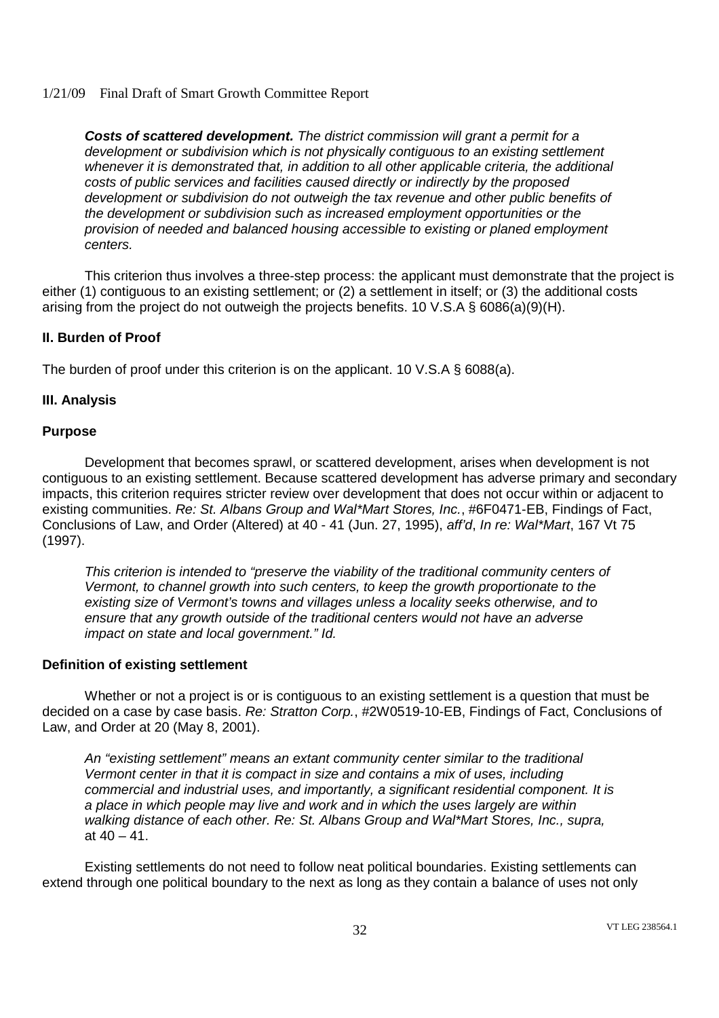*Costs of scattered development. The district commission will grant a permit for a development or subdivision which is not physically contiguous to an existing settlement whenever it is demonstrated that, in addition to all other applicable criteria, the additional costs of public services and facilities caused directly or indirectly by the proposed development or subdivision do not outweigh the tax revenue and other public benefits of the development or subdivision such as increased employment opportunities or the provision of needed and balanced housing accessible to existing or planed employment centers.*

This criterion thus involves a three-step process: the applicant must demonstrate that the project is either (1) contiguous to an existing settlement; or (2) a settlement in itself; or (3) the additional costs arising from the project do not outweigh the projects benefits. 10 V.S.A § 6086(a)(9)(H).

# **II. Burden of Proof**

The burden of proof under this criterion is on the applicant. 10 V.S.A  $\S$  6088(a).

# **III. Analysis**

#### **Purpose**

Development that becomes sprawl, or scattered development, arises when development is not contiguous to an existing settlement. Because scattered development has adverse primary and secondary impacts, this criterion requires stricter review over development that does not occur within or adjacent to existing communities. *Re: St. Albans Group and Wal\*Mart Stores, Inc.*, #6F0471-EB, Findings of Fact, Conclusions of Law, and Order (Altered) at 40 - 41 (Jun. 27, 1995), *aff'd*, *In re: Wal\*Mart*, 167 Vt 75 (1997).

*This criterion is intended to "preserve the viability of the traditional community centers of Vermont, to channel growth into such centers, to keep the growth proportionate to the existing size of Vermont's towns and villages unless a locality seeks otherwise, and to ensure that any growth outside of the traditional centers would not have an adverse impact on state and local government." Id.*

#### **Definition of existing settlement**

Whether or not a project is or is contiguous to an existing settlement is a question that must be decided on a case by case basis. *Re: Stratton Corp.*, #2W0519-10-EB, Findings of Fact, Conclusions of Law, and Order at 20 (May 8, 2001).

*An "existing settlement" means an extant community center similar to the traditional Vermont center in that it is compact in size and contains a mix of uses, including commercial and industrial uses, and importantly, a significant residential component. It is a place in which people may live and work and in which the uses largely are within walking distance of each other. Re: St. Albans Group and Wal\*Mart Stores, Inc., supra,* at  $40 - 41$ .

Existing settlements do not need to follow neat political boundaries. Existing settlements can extend through one political boundary to the next as long as they contain a balance of uses not only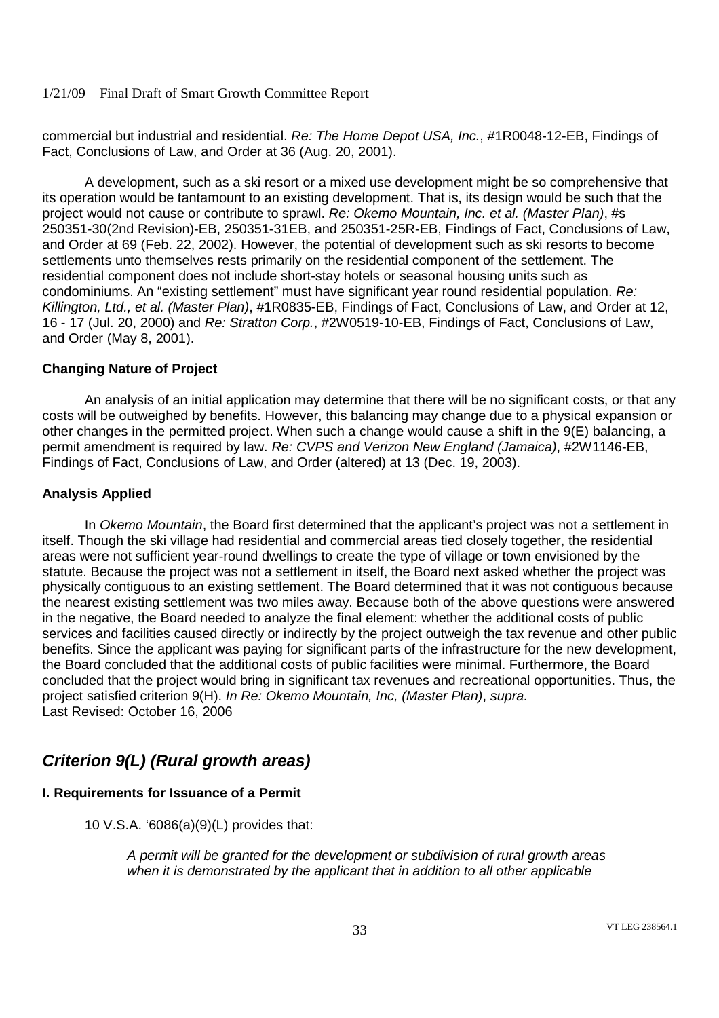commercial but industrial and residential. *Re: The Home Depot USA, Inc.*, #1R0048-12-EB, Findings of Fact, Conclusions of Law, and Order at 36 (Aug. 20, 2001).

A development, such as a ski resort or a mixed use development might be so comprehensive that its operation would be tantamount to an existing development. That is, its design would be such that the project would not cause or contribute to sprawl. *Re: Okemo Mountain, Inc. et al. (Master Plan)*, #s 250351-30(2nd Revision)-EB, 250351-31EB, and 250351-25R-EB, Findings of Fact, Conclusions of Law, and Order at 69 (Feb. 22, 2002). However, the potential of development such as ski resorts to become settlements unto themselves rests primarily on the residential component of the settlement. The residential component does not include short-stay hotels or seasonal housing units such as condominiums. An "existing settlement" must have significant year round residential population. *Re: Killington, Ltd., et al. (Master Plan)*, #1R0835-EB, Findings of Fact, Conclusions of Law, and Order at 12, 16 - 17 (Jul. 20, 2000) and *Re: Stratton Corp.*, #2W0519-10-EB, Findings of Fact, Conclusions of Law, and Order (May 8, 2001).

# **Changing Nature of Project**

An analysis of an initial application may determine that there will be no significant costs, or that any costs will be outweighed by benefits. However, this balancing may change due to a physical expansion or other changes in the permitted project. When such a change would cause a shift in the 9(E) balancing, a permit amendment is required by law. *Re: CVPS and Verizon New England (Jamaica)*, #2W1146-EB, Findings of Fact, Conclusions of Law, and Order (altered) at 13 (Dec. 19, 2003).

# **Analysis Applied**

In *Okemo Mountain*, the Board first determined that the applicant's project was not a settlement in itself. Though the ski village had residential and commercial areas tied closely together, the residential areas were not sufficient year-round dwellings to create the type of village or town envisioned by the statute. Because the project was not a settlement in itself, the Board next asked whether the project was physically contiguous to an existing settlement. The Board determined that it was not contiguous because the nearest existing settlement was two miles away. Because both of the above questions were answered in the negative, the Board needed to analyze the final element: whether the additional costs of public services and facilities caused directly or indirectly by the project outweigh the tax revenue and other public benefits. Since the applicant was paying for significant parts of the infrastructure for the new development, the Board concluded that the additional costs of public facilities were minimal. Furthermore, the Board concluded that the project would bring in significant tax revenues and recreational opportunities. Thus, the project satisfied criterion 9(H). *In Re: Okemo Mountain, Inc, (Master Plan)*, *supra.* Last Revised: October 16, 2006

# *Criterion 9(L) (Rural growth areas)*

# **I. Requirements for Issuance of a Permit**

10 V.S.A. '6086(a)(9)(L) provides that:

*A permit will be granted for the development or subdivision of rural growth areas when it is demonstrated by the applicant that in addition to all other applicable*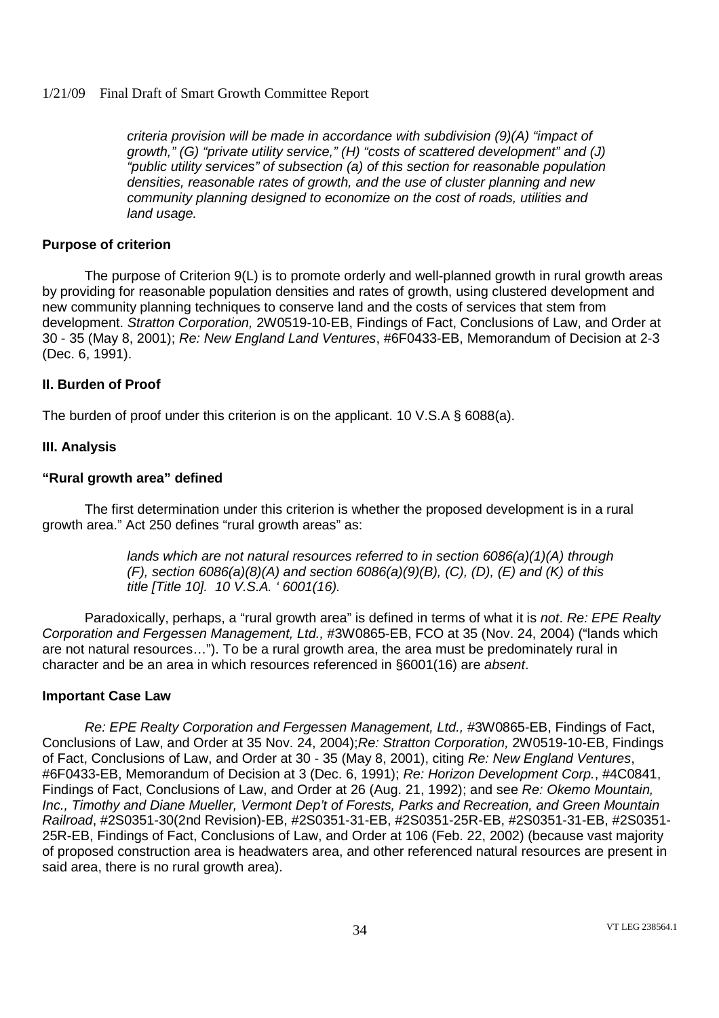*criteria provision will be made in accordance with subdivision (9)(A) "impact of growth," (G) "private utility service," (H) "costs of scattered development" and (J) "public utility services" of subsection (a) of this section for reasonable population densities, reasonable rates of growth, and the use of cluster planning and new community planning designed to economize on the cost of roads, utilities and land usage.*

## **Purpose of criterion**

The purpose of Criterion 9(L) is to promote orderly and well-planned growth in rural growth areas by providing for reasonable population densities and rates of growth, using clustered development and new community planning techniques to conserve land and the costs of services that stem from development. *Stratton Corporation,* 2W0519-10-EB, Findings of Fact, Conclusions of Law, and Order at 30 - 35 (May 8, 2001); *Re: New England Land Ventures*, #6F0433-EB, Memorandum of Decision at 2-3 (Dec. 6, 1991).

# **II. Burden of Proof**

The burden of proof under this criterion is on the applicant. 10 V.S.A § 6088(a).

# **III. Analysis**

# **"Rural growth area" defined**

The first determination under this criterion is whether the proposed development is in a rural growth area." Act 250 defines "rural growth areas" as:

> *lands which are not natural resources referred to in section 6086(a)(1)(A) through (F), section 6086(a)(8)(A) and section 6086(a)(9)(B), (C), (D), (E) and (K) of this title [Title 10]. 10 V.S.A. ' 6001(16).*

Paradoxically, perhaps, a "rural growth area" is defined in terms of what it is *not*. *Re: EPE Realty Corporation and Fergessen Management, Ltd.,* #3W0865-EB, FCO at 35 (Nov. 24, 2004) ("lands which are not natural resources…"). To be a rural growth area, the area must be predominately rural in character and be an area in which resources referenced in §6001(16) are *absent*.

#### **Important Case Law**

*Re: EPE Realty Corporation and Fergessen Management, Ltd.,* #3W0865-EB, Findings of Fact, Conclusions of Law, and Order at 35 Nov. 24, 2004);*Re: Stratton Corporation,* 2W0519-10-EB, Findings of Fact, Conclusions of Law, and Order at 30 - 35 (May 8, 2001), citing *Re: New England Ventures*, #6F0433-EB, Memorandum of Decision at 3 (Dec. 6, 1991); *Re: Horizon Development Corp.*, #4C0841, Findings of Fact, Conclusions of Law, and Order at 26 (Aug. 21, 1992); and see *Re: Okemo Mountain, Inc., Timothy and Diane Mueller, Vermont Dep't of Forests, Parks and Recreation, and Green Mountain Railroad*, #2S0351-30(2nd Revision)-EB, #2S0351-31-EB, #2S0351-25R-EB, #2S0351-31-EB, #2S0351- 25R-EB, Findings of Fact, Conclusions of Law, and Order at 106 (Feb. 22, 2002) (because vast majority of proposed construction area is headwaters area, and other referenced natural resources are present in said area, there is no rural growth area).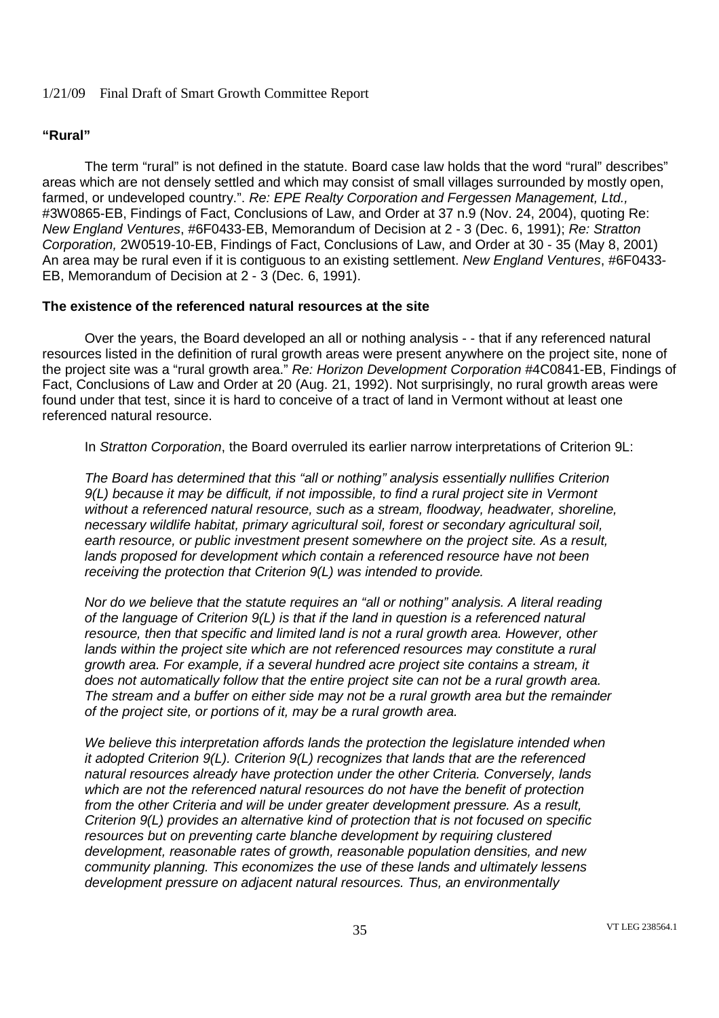# **"Rural"**

The term "rural" is not defined in the statute. Board case law holds that the word "rural" describes" areas which are not densely settled and which may consist of small villages surrounded by mostly open, farmed, or undeveloped country.". *Re: EPE Realty Corporation and Fergessen Management, Ltd.,* #3W0865-EB, Findings of Fact, Conclusions of Law, and Order at 37 n.9 (Nov. 24, 2004), quoting Re: *New England Ventures*, #6F0433-EB, Memorandum of Decision at 2 - 3 (Dec. 6, 1991); *Re: Stratton Corporation,* 2W0519-10-EB, Findings of Fact, Conclusions of Law, and Order at 30 - 35 (May 8, 2001) An area may be rural even if it is contiguous to an existing settlement. *New England Ventures*, #6F0433- EB, Memorandum of Decision at 2 - 3 (Dec. 6, 1991).

#### **The existence of the referenced natural resources at the site**

Over the years, the Board developed an all or nothing analysis - - that if any referenced natural resources listed in the definition of rural growth areas were present anywhere on the project site, none of the project site was a "rural growth area." *Re: Horizon Development Corporation* #4C0841-EB, Findings of Fact, Conclusions of Law and Order at 20 (Aug. 21, 1992). Not surprisingly, no rural growth areas were found under that test, since it is hard to conceive of a tract of land in Vermont without at least one referenced natural resource.

In *Stratton Corporation*, the Board overruled its earlier narrow interpretations of Criterion 9L:

*The Board has determined that this "all or nothing" analysis essentially nullifies Criterion 9(L) because it may be difficult, if not impossible, to find a rural project site in Vermont without a referenced natural resource, such as a stream, floodway, headwater, shoreline, necessary wildlife habitat, primary agricultural soil, forest or secondary agricultural soil, earth resource, or public investment present somewhere on the project site. As a result, lands proposed for development which contain a referenced resource have not been receiving the protection that Criterion 9(L) was intended to provide.*

*Nor do we believe that the statute requires an "all or nothing" analysis. A literal reading of the language of Criterion 9(L) is that if the land in question is a referenced natural resource, then that specific and limited land is not a rural growth area. However, other lands within the project site which are not referenced resources may constitute a rural growth area. For example, if a several hundred acre project site contains a stream, it does not automatically follow that the entire project site can not be a rural growth area. The stream and a buffer on either side may not be a rural growth area but the remainder of the project site, or portions of it, may be a rural growth area.*

*We believe this interpretation affords lands the protection the legislature intended when it adopted Criterion 9(L). Criterion 9(L) recognizes that lands that are the referenced natural resources already have protection under the other Criteria. Conversely, lands which are not the referenced natural resources do not have the benefit of protection from the other Criteria and will be under greater development pressure. As a result, Criterion 9(L) provides an alternative kind of protection that is not focused on specific resources but on preventing carte blanche development by requiring clustered development, reasonable rates of growth, reasonable population densities, and new community planning. This economizes the use of these lands and ultimately lessens development pressure on adjacent natural resources. Thus, an environmentally*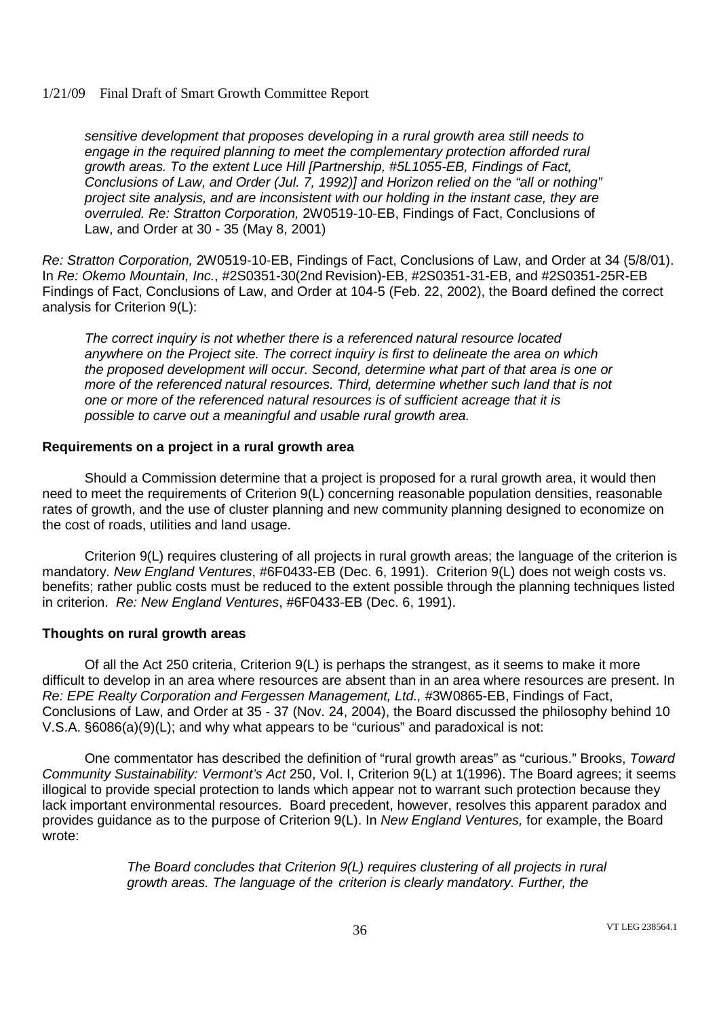*sensitive development that proposes developing in a rural growth area still needs to engage in the required planning to meet the complementary protection afforded rural growth areas. To the extent Luce Hill [Partnership, #5L1055-EB, Findings of Fact, Conclusions of Law, and Order (Jul. 7, 1992)] and Horizon relied on the "all or nothing" project site analysis, and are inconsistent with our holding in the instant case, they are overruled. Re: Stratton Corporation,* 2W0519-10-EB, Findings of Fact, Conclusions of Law, and Order at 30 - 35 (May 8, 2001)

*Re: Stratton Corporation,* 2W0519-10-EB, Findings of Fact, Conclusions of Law, and Order at 34 (5/8/01). In *Re: Okemo Mountain, Inc.*, #2S0351-30(2nd Revision)-EB, #2S0351-31-EB, and #2S0351-25R-EB Findings of Fact, Conclusions of Law, and Order at 104-5 (Feb. 22, 2002), the Board defined the correct analysis for Criterion 9(L):

*The correct inquiry is not whether there is a referenced natural resource located anywhere on the Project site. The correct inquiry is first to delineate the area on which the proposed development will occur. Second, determine what part of that area is one or more of the referenced natural resources. Third, determine whether such land that is not one or more of the referenced natural resources is of sufficient acreage that it is possible to carve out a meaningful and usable rural growth area.*

#### **Requirements on a project in a rural growth area**

Should a Commission determine that a project is proposed for a rural growth area, it would then need to meet the requirements of Criterion 9(L) concerning reasonable population densities, reasonable rates of growth, and the use of cluster planning and new community planning designed to economize on the cost of roads, utilities and land usage.

Criterion 9(L) requires clustering of all projects in rural growth areas; the language of the criterion is mandatory. *New England Ventures*, #6F0433-EB (Dec. 6, 1991). Criterion 9(L) does not weigh costs vs. benefits; rather public costs must be reduced to the extent possible through the planning techniques listed in criterion. *Re: New England Ventures*, #6F0433-EB (Dec. 6, 1991).

#### **Thoughts on rural growth areas**

Of all the Act 250 criteria, Criterion 9(L) is perhaps the strangest, as it seems to make it more difficult to develop in an area where resources are absent than in an area where resources are present. In *Re: EPE Realty Corporation and Fergessen Management, Ltd.,* #3W0865-EB, Findings of Fact, Conclusions of Law, and Order at 35 - 37 (Nov. 24, 2004), the Board discussed the philosophy behind 10 V.S.A. §6086(a)(9)(L); and why what appears to be "curious" and paradoxical is not:

One commentator has described the definition of "rural growth areas" as "curious." Brooks, *Toward Community Sustainability: Vermont's Act* 250, Vol. I, Criterion 9(L) at 1(1996). The Board agrees; it seems illogical to provide special protection to lands which appear not to warrant such protection because they lack important environmental resources. Board precedent, however, resolves this apparent paradox and provides guidance as to the purpose of Criterion 9(L). In *New England Ventures,* for example, the Board wrote:

> *The Board concludes that Criterion 9(L) requires clustering of all projects in rural growth areas. The language of the criterion is clearly mandatory. Further, the*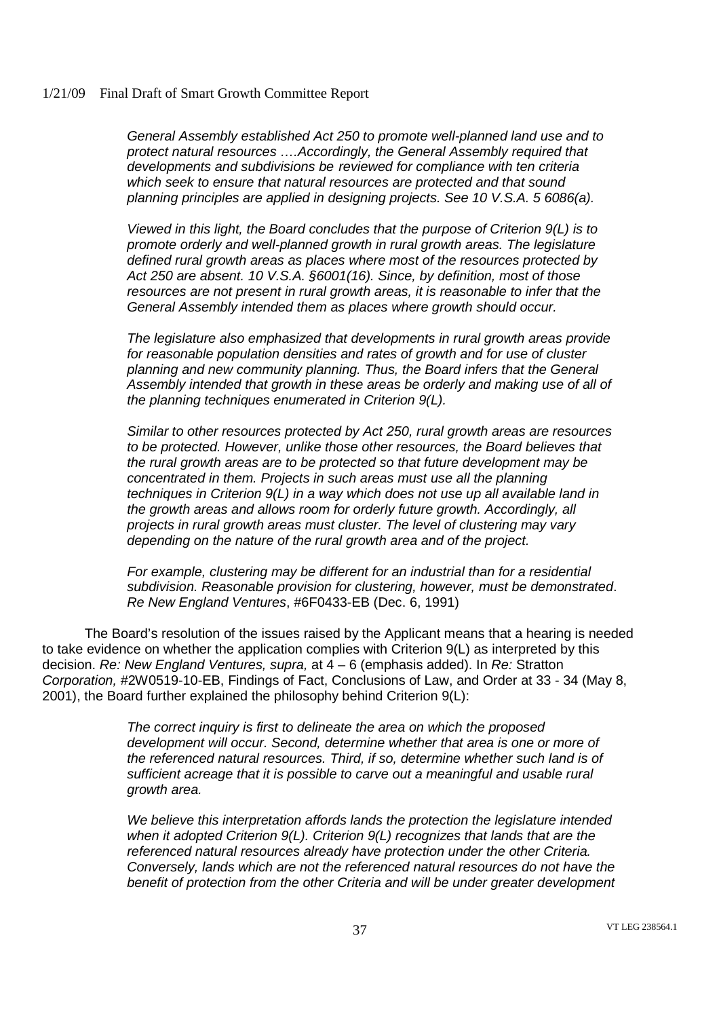*General Assembly established Act 250 to promote well-planned land use and to protect natural resources ….Accordingly, the General Assembly required that developments and subdivisions be reviewed for compliance with ten criteria which seek to ensure that natural resources are protected and that sound planning principles are applied in designing projects. See 10 V.S.A. 5 6086(a).*

*Viewed in this light, the Board concludes that the purpose of Criterion 9(L) is to promote orderly and well-planned growth in rural growth areas. The legislature defined rural growth areas as places where most of the resources protected by Act 250 are absent. 10 V.S.A. §6001(16). Since, by definition, most of those resources are not present in rural growth areas, it is reasonable to infer that the General Assembly intended them as places where growth should occur.*

*The legislature also emphasized that developments in rural growth areas provide for reasonable population densities and rates of growth and for use of cluster planning and new community planning. Thus, the Board infers that the General Assembly intended that growth in these areas be orderly and making use of all of the planning techniques enumerated in Criterion 9(L).*

*Similar to other resources protected by Act 250, rural growth areas are resources to be protected. However, unlike those other resources, the Board believes that the rural growth areas are to be protected so that future development may be concentrated in them. Projects in such areas must use all the planning techniques in Criterion 9(L) in a way which does not use up all available land in the growth areas and allows room for orderly future growth. Accordingly, all projects in rural growth areas must cluster. The level of clustering may vary depending on the nature of the rural growth area and of the project.*

*For example, clustering may be different for an industrial than for a residential subdivision. Reasonable provision for clustering, however, must be demonstrated*. *Re New England Ventures*, #6F0433-EB (Dec. 6, 1991)

The Board's resolution of the issues raised by the Applicant means that a hearing is needed to take evidence on whether the application complies with Criterion 9(L) as interpreted by this decision. *Re: New England Ventures, supra,* at 4 – 6 (emphasis added). In *Re:* Stratton *Corporation, #*2W0519-10-EB, Findings of Fact, Conclusions of Law, and Order at 33 - 34 (May 8, 2001), the Board further explained the philosophy behind Criterion 9(L):

> *The correct inquiry is first to delineate the area on which the proposed development will occur. Second, determine whether that area is one or more of the referenced natural resources. Third, if so, determine whether such land is of sufficient acreage that it is possible to carve out a meaningful and usable rural growth area.*

*We believe this interpretation affords lands the protection the legislature intended when it adopted Criterion 9(L). Criterion 9(L) recognizes that lands that are the referenced natural resources already have protection under the other Criteria. Conversely, lands which are not the referenced natural resources do not have the benefit of protection from the other Criteria and will be under greater development*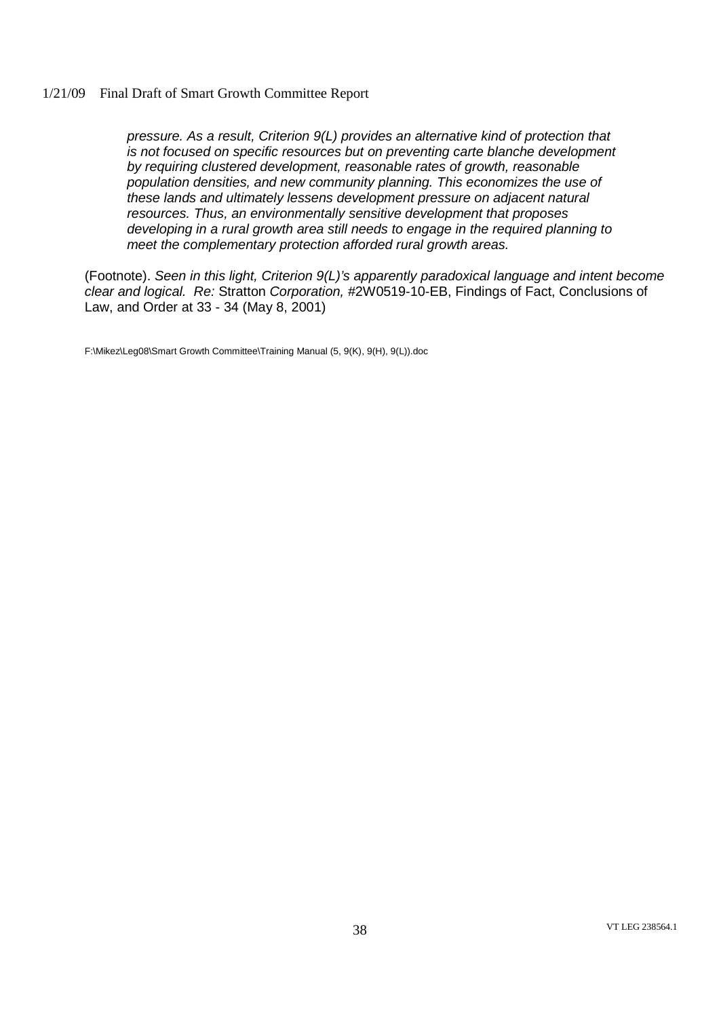*pressure. As a result, Criterion 9(L) provides an alternative kind of protection that is not focused on specific resources but on preventing carte blanche development by requiring clustered development, reasonable rates of growth, reasonable population densities, and new community planning. This economizes the use of these lands and ultimately lessens development pressure on adjacent natural resources. Thus, an environmentally sensitive development that proposes developing in a rural growth area still needs to engage in the required planning to meet the complementary protection afforded rural growth areas.*

(Footnote). *Seen in this light, Criterion 9(L)'s apparently paradoxical language and intent become clear and logical. Re:* Stratton *Corporation, #*2W0519-10-EB, Findings of Fact, Conclusions of Law, and Order at 33 - 34 (May 8, 2001)

F:\Mikez\Leg08\Smart Growth Committee\Training Manual (5, 9(K), 9(H), 9(L)).doc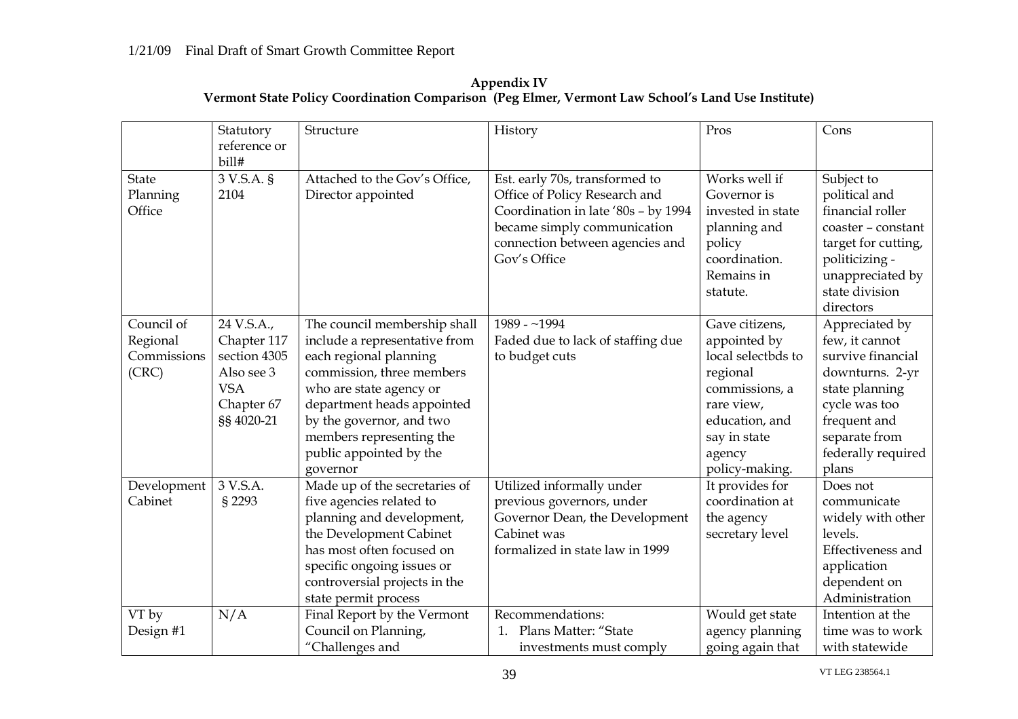|              | Statutory<br>reference or | Structure                     | History                             | Pros               | Cons                |
|--------------|---------------------------|-------------------------------|-------------------------------------|--------------------|---------------------|
| <b>State</b> | bill#<br>3 V.S.A. §       | Attached to the Gov's Office, | Est. early 70s, transformed to      | Works well if      | Subject to          |
| Planning     | 2104                      | Director appointed            | Office of Policy Research and       | Governor is        | political and       |
| Office       |                           |                               | Coordination in late '80s - by 1994 | invested in state  | financial roller    |
|              |                           |                               | became simply communication         | planning and       | coaster - constant  |
|              |                           |                               | connection between agencies and     | policy             | target for cutting, |
|              |                           |                               | Gov's Office                        | coordination.      | politicizing -      |
|              |                           |                               |                                     | Remains in         | unappreciated by    |
|              |                           |                               |                                     | statute.           | state division      |
|              |                           |                               |                                     |                    | directors           |
| Council of   | 24 V.S.A.,                | The council membership shall  | 1989 - $~1994$                      | Gave citizens,     | Appreciated by      |
| Regional     | Chapter 117               | include a representative from | Faded due to lack of staffing due   | appointed by       | few, it cannot      |
| Commissions  | section 4305              | each regional planning        | to budget cuts                      | local selectbds to | survive financial   |
| (CRC)        | Also see 3                | commission, three members     |                                     | regional           | downturns. 2-yr     |
|              | <b>VSA</b>                | who are state agency or       |                                     | commissions, a     | state planning      |
|              | Chapter 67                | department heads appointed    |                                     | rare view,         | cycle was too       |
|              | §§ 4020-21                | by the governor, and two      |                                     | education, and     | frequent and        |
|              |                           | members representing the      |                                     | say in state       | separate from       |
|              |                           | public appointed by the       |                                     | agency             | federally required  |
|              |                           | governor                      |                                     | policy-making.     | plans               |
| Development  | 3 V.S.A.                  | Made up of the secretaries of | Utilized informally under           | It provides for    | Does not            |
| Cabinet      | § 2293                    | five agencies related to      | previous governors, under           | coordination at    | communicate         |
|              |                           | planning and development,     | Governor Dean, the Development      | the agency         | widely with other   |
|              |                           | the Development Cabinet       | Cabinet was                         | secretary level    | levels.             |
|              |                           | has most often focused on     | formalized in state law in 1999     |                    | Effectiveness and   |
|              |                           | specific ongoing issues or    |                                     |                    | application         |
|              |                           | controversial projects in the |                                     |                    | dependent on        |
|              |                           | state permit process          |                                     |                    | Administration      |
| VT by        | N/A                       | Final Report by the Vermont   | Recommendations:                    | Would get state    | Intention at the    |
| Design #1    |                           | Council on Planning,          | Plans Matter: "State<br>1.          | agency planning    | time was to work    |
|              |                           | "Challenges and               | investments must comply             | going again that   | with statewide      |

**Appendix IV Vermont State Policy Coordination Comparison (Peg Elmer, Vermont Law School's Land Use Institute)**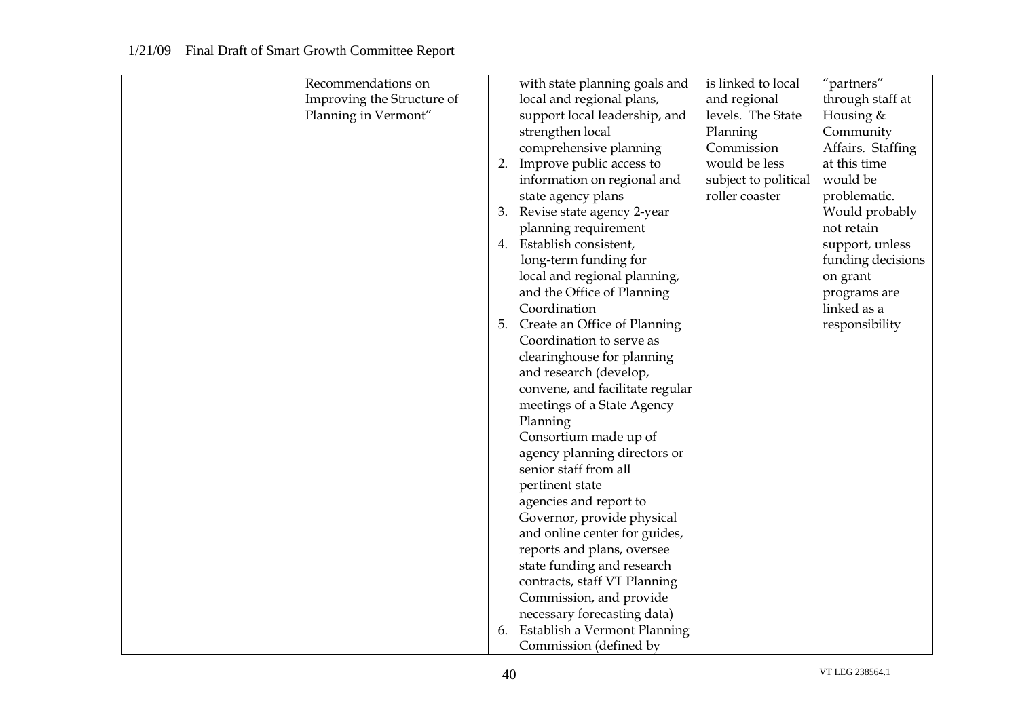| Recommendations on         |    | with state planning goals and   | is linked to local   | "partners"        |
|----------------------------|----|---------------------------------|----------------------|-------------------|
| Improving the Structure of |    | local and regional plans,       | and regional         | through staff at  |
| Planning in Vermont"       |    | support local leadership, and   | levels. The State    | Housing &         |
|                            |    | strengthen local                | Planning             | Community         |
|                            |    | comprehensive planning          | Commission           | Affairs. Staffing |
|                            |    | 2. Improve public access to     | would be less        | at this time      |
|                            |    | information on regional and     | subject to political | would be          |
|                            |    | state agency plans              | roller coaster       | problematic.      |
|                            |    | 3. Revise state agency 2-year   |                      | Would probably    |
|                            |    | planning requirement            |                      | not retain        |
|                            |    | 4. Establish consistent,        |                      | support, unless   |
|                            |    | long-term funding for           |                      | funding decisions |
|                            |    | local and regional planning,    |                      | on grant          |
|                            |    | and the Office of Planning      |                      | programs are      |
|                            |    | Coordination                    |                      | linked as a       |
|                            | 5. | Create an Office of Planning    |                      | responsibility    |
|                            |    | Coordination to serve as        |                      |                   |
|                            |    | clearinghouse for planning      |                      |                   |
|                            |    | and research (develop,          |                      |                   |
|                            |    | convene, and facilitate regular |                      |                   |
|                            |    | meetings of a State Agency      |                      |                   |
|                            |    | Planning                        |                      |                   |
|                            |    | Consortium made up of           |                      |                   |
|                            |    | agency planning directors or    |                      |                   |
|                            |    | senior staff from all           |                      |                   |
|                            |    | pertinent state                 |                      |                   |
|                            |    | agencies and report to          |                      |                   |
|                            |    | Governor, provide physical      |                      |                   |
|                            |    | and online center for guides,   |                      |                   |
|                            |    | reports and plans, oversee      |                      |                   |
|                            |    | state funding and research      |                      |                   |
|                            |    | contracts, staff VT Planning    |                      |                   |
|                            |    | Commission, and provide         |                      |                   |
|                            |    | necessary forecasting data)     |                      |                   |
|                            | 6. | Establish a Vermont Planning    |                      |                   |
|                            |    | Commission (defined by          |                      |                   |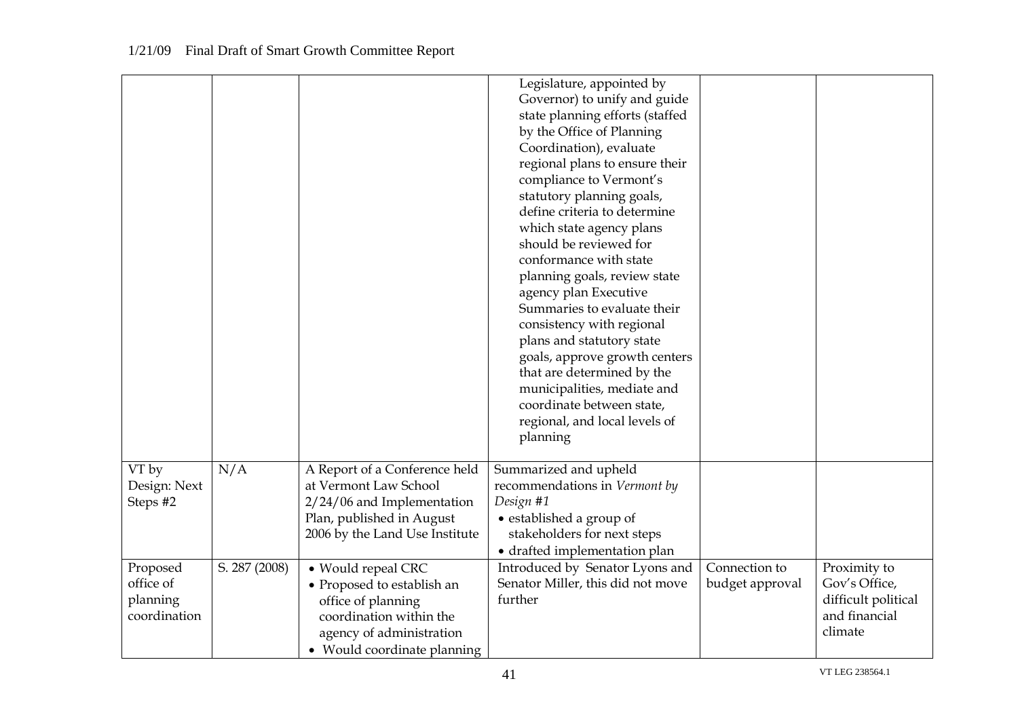|              |               |                                | Legislature, appointed by         |                 |                     |
|--------------|---------------|--------------------------------|-----------------------------------|-----------------|---------------------|
|              |               |                                | Governor) to unify and guide      |                 |                     |
|              |               |                                | state planning efforts (staffed   |                 |                     |
|              |               |                                | by the Office of Planning         |                 |                     |
|              |               |                                | Coordination), evaluate           |                 |                     |
|              |               |                                | regional plans to ensure their    |                 |                     |
|              |               |                                | compliance to Vermont's           |                 |                     |
|              |               |                                | statutory planning goals,         |                 |                     |
|              |               |                                | define criteria to determine      |                 |                     |
|              |               |                                | which state agency plans          |                 |                     |
|              |               |                                | should be reviewed for            |                 |                     |
|              |               |                                | conformance with state            |                 |                     |
|              |               |                                | planning goals, review state      |                 |                     |
|              |               |                                | agency plan Executive             |                 |                     |
|              |               |                                | Summaries to evaluate their       |                 |                     |
|              |               |                                | consistency with regional         |                 |                     |
|              |               |                                | plans and statutory state         |                 |                     |
|              |               |                                | goals, approve growth centers     |                 |                     |
|              |               |                                | that are determined by the        |                 |                     |
|              |               |                                | municipalities, mediate and       |                 |                     |
|              |               |                                | coordinate between state,         |                 |                     |
|              |               |                                | regional, and local levels of     |                 |                     |
|              |               |                                | planning                          |                 |                     |
|              |               |                                |                                   |                 |                     |
| VT by        | N/A           | A Report of a Conference held  | Summarized and upheld             |                 |                     |
| Design: Next |               | at Vermont Law School          | recommendations in Vermont by     |                 |                     |
| Steps #2     |               | $2/24/06$ and Implementation   | Design #1                         |                 |                     |
|              |               | Plan, published in August      | • established a group of          |                 |                     |
|              |               | 2006 by the Land Use Institute | stakeholders for next steps       |                 |                     |
|              |               |                                | • drafted implementation plan     |                 |                     |
| Proposed     | S. 287 (2008) | • Would repeal CRC             | Introduced by Senator Lyons and   | Connection to   | Proximity to        |
| office of    |               | • Proposed to establish an     | Senator Miller, this did not move | budget approval | Gov's Office,       |
| planning     |               | office of planning             | further                           |                 | difficult political |
| coordination |               | coordination within the        |                                   |                 | and financial       |
|              |               | agency of administration       |                                   |                 | climate             |
|              |               | • Would coordinate planning    |                                   |                 |                     |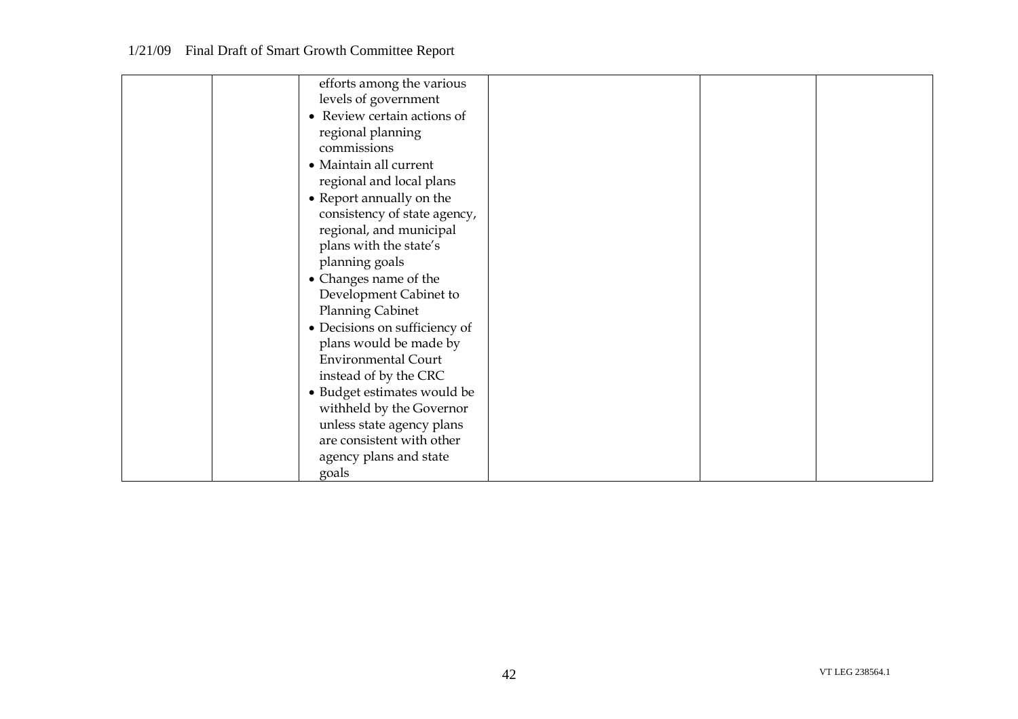| efforts among the various     |  |
|-------------------------------|--|
| levels of government          |  |
| • Review certain actions of   |  |
|                               |  |
| regional planning             |  |
| commissions                   |  |
| • Maintain all current        |  |
| regional and local plans      |  |
| • Report annually on the      |  |
| consistency of state agency,  |  |
| regional, and municipal       |  |
| plans with the state's        |  |
| planning goals                |  |
| • Changes name of the         |  |
| Development Cabinet to        |  |
| <b>Planning Cabinet</b>       |  |
| • Decisions on sufficiency of |  |
| plans would be made by        |  |
| <b>Environmental Court</b>    |  |
| instead of by the CRC         |  |
| • Budget estimates would be   |  |
| withheld by the Governor      |  |
| unless state agency plans     |  |
| are consistent with other     |  |
| agency plans and state        |  |
| goals                         |  |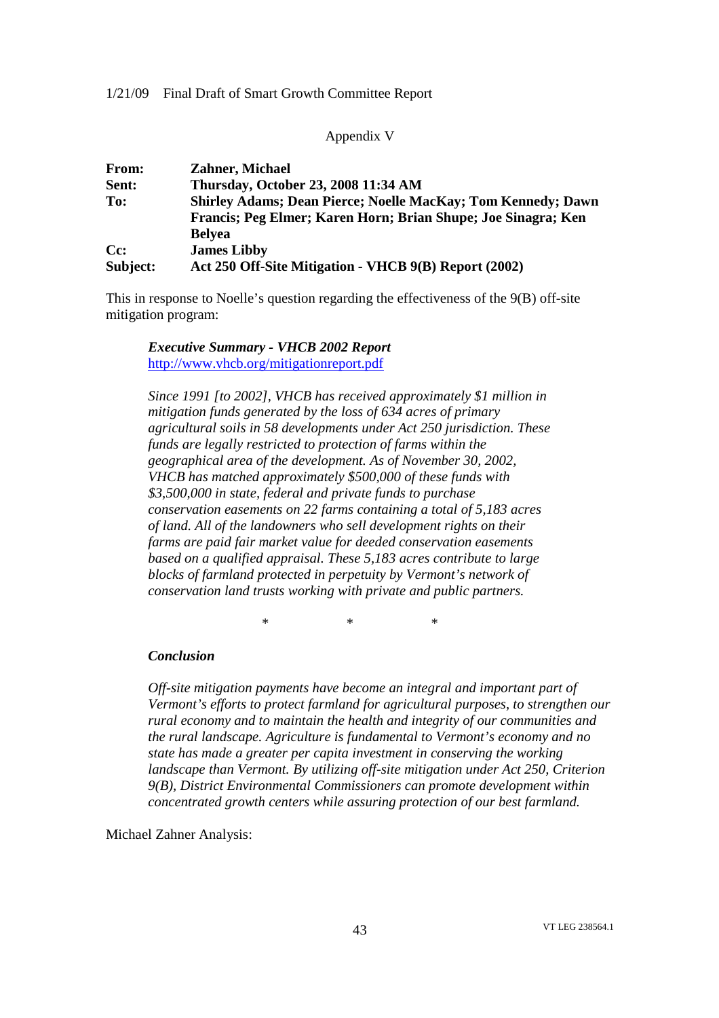Appendix V

| From:    | <b>Zahner, Michael</b>                                              |
|----------|---------------------------------------------------------------------|
| Sent:    | Thursday, October 23, 2008 11:34 AM                                 |
| To:      | <b>Shirley Adams; Dean Pierce; Noelle MacKay; Tom Kennedy; Dawn</b> |
|          | Francis; Peg Elmer; Karen Horn; Brian Shupe; Joe Sinagra; Ken       |
|          | <b>Belyea</b>                                                       |
| Cc:      | <b>James Libby</b>                                                  |
| Subject: | Act 250 Off-Site Mitigation - VHCB 9(B) Report (2002)               |

This in response to Noelle's question regarding the effectiveness of the 9(B) off-site mitigation program:

# *Executive Summary - VHCB 2002 Report* http://www.vhcb.org/mitigationreport.pdf

*Since 1991 [to 2002], VHCB has received approximately \$1 million in mitigation funds generated by the loss of 634 acres of primary agricultural soils in 58 developments under Act 250 jurisdiction. These funds are legally restricted to protection of farms within the geographical area of the development. As of November 30, 2002, VHCB has matched approximately \$500,000 of these funds with \$3,500,000 in state, federal and private funds to purchase conservation easements on 22 farms containing a total of 5,183 acres of land. All of the landowners who sell development rights on their farms are paid fair market value for deeded conservation easements based on a qualified appraisal. These 5,183 acres contribute to large blocks of farmland protected in perpetuity by Vermont's network of conservation land trusts working with private and public partners.*

*\* \* \**

#### *Conclusion*

*Off-site mitigation payments have become an integral and important part of Vermont's efforts to protect farmland for agricultural purposes, to strengthen our rural economy and to maintain the health and integrity of our communities and the rural landscape. Agriculture is fundamental to Vermont's economy and no state has made a greater per capita investment in conserving the working landscape than Vermont. By utilizing off-site mitigation under Act 250, Criterion 9(B), District Environmental Commissioners can promote development within concentrated growth centers while assuring protection of our best farmland.*

Michael Zahner Analysis: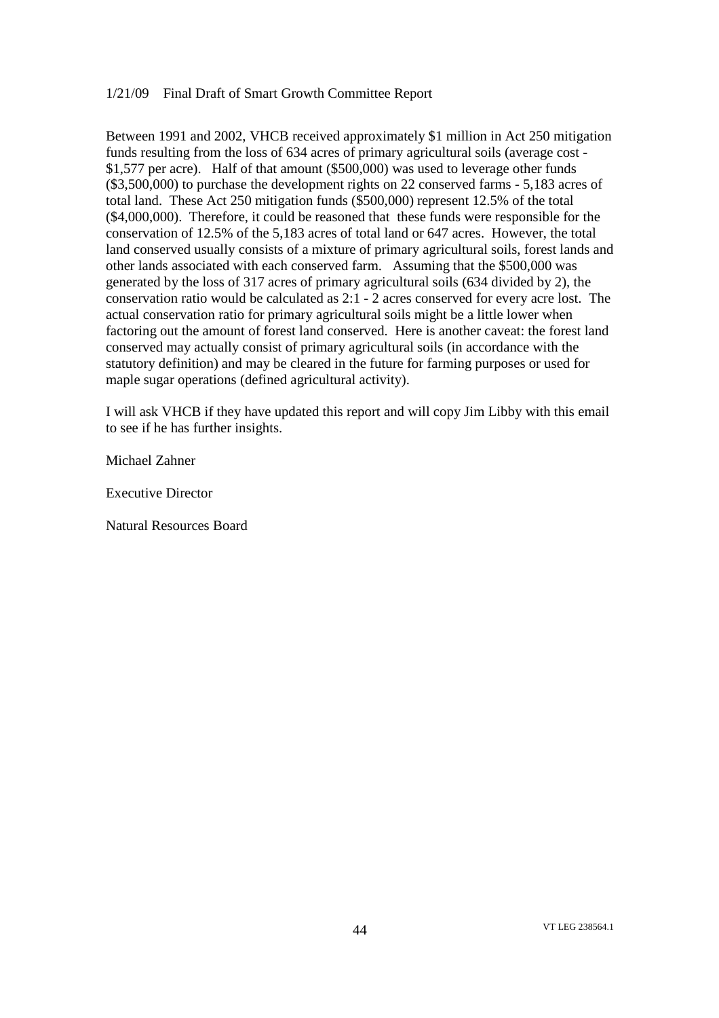Between 1991 and 2002, VHCB received approximately \$1 million in Act 250 mitigation funds resulting from the loss of 634 acres of primary agricultural soils (average cost - \$1,577 per acre). Half of that amount (\$500,000) was used to leverage other funds (\$3,500,000) to purchase the development rights on 22 conserved farms - 5,183 acres of total land. These Act 250 mitigation funds (\$500,000) represent 12.5% of the total (\$4,000,000). Therefore, it could be reasoned that these funds were responsible for the conservation of 12.5% of the 5,183 acres of total land or 647 acres. However, the total land conserved usually consists of a mixture of primary agricultural soils, forest lands and other lands associated with each conserved farm. Assuming that the \$500,000 was generated by the loss of 317 acres of primary agricultural soils (634 divided by 2), the conservation ratio would be calculated as 2:1 - 2 acres conserved for every acre lost. The actual conservation ratio for primary agricultural soils might be a little lower when factoring out the amount of forest land conserved. Here is another caveat: the forest land conserved may actually consist of primary agricultural soils (in accordance with the statutory definition) and may be cleared in the future for farming purposes or used for maple sugar operations (defined agricultural activity).

I will ask VHCB if they have updated this report and will copy Jim Libby with this email to see if he has further insights.

Michael Zahner

Executive Director

Natural Resources Board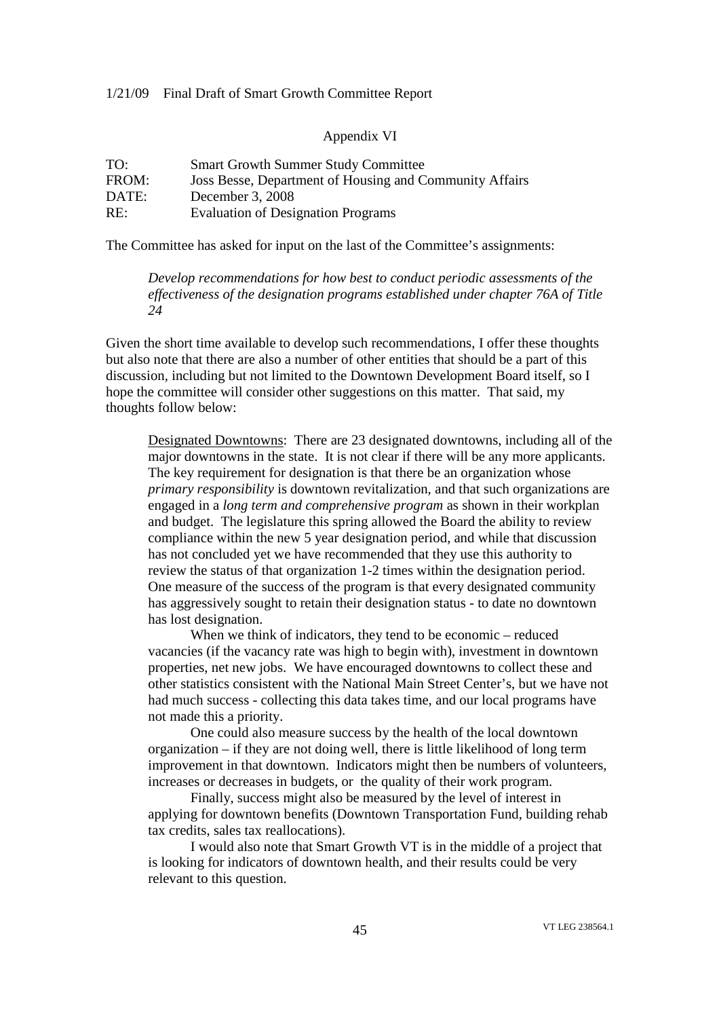#### Appendix VI

| TO:   | <b>Smart Growth Summer Study Committee</b>              |
|-------|---------------------------------------------------------|
| FROM: | Joss Besse, Department of Housing and Community Affairs |
| DATE: | December 3, 2008                                        |
| RE:   | <b>Evaluation of Designation Programs</b>               |

The Committee has asked for input on the last of the Committee's assignments:

*Develop recommendations for how best to conduct periodic assessments of the effectiveness of the designation programs established under chapter 76A of Title 24*

Given the short time available to develop such recommendations, I offer these thoughts but also note that there are also a number of other entities that should be a part of this discussion, including but not limited to the Downtown Development Board itself, so I hope the committee will consider other suggestions on this matter. That said, my thoughts follow below:

Designated Downtowns: There are 23 designated downtowns, including all of the major downtowns in the state. It is not clear if there will be any more applicants. The key requirement for designation is that there be an organization whose *primary responsibility* is downtown revitalization, and that such organizations are engaged in a *long term and comprehensive program* as shown in their workplan and budget. The legislature this spring allowed the Board the ability to review compliance within the new 5 year designation period, and while that discussion has not concluded yet we have recommended that they use this authority to review the status of that organization 1-2 times within the designation period. One measure of the success of the program is that every designated community has aggressively sought to retain their designation status - to date no downtown has lost designation.

When we think of indicators, they tend to be economic – reduced vacancies (if the vacancy rate was high to begin with), investment in downtown properties, net new jobs. We have encouraged downtowns to collect these and other statistics consistent with the National Main Street Center's, but we have not had much success - collecting this data takes time, and our local programs have not made this a priority.

One could also measure success by the health of the local downtown organization – if they are not doing well, there is little likelihood of long term improvement in that downtown. Indicators might then be numbers of volunteers, increases or decreases in budgets, or the quality of their work program.

Finally, success might also be measured by the level of interest in applying for downtown benefits (Downtown Transportation Fund, building rehab tax credits, sales tax reallocations).

I would also note that Smart Growth VT is in the middle of a project that is looking for indicators of downtown health, and their results could be very relevant to this question.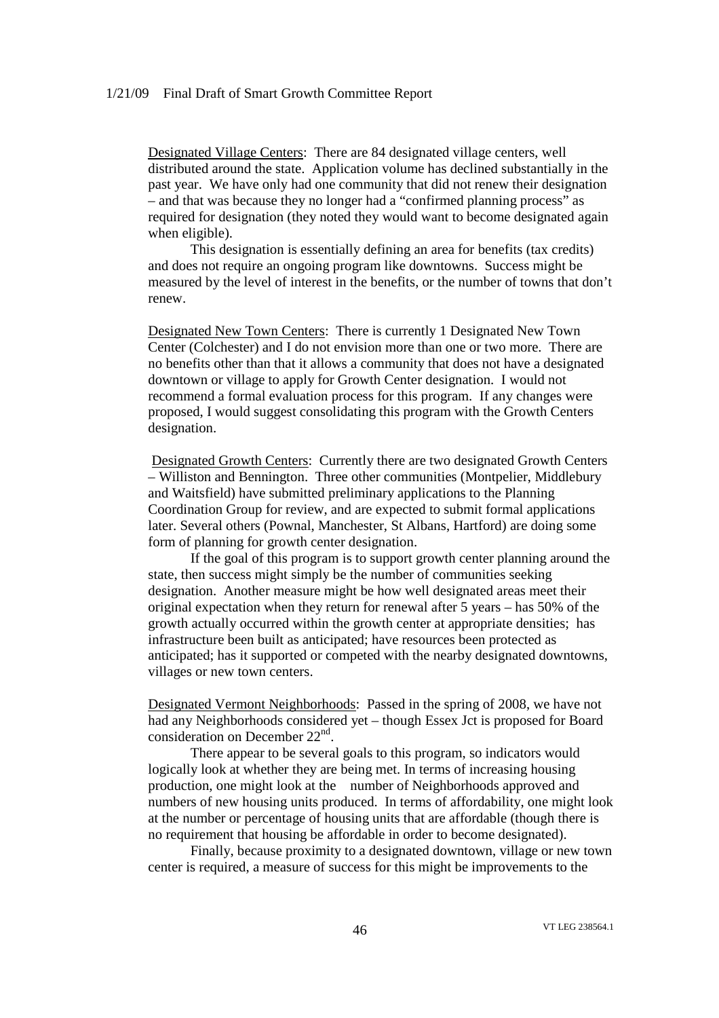Designated Village Centers: There are 84 designated village centers, well distributed around the state. Application volume has declined substantially in the past year. We have only had one community that did not renew their designation – and that was because they no longer had a "confirmed planning process" as required for designation (they noted they would want to become designated again when eligible).

This designation is essentially defining an area for benefits (tax credits) and does not require an ongoing program like downtowns. Success might be measured by the level of interest in the benefits, or the number of towns that don't renew.

Designated New Town Centers: There is currently 1 Designated New Town Center (Colchester) and I do not envision more than one or two more. There are no benefits other than that it allows a community that does not have a designated downtown or village to apply for Growth Center designation. I would not recommend a formal evaluation process for this program. If any changes were proposed, I would suggest consolidating this program with the Growth Centers designation.

Designated Growth Centers: Currently there are two designated Growth Centers – Williston and Bennington. Three other communities (Montpelier, Middlebury and Waitsfield) have submitted preliminary applications to the Planning Coordination Group for review, and are expected to submit formal applications later. Several others (Pownal, Manchester, St Albans, Hartford) are doing some form of planning for growth center designation.

If the goal of this program is to support growth center planning around the state, then success might simply be the number of communities seeking designation. Another measure might be how well designated areas meet their original expectation when they return for renewal after 5 years – has 50% of the growth actually occurred within the growth center at appropriate densities; has infrastructure been built as anticipated; have resources been protected as anticipated; has it supported or competed with the nearby designated downtowns, villages or new town centers.

Designated Vermont Neighborhoods: Passed in the spring of 2008, we have not had any Neighborhoods considered yet – though Essex Jct is proposed for Board consideration on December 22<sup>nd</sup>.

There appear to be several goals to this program, so indicators would logically look at whether they are being met. In terms of increasing housing production, one might look at the number of Neighborhoods approved and numbers of new housing units produced. In terms of affordability, one might look at the number or percentage of housing units that are affordable (though there is no requirement that housing be affordable in order to become designated).

Finally, because proximity to a designated downtown, village or new town center is required, a measure of success for this might be improvements to the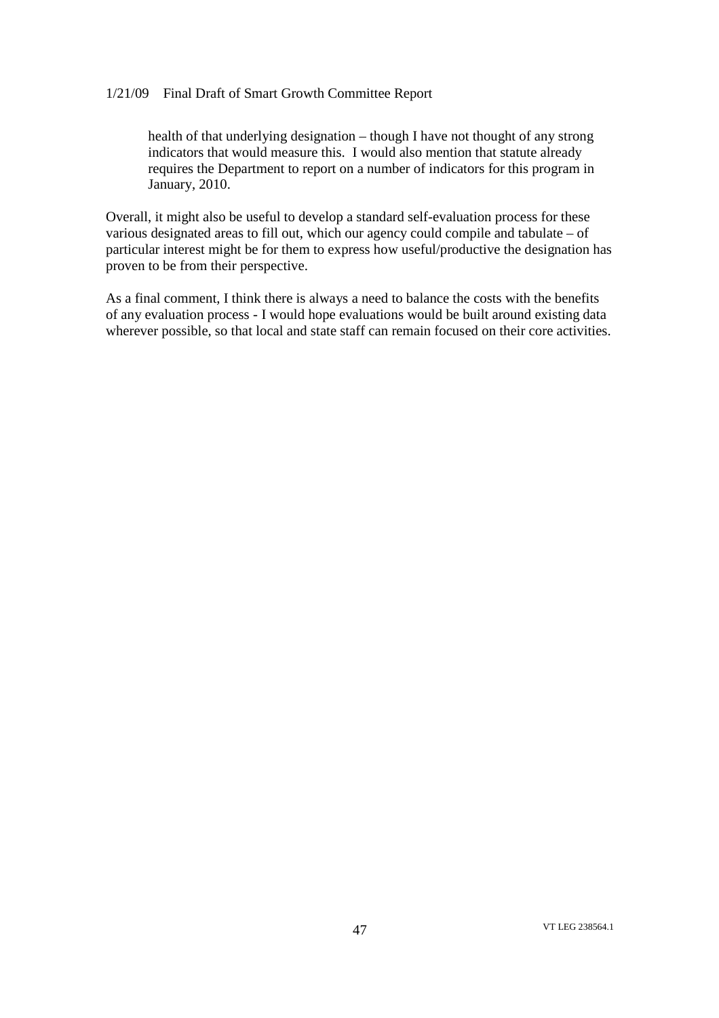health of that underlying designation – though I have not thought of any strong indicators that would measure this. I would also mention that statute already requires the Department to report on a number of indicators for this program in January, 2010.

Overall, it might also be useful to develop a standard self-evaluation process for these various designated areas to fill out, which our agency could compile and tabulate – of particular interest might be for them to express how useful/productive the designation has proven to be from their perspective.

As a final comment, I think there is always a need to balance the costs with the benefits of any evaluation process - I would hope evaluations would be built around existing data wherever possible, so that local and state staff can remain focused on their core activities.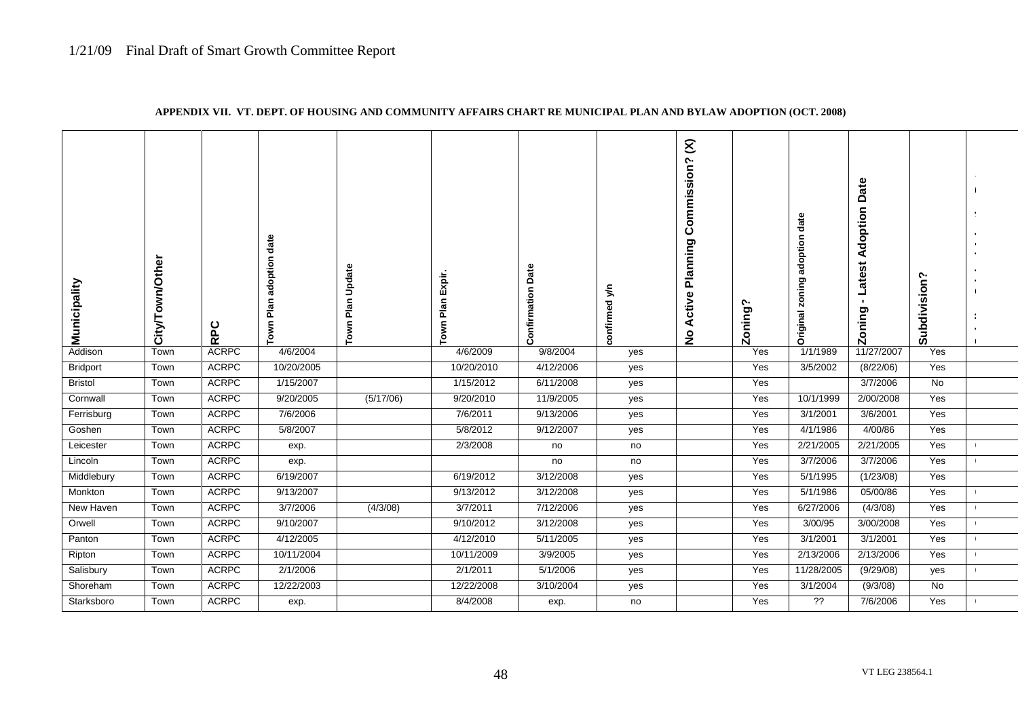| Municipality    | own/Other<br>City/T | RPC          | Plan adoption date<br>Town | Plan Update<br>Town | Expir.<br>Plan I<br>Town | <b>Confirmation Date</b> | confirmed y/n | $\mathcal{E}$<br>ommission?<br>ت<br>Planning<br>ctive<br>⋖<br>$\frac{1}{2}$ | Zoning' | zoning adoption date<br>Original | Date<br>Adoption<br>atest<br><b>zoning</b> | Subdivision? |  |
|-----------------|---------------------|--------------|----------------------------|---------------------|--------------------------|--------------------------|---------------|-----------------------------------------------------------------------------|---------|----------------------------------|--------------------------------------------|--------------|--|
| Addison         | Town                | <b>ACRPC</b> | 4/6/2004                   |                     | 4/6/2009                 | 9/8/2004                 | yes           |                                                                             | Yes     | 1/1/1989                         | 11/27/2007                                 | Yes          |  |
| <b>Bridport</b> | Town                | <b>ACRPC</b> | 10/20/2005                 |                     | 10/20/2010               | 4/12/2006                | yes           |                                                                             | Yes     | 3/5/2002                         | (8/22/06)                                  | Yes          |  |
| <b>Bristol</b>  | Town                | <b>ACRPC</b> | 1/15/2007                  |                     | 1/15/2012                | 6/11/2008                | yes           |                                                                             | Yes     |                                  | 3/7/2006                                   | No           |  |
| Cornwall        | Town                | <b>ACRPC</b> | 9/20/2005                  | (5/17/06)           | 9/20/2010                | 11/9/2005                | yes           |                                                                             | Yes     | 10/1/1999                        | 2/00/2008                                  | Yes          |  |
| Ferrisburg      | Town                | <b>ACRPC</b> | 7/6/2006                   |                     | 7/6/2011                 | 9/13/2006                | yes           |                                                                             | Yes     | 3/1/2001                         | 3/6/2001                                   | Yes          |  |
| Goshen          | Town                | <b>ACRPC</b> | 5/8/2007                   |                     | 5/8/2012                 | 9/12/2007                | yes           |                                                                             | Yes     | 4/1/1986                         | 4/00/86                                    | Yes          |  |
| Leicester       | Town                | <b>ACRPC</b> | exp.                       |                     | 2/3/2008                 | no                       | no            |                                                                             | Yes     | 2/21/2005                        | 2/21/2005                                  | Yes          |  |
| Lincoln         | Town                | <b>ACRPC</b> | exp.                       |                     |                          | no                       | no            |                                                                             | Yes     | 3/7/2006                         | 3/7/2006                                   | Yes          |  |
| Middlebury      | Town                | <b>ACRPC</b> | 6/19/2007                  |                     | 6/19/2012                | 3/12/2008                | yes           |                                                                             | Yes     | 5/1/1995                         | (1/23/08)                                  | Yes          |  |
| Monkton         | Town                | <b>ACRPC</b> | 9/13/2007                  |                     | 9/13/2012                | 3/12/2008                | yes           |                                                                             | Yes     | 5/1/1986                         | 05/00/86                                   | Yes          |  |
| New Haven       | Town                | <b>ACRPC</b> | 3/7/2006                   | (4/3/08)            | 3/7/2011                 | 7/12/2006                | yes           |                                                                             | Yes     | 6/27/2006                        | (4/3/08)                                   | Yes          |  |
| Orwell          | Town                | <b>ACRPC</b> | 9/10/2007                  |                     | 9/10/2012                | 3/12/2008                | yes           |                                                                             | Yes     | 3/00/95                          | 3/00/2008                                  | Yes          |  |
| Panton          | Town                | <b>ACRPC</b> | 4/12/2005                  |                     | 4/12/2010                | 5/11/2005                | yes           |                                                                             | Yes     | 3/1/2001                         | 3/1/2001                                   | Yes          |  |
| Ripton          | Town                | <b>ACRPC</b> | 10/11/2004                 |                     | 10/11/2009               | 3/9/2005                 | yes           |                                                                             | Yes     | 2/13/2006                        | 2/13/2006                                  | Yes          |  |
| Salisbury       | Town                | <b>ACRPC</b> | 2/1/2006                   |                     | 2/1/2011                 | 5/1/2006                 | yes           |                                                                             | Yes     | 11/28/2005                       | (9/29/08)                                  | yes          |  |
| Shoreham        | Town                | <b>ACRPC</b> | 12/22/2003                 |                     | 12/22/2008               | 3/10/2004                | yes           |                                                                             | Yes     | 3/1/2004                         | (9/3/08)                                   | No           |  |
| Starksboro      | Town                | <b>ACRPC</b> | exp.                       |                     | 8/4/2008                 | exp.                     | no            |                                                                             | Yes     | ??                               | 7/6/2006                                   | Yes          |  |

#### **APPENDIX VII. VT. DEPT. OF HOUSING AND COMMUNITY AFFAIRS CHART RE MUNICIPAL PLAN AND BYLAW ADOPTION (OCT. 2008)**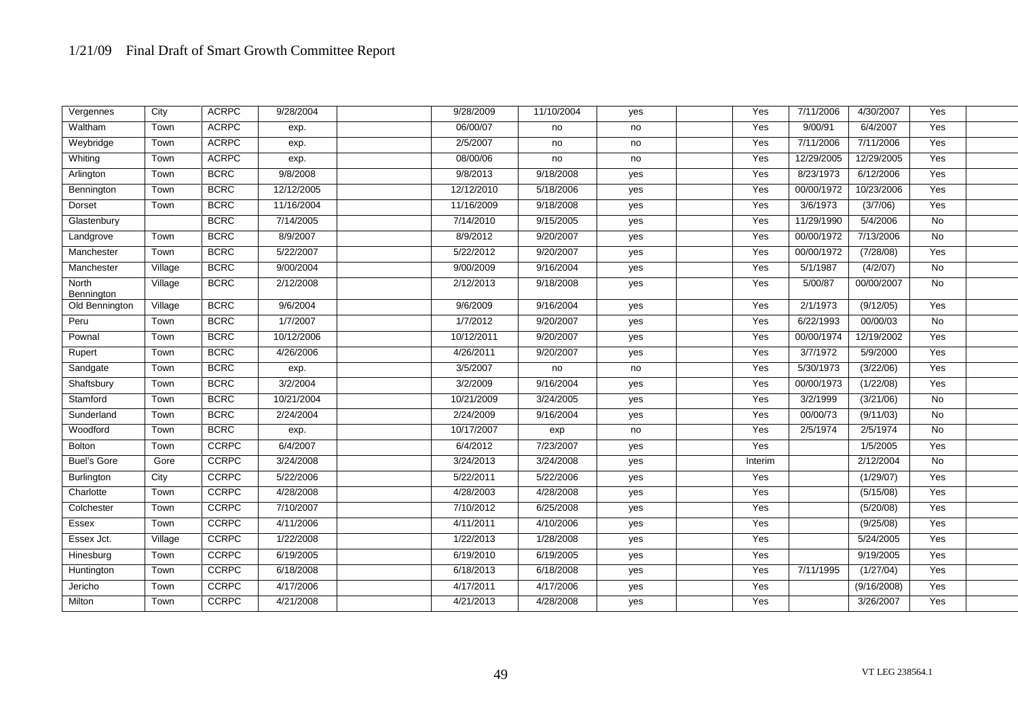| Vergennes           | City    | <b>ACRPC</b> | 9/28/2004  | 9/28/2009  | 11/10/2004 | yes | Yes     | 7/11/2006  | 4/30/2007   | Yes            |  |
|---------------------|---------|--------------|------------|------------|------------|-----|---------|------------|-------------|----------------|--|
| Waltham             | Town    | <b>ACRPC</b> | exp.       | 06/00/07   | no         | no  | Yes     | 9/00/91    | 6/4/2007    | Yes            |  |
| Weybridge           | Town    | <b>ACRPC</b> | exp.       | 2/5/2007   | no         | no  | Yes     | 7/11/2006  | 7/11/2006   | Yes            |  |
| Whiting             | Town    | <b>ACRPC</b> | exp.       | 08/00/06   | no         | no  | Yes     | 12/29/2005 | 12/29/2005  | Yes            |  |
| Arlington           | Town    | <b>BCRC</b>  | 9/8/2008   | 9/8/2013   | 9/18/2008  | yes | Yes     | 8/23/1973  | 6/12/2006   | Yes            |  |
| Bennington          | Town    | <b>BCRC</b>  | 12/12/2005 | 12/12/2010 | 5/18/2006  | yes | Yes     | 00/00/1972 | 10/23/2006  | Yes            |  |
| Dorset              | Town    | <b>BCRC</b>  | 11/16/2004 | 11/16/2009 | 9/18/2008  | yes | Yes     | 3/6/1973   | (3/7/06)    | Yes            |  |
| Glastenbury         |         | <b>BCRC</b>  | 7/14/2005  | 7/14/2010  | 9/15/2005  | yes | Yes     | 11/29/1990 | 5/4/2006    | No             |  |
| Landgrove           | Town    | <b>BCRC</b>  | 8/9/2007   | 8/9/2012   | 9/20/2007  | yes | Yes     | 00/00/1972 | 7/13/2006   | No             |  |
| Manchester          | Town    | <b>BCRC</b>  | 5/22/2007  | 5/22/2012  | 9/20/2007  | yes | Yes     | 00/00/1972 | (7/28/08)   | Yes            |  |
| Manchester          | Village | <b>BCRC</b>  | 9/00/2004  | 9/00/2009  | 9/16/2004  | yes | Yes     | 5/1/1987   | (4/2/07)    | No             |  |
| North<br>Bennington | Village | <b>BCRC</b>  | 2/12/2008  | 2/12/2013  | 9/18/2008  | yes | Yes     | 5/00/87    | 00/00/2007  | No             |  |
| Old Bennington      | Village | <b>BCRC</b>  | 9/6/2004   | 9/6/2009   | 9/16/2004  | yes | Yes     | 2/1/1973   | (9/12/05)   | Yes            |  |
| Peru                | Town    | <b>BCRC</b>  | 1/7/2007   | 1/7/2012   | 9/20/2007  | yes | Yes     | 6/22/1993  | 00/00/03    | $\overline{N}$ |  |
| Pownal              | Town    | <b>BCRC</b>  | 10/12/2006 | 10/12/2011 | 9/20/2007  | yes | Yes     | 00/00/1974 | 12/19/2002  | Yes            |  |
| Rupert              | Town    | <b>BCRC</b>  | 4/26/2006  | 4/26/2011  | 9/20/2007  | yes | Yes     | 3/7/1972   | 5/9/2000    | Yes            |  |
| Sandgate            | Town    | <b>BCRC</b>  | exp.       | 3/5/2007   | no         | no  | Yes     | 5/30/1973  | (3/22/06)   | Yes            |  |
| Shaftsbury          | Town    | <b>BCRC</b>  | 3/2/2004   | 3/2/2009   | 9/16/2004  | yes | Yes     | 00/00/1973 | (1/22/08)   | Yes            |  |
| Stamford            | Town    | <b>BCRC</b>  | 10/21/2004 | 10/21/2009 | 3/24/2005  | yes | Yes     | 3/2/1999   | (3/21/06)   | No             |  |
| Sunderland          | Town    | <b>BCRC</b>  | 2/24/2004  | 2/24/2009  | 9/16/2004  | yes | Yes     | 00/00/73   | (9/11/03)   | No             |  |
| Woodford            | Town    | <b>BCRC</b>  | exp.       | 10/17/2007 | exp        | no  | Yes     | 2/5/1974   | 2/5/1974    | No             |  |
| Bolton              | Town    | <b>CCRPC</b> | 6/4/2007   | 6/4/2012   | 7/23/2007  | yes | Yes     |            | 1/5/2005    | Yes            |  |
| <b>Buel's Gore</b>  | Gore    | <b>CCRPC</b> | 3/24/2008  | 3/24/2013  | 3/24/2008  | yes | Interim |            | 2/12/2004   | $\overline{N}$ |  |
| Burlington          | City    | CCRPC        | 5/22/2006  | 5/22/2011  | 5/22/2006  | yes | Yes     |            | (1/29/07)   | Yes            |  |
| Charlotte           | Town    | <b>CCRPC</b> | 4/28/2008  | 4/28/2003  | 4/28/2008  | yes | Yes     |            | (5/15/08)   | Yes            |  |
| Colchester          | Town    | <b>CCRPC</b> | 7/10/2007  | 7/10/2012  | 6/25/2008  | yes | Yes     |            | (5/20/08)   | Yes            |  |
| Essex               | Town    | <b>CCRPC</b> | 4/11/2006  | 4/11/2011  | 4/10/2006  | yes | Yes     |            | (9/25/08)   | Yes            |  |
| Essex Jct.          | Village | <b>CCRPC</b> | 1/22/2008  | 1/22/2013  | 1/28/2008  | yes | Yes     |            | 5/24/2005   | Yes            |  |
| Hinesburg           | Town    | <b>CCRPC</b> | 6/19/2005  | 6/19/2010  | 6/19/2005  | yes | Yes     |            | 9/19/2005   | Yes            |  |
| Huntington          | Town    | <b>CCRPC</b> | 6/18/2008  | 6/18/2013  | 6/18/2008  | yes | Yes     | 7/11/1995  | (1/27/04)   | Yes            |  |
| Jericho             | Town    | <b>CCRPC</b> | 4/17/2006  | 4/17/2011  | 4/17/2006  | yes | Yes     |            | (9/16/2008) | Yes            |  |
| Milton              | Town    | <b>CCRPC</b> | 4/21/2008  | 4/21/2013  | 4/28/2008  | yes | Yes     |            | 3/26/2007   | Yes            |  |
|                     |         |              |            |            |            |     |         |            |             |                |  |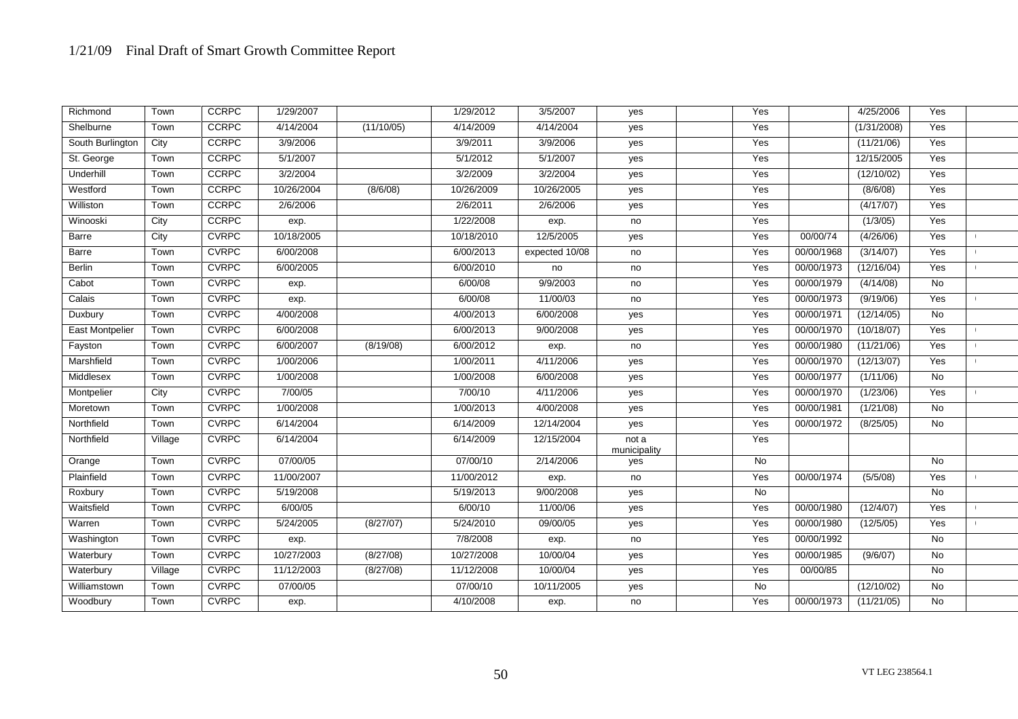| Town    | <b>CCRPC</b> | 1/29/2007                                    |            | 1/29/2012  | 3/5/2007       | yes                   | Yes            |            | 4/25/2006   | Yes            |  |
|---------|--------------|----------------------------------------------|------------|------------|----------------|-----------------------|----------------|------------|-------------|----------------|--|
| Town    | <b>CCRPC</b> | 4/14/2004                                    | (11/10/05) | 4/14/2009  | 4/14/2004      | yes                   | Yes            |            | (1/31/2008) | Yes            |  |
| City    | CCRPC        | 3/9/2006                                     |            | 3/9/2011   | 3/9/2006       | yes                   | Yes            |            | (11/21/06)  | Yes            |  |
| Town    | <b>CCRPC</b> | 5/1/2007                                     |            | 5/1/2012   | 5/1/2007       | yes                   | Yes            |            | 12/15/2005  | Yes            |  |
| Town    | CCRPC        | 3/2/2004                                     |            | 3/2/2009   | 3/2/2004       | yes                   | Yes            |            | (12/10/02)  | Yes            |  |
| Town    | CCRPC        | 10/26/2004                                   | (8/6/08)   | 10/26/2009 | 10/26/2005     | yes                   | Yes            |            | (8/6/08)    | Yes            |  |
| Town    | <b>CCRPC</b> | 2/6/2006                                     |            | 2/6/2011   | 2/6/2006       | yes                   | Yes            |            | (4/17/07)   | Yes            |  |
| City    | <b>CCRPC</b> | exp.                                         |            | 1/22/2008  | exp.           | no                    | Yes            |            | (1/3/05)    | Yes            |  |
| City    | <b>CVRPC</b> | 10/18/2005                                   |            | 10/18/2010 | 12/5/2005      | yes                   | Yes            | 00/00/74   | (4/26/06)   | Yes            |  |
| Town    | <b>CVRPC</b> | 6/00/2008                                    |            | 6/00/2013  | expected 10/08 | no                    | Yes            | 00/00/1968 | (3/14/07)   | Yes            |  |
| Town    | <b>CVRPC</b> | 6/00/2005                                    |            | 6/00/2010  | no             | no                    | Yes            | 00/00/1973 | (12/16/04)  | Yes            |  |
| Town    | <b>CVRPC</b> | exp.                                         |            | 6/00/08    | 9/9/2003       | no                    | Yes            | 00/00/1979 | (4/14/08)   | No             |  |
| Town    | <b>CVRPC</b> | exp.                                         |            | 6/00/08    | 11/00/03       | no                    | Yes            | 00/00/1973 | (9/19/06)   | Yes            |  |
| Town    | <b>CVRPC</b> | 4/00/2008                                    |            | 4/00/2013  | 6/00/2008      | yes                   | Yes            | 00/00/1971 | (12/14/05)  | No             |  |
| Town    | <b>CVRPC</b> | 6/00/2008                                    |            | 6/00/2013  | 9/00/2008      | yes                   | Yes            | 00/00/1970 | (10/18/07)  | Yes            |  |
| Town    | <b>CVRPC</b> | 6/00/2007                                    | (8/19/08)  | 6/00/2012  | exp.           | no                    | Yes            | 00/00/1980 | (11/21/06)  | Yes            |  |
| Town    | <b>CVRPC</b> | 1/00/2006                                    |            | 1/00/2011  | 4/11/2006      | yes                   | Yes            | 00/00/1970 | (12/13/07)  | Yes            |  |
| Town    | <b>CVRPC</b> | 1/00/2008                                    |            | 1/00/2008  | 6/00/2008      | yes                   | Yes            | 00/00/1977 | (1/11/06)   | No             |  |
| City    | <b>CVRPC</b> | 7/00/05                                      |            | 7/00/10    | 4/11/2006      | yes                   | Yes            | 00/00/1970 | (1/23/06)   | Yes            |  |
| Town    | <b>CVRPC</b> | 1/00/2008                                    |            | 1/00/2013  | 4/00/2008      | yes                   | Yes            | 00/00/1981 | (1/21/08)   | $\overline{N}$ |  |
| Town    | <b>CVRPC</b> | 6/14/2004                                    |            | 6/14/2009  | 12/14/2004     | yes                   | Yes            | 00/00/1972 | (8/25/05)   | No             |  |
| Village | <b>CVRPC</b> | 6/14/2004                                    |            | 6/14/2009  | 12/15/2004     | not a<br>municipality | Yes            |            |             |                |  |
| Town    |              | 07/00/05                                     |            | 07/00/10   | 2/14/2006      | yes                   | $\overline{N}$ |            |             | $\overline{N}$ |  |
| Town    |              |                                              |            |            | exp.           | no                    | Yes            | 00/00/1974 | (5/5/08)    | Yes            |  |
| Town    | <b>CVRPC</b> | 5/19/2008                                    |            | 5/19/2013  | 9/00/2008      | yes                   | No             |            |             | <b>No</b>      |  |
| Town    | <b>CVRPC</b> | 6/00/05                                      |            | 6/00/10    | 11/00/06       | yes                   | Yes            | 00/00/1980 | (12/4/07)   | Yes            |  |
| Town    |              | 5/24/2005                                    | (8/27/07)  | 5/24/2010  | 09/00/05       | yes                   | Yes            |            | (12/5/05)   | Yes            |  |
| Town    | <b>CVRPC</b> | exp.                                         |            | 7/8/2008   | exp.           | no                    | Yes            | 00/00/1992 |             | No             |  |
| Town    | <b>CVRPC</b> | 10/27/2003                                   | (8/27/08)  | 10/27/2008 | 10/00/04       | yes                   | Yes            | 00/00/1985 | (9/6/07)    | No             |  |
| Village | <b>CVRPC</b> | 11/12/2003                                   | (8/27/08)  | 11/12/2008 | 10/00/04       | yes                   | Yes            | 00/00/85   |             | No             |  |
| Town    | <b>CVRPC</b> | 07/00/05                                     |            | 07/00/10   | 10/11/2005     | yes                   | No             |            | (12/10/02)  | No             |  |
| Town    | <b>CVRPC</b> | exp.                                         |            | 4/10/2008  | exp.           | no                    | Yes            | 00/00/1973 | (11/21/05)  | No             |  |
|         |              | <b>CVRPC</b><br><b>CVRPC</b><br><b>CVRPC</b> | 11/00/2007 |            | 11/00/2012     |                       |                |            | 00/00/1980  |                |  |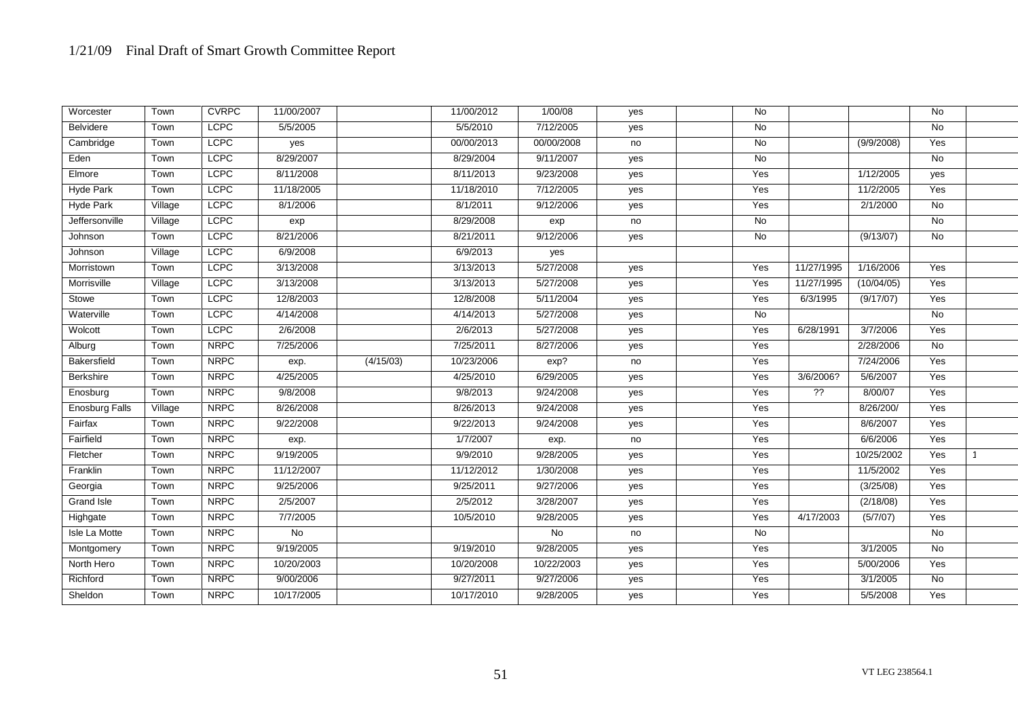| Worcester             | Town    | <b>CVRPC</b> | 11/00/2007 |           | 11/00/2012 | 1/00/08    | yes | No             |            |            | No             |  |
|-----------------------|---------|--------------|------------|-----------|------------|------------|-----|----------------|------------|------------|----------------|--|
| <b>Belvidere</b>      | Town    | <b>LCPC</b>  | 5/5/2005   |           | 5/5/2010   | 7/12/2005  | yes | $\overline{N}$ |            |            | $\overline{N}$ |  |
| Cambridge             | Town    | <b>LCPC</b>  | yes        |           | 00/00/2013 | 00/00/2008 | no  | <b>No</b>      |            | (9/9/2008) | Yes            |  |
| Eden                  | Town    | <b>LCPC</b>  | 8/29/2007  |           | 8/29/2004  | 9/11/2007  | yes | $\overline{N}$ |            |            | $\overline{N}$ |  |
| Elmore                | Town    | <b>LCPC</b>  | 8/11/2008  |           | 8/11/2013  | 9/23/2008  | yes | Yes            |            | 1/12/2005  | yes            |  |
| <b>Hyde Park</b>      | Town    | <b>LCPC</b>  | 11/18/2005 |           | 11/18/2010 | 7/12/2005  | yes | Yes            |            | 11/2/2005  | Yes            |  |
| <b>Hyde Park</b>      | Village | <b>LCPC</b>  | 8/1/2006   |           | 8/1/2011   | 9/12/2006  | yes | Yes            |            | 2/1/2000   | $\overline{N}$ |  |
| Jeffersonville        | Village | <b>LCPC</b>  | exp        |           | 8/29/2008  | exp        | no  | $\overline{N}$ |            |            | <b>No</b>      |  |
| Johnson               | Town    | <b>LCPC</b>  | 8/21/2006  |           | 8/21/2011  | 9/12/2006  | yes | No             |            | (9/13/07)  | <b>No</b>      |  |
| Johnson               | Village | <b>LCPC</b>  | 6/9/2008   |           | 6/9/2013   | yes        |     |                |            |            |                |  |
| Morristown            | Town    | <b>LCPC</b>  | 3/13/2008  |           | 3/13/2013  | 5/27/2008  | yes | Yes            | 11/27/1995 | 1/16/2006  | Yes            |  |
| Morrisville           | Village | <b>LCPC</b>  | 3/13/2008  |           | 3/13/2013  | 5/27/2008  | yes | Yes            | 11/27/1995 | (10/04/05) | Yes            |  |
| Stowe                 | Town    | <b>LCPC</b>  | 12/8/2003  |           | 12/8/2008  | 5/11/2004  | yes | Yes            | 6/3/1995   | (9/17/07)  | Yes            |  |
| Waterville            | Town    | <b>LCPC</b>  | 4/14/2008  |           | 4/14/2013  | 5/27/2008  | yes | <b>No</b>      |            |            | <b>No</b>      |  |
| Wolcott               | Town    | <b>LCPC</b>  | 2/6/2008   |           | 2/6/2013   | 5/27/2008  | yes | Yes            | 6/28/1991  | 3/7/2006   | Yes            |  |
| Alburg                | Town    | <b>NRPC</b>  | 7/25/2006  |           | 7/25/2011  | 8/27/2006  | yes | Yes            |            | 2/28/2006  | No             |  |
| Bakersfield           | Town    | <b>NRPC</b>  | exp.       | (4/15/03) | 10/23/2006 | exp?       | no  | Yes            |            | 7/24/2006  | Yes            |  |
| Berkshire             | Town    | <b>NRPC</b>  | 4/25/2005  |           | 4/25/2010  | 6/29/2005  | yes | Yes            | 3/6/2006?  | 5/6/2007   | Yes            |  |
| Enosburg              | Town    | <b>NRPC</b>  | 9/8/2008   |           | 9/8/2013   | 9/24/2008  | yes | Yes            | $^{22}$    | 8/00/07    | Yes            |  |
| <b>Enosburg Falls</b> | Village | <b>NRPC</b>  | 8/26/2008  |           | 8/26/2013  | 9/24/2008  | yes | Yes            |            | 8/26/200/  | Yes            |  |
| Fairfax               | Town    | <b>NRPC</b>  | 9/22/2008  |           | 9/22/2013  | 9/24/2008  | yes | Yes            |            | 8/6/2007   | Yes            |  |
| Fairfield             | Town    | <b>NRPC</b>  | exp.       |           | 1/7/2007   | exp.       | no  | Yes            |            | 6/6/2006   | Yes            |  |
| Fletcher              | Town    | <b>NRPC</b>  | 9/19/2005  |           | 9/9/2010   | 9/28/2005  | yes | Yes            |            | 10/25/2002 | Yes            |  |
| Franklin              | Town    | <b>NRPC</b>  | 11/12/2007 |           | 11/12/2012 | 1/30/2008  | yes | Yes            |            | 11/5/2002  | Yes            |  |
| Georgia               | Town    | <b>NRPC</b>  | 9/25/2006  |           | 9/25/2011  | 9/27/2006  | yes | Yes            |            | (3/25/08)  | Yes            |  |
| <b>Grand Isle</b>     | Town    | <b>NRPC</b>  | 2/5/2007   |           | 2/5/2012   | 3/28/2007  | yes | Yes            |            | (2/18/08)  | Yes            |  |
| Highgate              | Town    | <b>NRPC</b>  | 7/7/2005   |           | 10/5/2010  | 9/28/2005  | yes | Yes            | 4/17/2003  | (5/7/07)   | Yes            |  |
| Isle La Motte         | Town    | <b>NRPC</b>  | <b>No</b>  |           |            | No         | no  | <b>No</b>      |            |            | No             |  |
| Montgomery            | Town    | <b>NRPC</b>  | 9/19/2005  |           | 9/19/2010  | 9/28/2005  | yes | Yes            |            | 3/1/2005   | No             |  |
| North Hero            | Town    | <b>NRPC</b>  | 10/20/2003 |           | 10/20/2008 | 10/22/2003 | yes | Yes            |            | 5/00/2006  | Yes            |  |
| Richford              | Town    | <b>NRPC</b>  | 9/00/2006  |           | 9/27/2011  | 9/27/2006  | yes | Yes            |            | 3/1/2005   | $\overline{N}$ |  |
| Sheldon               | Town    | <b>NRPC</b>  | 10/17/2005 |           | 10/17/2010 | 9/28/2005  | yes | Yes            |            | 5/5/2008   | Yes            |  |
|                       |         |              |            |           |            |            |     |                |            |            |                |  |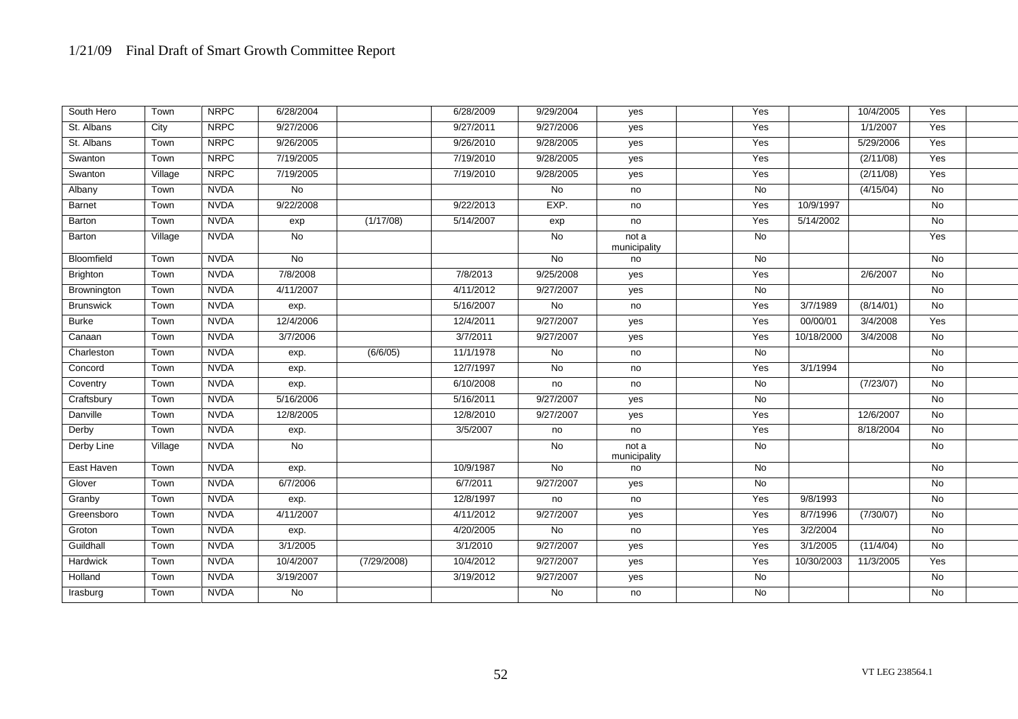| South Hero       | Town    | <b>NRPC</b> | 6/28/2004           |             | 6/28/2009 | 9/29/2004      | yes                   | Yes            |            | 10/4/2005 | Yes            |  |
|------------------|---------|-------------|---------------------|-------------|-----------|----------------|-----------------------|----------------|------------|-----------|----------------|--|
| St. Albans       | City    | <b>NRPC</b> | 9/27/2006           |             | 9/27/2011 | 9/27/2006      | yes                   | Yes            |            | 1/1/2007  | Yes            |  |
| St. Albans       | Town    | <b>NRPC</b> | 9/26/2005           |             | 9/26/2010 | 9/28/2005      | yes                   | Yes            |            | 5/29/2006 | Yes            |  |
| Swanton          | Town    | <b>NRPC</b> | 7/19/2005           |             | 7/19/2010 | 9/28/2005      | yes                   | Yes            |            | (2/11/08) | Yes            |  |
| Swanton          | Village | <b>NRPC</b> | 7/19/2005           |             | 7/19/2010 | 9/28/2005      | yes                   | Yes            |            | (2/11/08) | Yes            |  |
| Albany           | Town    | <b>NVDA</b> | No                  |             |           | No             | no                    | No             |            | (4/15/04) | No             |  |
| <b>Barnet</b>    | Town    | <b>NVDA</b> | 9/22/2008           |             | 9/22/2013 | EXP.           | no                    | Yes            | 10/9/1997  |           | <b>No</b>      |  |
| Barton           | Town    | <b>NVDA</b> | exp                 | (1/17/08)   | 5/14/2007 | exp            | no                    | Yes            | 5/14/2002  |           | No             |  |
| Barton           | Village | <b>NVDA</b> | No                  |             |           | No             | not a<br>municipality | No             |            |           | Yes            |  |
| Bloomfield       | Town    | <b>NVDA</b> | <b>No</b>           |             |           | $\overline{N}$ | no                    | <b>No</b>      |            |           | <b>No</b>      |  |
| <b>Brighton</b>  | Town    | <b>NVDA</b> | 7/8/2008            |             | 7/8/2013  | 9/25/2008      | yes                   | Yes            |            | 2/6/2007  | $\overline{N}$ |  |
| Brownington      | Town    | <b>NVDA</b> | 4/11/2007           |             | 4/11/2012 | 9/27/2007      | yes                   | No             |            |           | No             |  |
| <b>Brunswick</b> | Town    | <b>NVDA</b> | exp.                |             | 5/16/2007 | No             | no                    | Yes            | 3/7/1989   | (8/14/01) | $\overline{N}$ |  |
| <b>Burke</b>     | Town    | <b>NVDA</b> | 12/4/2006           |             | 12/4/2011 | 9/27/2007      | yes                   | Yes            | 00/00/01   | 3/4/2008  | Yes            |  |
| Canaan           | Town    | <b>NVDA</b> | $\frac{1}{37}/2006$ |             | 3/7/2011  | 9/27/2007      | yes                   | Yes            | 10/18/2000 | 3/4/2008  | <b>No</b>      |  |
| Charleston       | Town    | <b>NVDA</b> | exp.                | (6/6/05)    | 11/1/1978 | No             | no                    | No             |            |           | No             |  |
| Concord          | Town    | <b>NVDA</b> | exp.                |             | 12/7/1997 | $\overline{N}$ | no                    | Yes            | 3/1/1994   |           | $\overline{N}$ |  |
| Coventry         | Town    | <b>NVDA</b> | exp.                |             | 6/10/2008 | no             | no                    | No             |            | (7/23/07) | <b>No</b>      |  |
| Craftsbury       | Town    | <b>NVDA</b> | 5/16/2006           |             | 5/16/2011 | 9/27/2007      | yes                   | No             |            |           | No             |  |
| Danville         | Town    | <b>NVDA</b> | 12/8/2005           |             | 12/8/2010 | 9/27/2007      | yes                   | Yes            |            | 12/6/2007 | No             |  |
| Derby            | Town    | <b>NVDA</b> | exp.                |             | 3/5/2007  | no             | no                    | Yes            |            | 8/18/2004 | No             |  |
| Derby Line       | Village | <b>NVDA</b> | $\overline{N}$      |             |           | No             | not a<br>municipality | No             |            |           | No             |  |
| East Haven       | Town    | <b>NVDA</b> | exp.                |             | 10/9/1987 | No             | no                    | No             |            |           | No             |  |
| Glover           | Town    | <b>NVDA</b> | 6/7/2006            |             | 6/7/2011  | 9/27/2007      | yes                   | No             |            |           | No             |  |
| Granby           | Town    | <b>NVDA</b> | exp.                |             | 12/8/1997 | no             | no                    | Yes            | 9/8/1993   |           | No             |  |
| Greensboro       | Town    | <b>NVDA</b> | 4/11/2007           |             | 4/11/2012 | 9/27/2007      | yes                   | Yes            | 8/7/1996   | (7/30/07) | No             |  |
| Groton           | Town    | <b>NVDA</b> | exp.                |             | 4/20/2005 | No             | no                    | Yes            | 3/2/2004   |           | No             |  |
| Guildhall        | Town    | <b>NVDA</b> | 3/1/2005            |             | 3/1/2010  | 9/27/2007      | yes                   | Yes            | 3/1/2005   | (11/4/04) | No             |  |
| Hardwick         | Town    | <b>NVDA</b> | 10/4/2007           | (7/29/2008) | 10/4/2012 | 9/27/2007      | yes                   | Yes            | 10/30/2003 | 11/3/2005 | Yes            |  |
| Holland          | Town    | <b>NVDA</b> | 3/19/2007           |             | 3/19/2012 | 9/27/2007      | yes                   | <b>No</b>      |            |           | <b>No</b>      |  |
| Irasburg         | Town    | <b>NVDA</b> | $\overline{N}$      |             |           | No             | no                    | $\overline{N}$ |            |           | $\overline{N}$ |  |
|                  |         |             |                     |             |           |                |                       |                |            |           |                |  |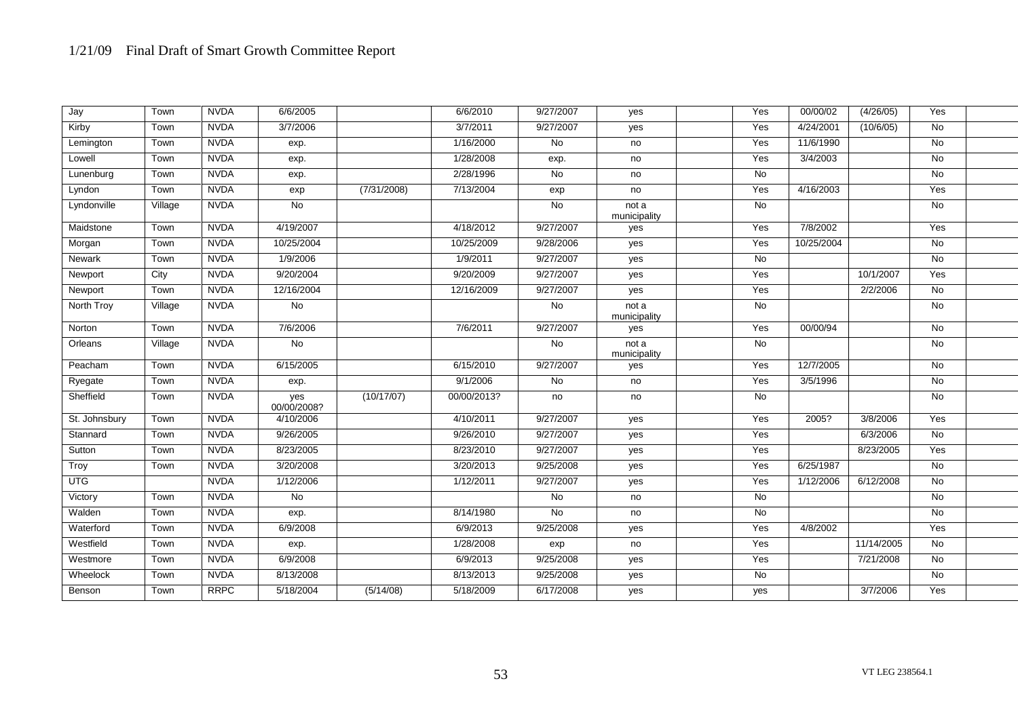| Jay           | Town    | <b>NVDA</b> | 6/6/2005           |             | 6/6/2010    | 9/27/2007 | yes                   | Yes       | 00/00/02   | (4/26/05)  | Yes            |  |
|---------------|---------|-------------|--------------------|-------------|-------------|-----------|-----------------------|-----------|------------|------------|----------------|--|
| Kirby         | Town    | <b>NVDA</b> | 3/7/2006           |             | 3/7/2011    | 9/27/2007 | yes                   | Yes       | 4/24/2001  | (10/6/05)  | $\overline{N}$ |  |
| Lemington     | Town    | <b>NVDA</b> | exp.               |             | 1/16/2000   | No        | no                    | Yes       | 11/6/1990  |            | No             |  |
| Lowell        | Town    | <b>NVDA</b> | exp.               |             | 1/28/2008   | exp.      | no                    | Yes       | 3/4/2003   |            | $\overline{N}$ |  |
| Lunenburg     | Town    | <b>NVDA</b> | exp.               |             | 2/28/1996   | No        | no                    | No        |            |            | No             |  |
| Lyndon        | Town    | <b>NVDA</b> | exp                | (7/31/2008) | 7/13/2004   | exp       | no                    | Yes       | 4/16/2003  |            | Yes            |  |
| Lyndonville   | Village | <b>NVDA</b> | <b>No</b>          |             |             | <b>No</b> | not a<br>municipality | <b>No</b> |            |            | No             |  |
| Maidstone     | Town    | <b>NVDA</b> | 4/19/2007          |             | 4/18/2012   | 9/27/2007 | yes                   | Yes       | 7/8/2002   |            | Yes            |  |
| Morgan        | Town    | <b>NVDA</b> | 10/25/2004         |             | 10/25/2009  | 9/28/2006 | yes                   | Yes       | 10/25/2004 |            | No             |  |
| Newark        | Town    | <b>NVDA</b> | 1/9/2006           |             | 1/9/2011    | 9/27/2007 | yes                   | <b>No</b> |            |            | No             |  |
| Newport       | City    | <b>NVDA</b> | 9/20/2004          |             | 9/20/2009   | 9/27/2007 | yes                   | Yes       |            | 10/1/2007  | Yes            |  |
| Newport       | Town    | <b>NVDA</b> | 12/16/2004         |             | 12/16/2009  | 9/27/2007 | yes                   | Yes       |            | 2/2/2006   | <b>No</b>      |  |
| North Troy    | Village | <b>NVDA</b> | No                 |             |             | No        | not a<br>municipality | <b>No</b> |            |            | No             |  |
| Norton        | Town    | <b>NVDA</b> | 7/6/2006           |             | 7/6/2011    | 9/27/2007 | yes                   | Yes       | 00/00/94   |            | No             |  |
| Orleans       | Village | <b>NVDA</b> | No                 |             |             | No        | not a<br>municipality | <b>No</b> |            |            | No             |  |
| Peacham       | Town    | <b>NVDA</b> | 6/15/2005          |             | 6/15/2010   | 9/27/2007 | yes                   | Yes       | 12/7/2005  |            | No             |  |
| Ryegate       | Town    | <b>NVDA</b> | exp.               |             | 9/1/2006    | No        | no                    | Yes       | 3/5/1996   |            | $\overline{N}$ |  |
| Sheffield     | Town    | <b>NVDA</b> | yes<br>00/00/2008? | (10/17/07)  | 00/00/2013? | no        | no                    | No        |            |            | No             |  |
| St. Johnsbury | Town    | <b>NVDA</b> | 4/10/2006          |             | 4/10/2011   | 9/27/2007 | yes                   | Yes       | 2005?      | 3/8/2006   | Yes            |  |
| Stannard      | Town    | <b>NVDA</b> | 9/26/2005          |             | 9/26/2010   | 9/27/2007 | yes                   | Yes       |            | 6/3/2006   | No             |  |
| Sutton        | Town    | <b>NVDA</b> | 8/23/2005          |             | 8/23/2010   | 9/27/2007 | yes                   | Yes       |            | 8/23/2005  | Yes            |  |
| Troy          | Town    | <b>NVDA</b> | 3/20/2008          |             | 3/20/2013   | 9/25/2008 | yes                   | Yes       | 6/25/1987  |            | No             |  |
| <b>UTG</b>    |         | <b>NVDA</b> | 1/12/2006          |             | 1/12/2011   | 9/27/2007 | yes                   | Yes       | 1/12/2006  | 6/12/2008  | $\overline{N}$ |  |
| Victory       | Town    | <b>NVDA</b> | No                 |             |             | No        | no                    | <b>No</b> |            |            | No             |  |
| Walden        | Town    | <b>NVDA</b> | exp.               |             | 8/14/1980   | No        | no                    | No        |            |            | No             |  |
| Waterford     | Town    | <b>NVDA</b> | 6/9/2008           |             | 6/9/2013    | 9/25/2008 | yes                   | Yes       | 4/8/2002   |            | Yes            |  |
| Westfield     | Town    | <b>NVDA</b> | exp.               |             | 1/28/2008   | exp       | no                    | Yes       |            | 11/14/2005 | No             |  |
| Westmore      | Town    | <b>NVDA</b> | 6/9/2008           |             | 6/9/2013    | 9/25/2008 | yes                   | Yes       |            | 7/21/2008  | No             |  |
| Wheelock      | Town    | <b>NVDA</b> | 8/13/2008          |             | 8/13/2013   | 9/25/2008 | yes                   | <b>No</b> |            |            | No             |  |
| Benson        | Town    | <b>RRPC</b> | 5/18/2004          | (5/14/08)   | 5/18/2009   | 6/17/2008 | yes                   | yes       |            | 3/7/2006   | Yes            |  |
|               |         |             |                    |             |             |           |                       |           |            |            |                |  |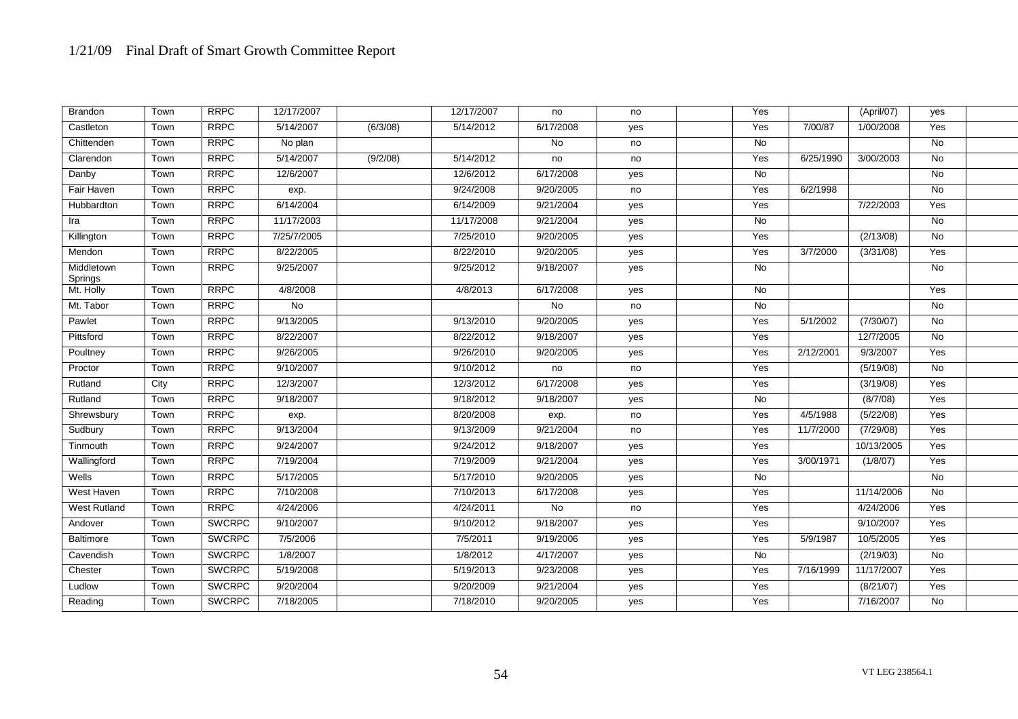| Brandon               | Town | <b>RRPC</b>   | 12/17/2007     |          | 12/17/2007 | no        | no  | Yes            |           | (April/07) | yes            |  |
|-----------------------|------|---------------|----------------|----------|------------|-----------|-----|----------------|-----------|------------|----------------|--|
| Castleton             | Town | <b>RRPC</b>   | 5/14/2007      | (6/3/08) | 5/14/2012  | 6/17/2008 | yes | Yes            | 7/00/87   | 1/00/2008  | Yes            |  |
| Chittenden            | Town | <b>RRPC</b>   | No plan        |          |            | <b>No</b> | no  | No             |           |            | No             |  |
| Clarendon             | Town | <b>RRPC</b>   | 5/14/2007      | (9/2/08) | 5/14/2012  | no        | no  | Yes            | 6/25/1990 | 3/00/2003  | <b>No</b>      |  |
| Danby                 | Town | <b>RRPC</b>   | 12/6/2007      |          | 12/6/2012  | 6/17/2008 | yes | No             |           |            | No             |  |
| Fair Haven            | Town | <b>RRPC</b>   | exp.           |          | 9/24/2008  | 9/20/2005 | no  | Yes            | 6/2/1998  |            | No             |  |
| Hubbardton            | Town | <b>RRPC</b>   | 6/14/2004      |          | 6/14/2009  | 9/21/2004 | yes | Yes            |           | 7/22/2003  | Yes            |  |
| Ira                   | Town | <b>RRPC</b>   | 11/17/2003     |          | 11/17/2008 | 9/21/2004 | yes | $\overline{N}$ |           |            | <b>No</b>      |  |
| Killington            | Town | <b>RRPC</b>   | 7/25/7/2005    |          | 7/25/2010  | 9/20/2005 | yes | Yes            |           | (2/13/08)  | No             |  |
| Mendon                | Town | <b>RRPC</b>   | 8/22/2005      |          | 8/22/2010  | 9/20/2005 | yes | Yes            | 3/7/2000  | (3/31/08)  | Yes            |  |
| Middletown<br>Springs | Town | <b>RRPC</b>   | 9/25/2007      |          | 9/25/2012  | 9/18/2007 | yes | No             |           |            | No             |  |
| Mt. Holly             | Town | <b>RRPC</b>   | 4/8/2008       |          | 4/8/2013   | 6/17/2008 | yes | <b>No</b>      |           |            | Yes            |  |
| Mt. Tabor             | Town | <b>RRPC</b>   | $\overline{N}$ |          |            | No        | no  | No             |           |            | No             |  |
| Pawlet                | Town | <b>RRPC</b>   | 9/13/2005      |          | 9/13/2010  | 9/20/2005 | yes | Yes            | 5/1/2002  | (7/30/07)  | No             |  |
| Pittsford             | Town | <b>RRPC</b>   | 8/22/2007      |          | 8/22/2012  | 9/18/2007 | yes | Yes            |           | 12/7/2005  | No             |  |
| Poultney              | Town | <b>RRPC</b>   | 9/26/2005      |          | 9/26/2010  | 9/20/2005 | yes | Yes            | 2/12/2001 | 9/3/2007   | Yes            |  |
| Proctor               | Town | <b>RRPC</b>   | 9/10/2007      |          | 9/10/2012  | no        | no  | Yes            |           | (5/19/08)  | $\overline{N}$ |  |
| Rutland               | City | <b>RRPC</b>   | 12/3/2007      |          | 12/3/2012  | 6/17/2008 | yes | Yes            |           | (3/19/08)  | Yes            |  |
| Rutland               | Town | <b>RRPC</b>   | 9/18/2007      |          | 9/18/2012  | 9/18/2007 | yes | No             |           | (8/7/08)   | Yes            |  |
| Shrewsbury            | Town | <b>RRPC</b>   | exp.           |          | 8/20/2008  | exp.      | no  | Yes            | 4/5/1988  | (5/22/08)  | Yes            |  |
| Sudbury               | Town | <b>RRPC</b>   | 9/13/2004      |          | 9/13/2009  | 9/21/2004 | no  | Yes            | 11/7/2000 | (7/29/08)  | Yes            |  |
| Tinmouth              | Town | <b>RRPC</b>   | 9/24/2007      |          | 9/24/2012  | 9/18/2007 | yes | Yes            |           | 10/13/2005 | Yes            |  |
| Wallingford           | Town | <b>RRPC</b>   | 7/19/2004      |          | 7/19/2009  | 9/21/2004 | yes | Yes            | 3/00/1971 | (1/8/07)   | Yes            |  |
| Wells                 | Town | <b>RRPC</b>   | 5/17/2005      |          | 5/17/2010  | 9/20/2005 | yes | <b>No</b>      |           |            | <b>No</b>      |  |
| West Haven            | Town | <b>RRPC</b>   | 7/10/2008      |          | 7/10/2013  | 6/17/2008 | yes | Yes            |           | 11/14/2006 | <b>No</b>      |  |
| <b>West Rutland</b>   | Town | <b>RRPC</b>   | 4/24/2006      |          | 4/24/2011  | No        | no  | Yes            |           | 4/24/2006  | Yes            |  |
| Andover               | Town | <b>SWCRPC</b> | 9/10/2007      |          | 9/10/2012  | 9/18/2007 | yes | Yes            |           | 9/10/2007  | Yes            |  |
| Baltimore             | Town | <b>SWCRPC</b> | 7/5/2006       |          | 7/5/2011   | 9/19/2006 | yes | Yes            | 5/9/1987  | 10/5/2005  | Yes            |  |
| Cavendish             | Town | <b>SWCRPC</b> | 1/8/2007       |          | 1/8/2012   | 4/17/2007 | yes | No             |           | (2/19/03)  | No             |  |
| Chester               | Town | <b>SWCRPC</b> | 5/19/2008      |          | 5/19/2013  | 9/23/2008 | yes | Yes            | 7/16/1999 | 11/17/2007 | Yes            |  |
| Ludlow                | Town | <b>SWCRPC</b> | 9/20/2004      |          | 9/20/2009  | 9/21/2004 | yes | Yes            |           | (8/21/07)  | Yes            |  |
| Reading               | Town | <b>SWCRPC</b> | 7/18/2005      |          | 7/18/2010  | 9/20/2005 | yes | Yes            |           | 7/16/2007  | No             |  |
|                       |      |               |                |          |            |           |     |                |           |            |                |  |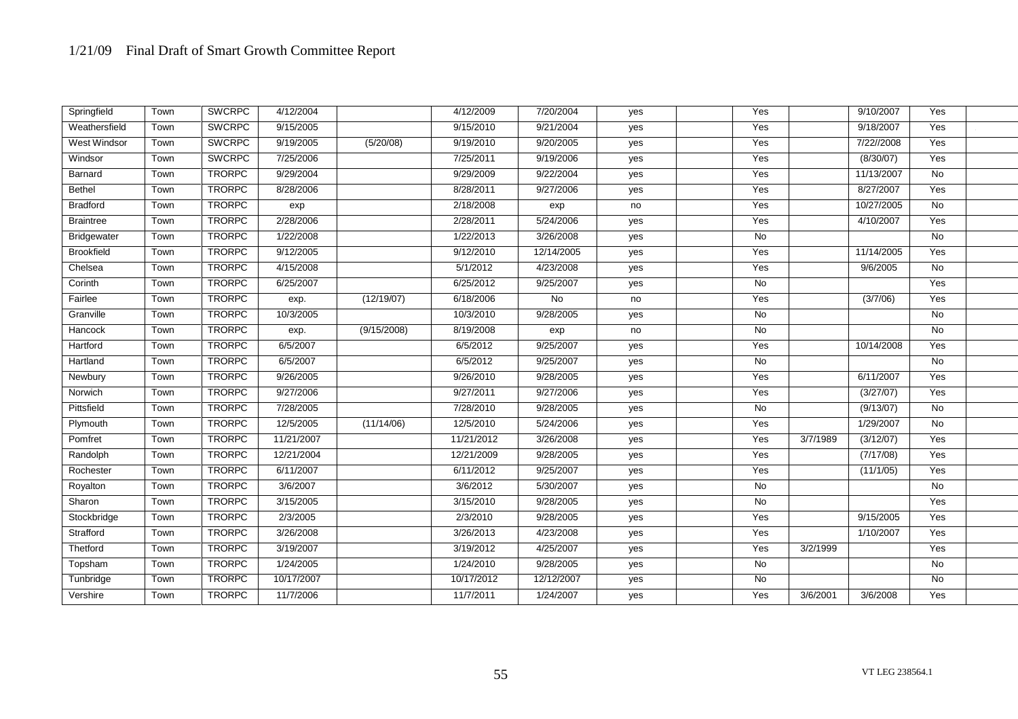| Springfield         | Town | <b>SWCRPC</b> | 4/12/2004  |             | 4/12/2009  | 7/20/2004  | yes | Yes            |          | 9/10/2007          | Yes       |  |
|---------------------|------|---------------|------------|-------------|------------|------------|-----|----------------|----------|--------------------|-----------|--|
| Weathersfield       | Town | <b>SWCRPC</b> | 9/15/2005  |             | 9/15/2010  | 9/21/2004  | yes | Yes            |          | 9/18/2007          | Yes       |  |
| <b>West Windsor</b> | Town | <b>SWCRPC</b> | 9/19/2005  | (5/20/08)   | 9/19/2010  | 9/20/2005  | yes | Yes            |          | 7/22//2008         | Yes       |  |
| Windsor             | Town | <b>SWCRPC</b> | 7/25/2006  |             | 7/25/2011  | 9/19/2006  | yes | Yes            |          | (8/30/07)          | Yes       |  |
| Barnard             | Town | <b>TRORPC</b> | 9/29/2004  |             | 9/29/2009  | 9/22/2004  | yes | Yes            |          | 11/13/2007         | No        |  |
| Bethel              | Town | <b>TRORPC</b> | 8/28/2006  |             | 8/28/2011  | 9/27/2006  | yes | Yes            |          | 8/27/2007          | Yes       |  |
| <b>Bradford</b>     | Town | <b>TRORPC</b> | exp        |             | 2/18/2008  | exp        | no  | Yes            |          | 10/27/2005         | <b>No</b> |  |
| <b>Braintree</b>    | Town | <b>TRORPC</b> | 2/28/2006  |             | 2/28/2011  | 5/24/2006  | yes | Yes            |          | 4/10/2007          | Yes       |  |
| Bridgewater         | Town | <b>TRORPC</b> | 1/22/2008  |             | 1/22/2013  | 3/26/2008  | yes | No             |          |                    | No        |  |
| <b>Brookfield</b>   | Town | <b>TRORPC</b> | 9/12/2005  |             | 9/12/2010  | 12/14/2005 | yes | Yes            |          | 11/14/2005         | Yes       |  |
| Chelsea             | Town | <b>TRORPC</b> | 4/15/2008  |             | 5/1/2012   | 4/23/2008  | yes | Yes            |          | 9/6/2005           | <b>No</b> |  |
| Corinth             | Town | <b>TRORPC</b> | 6/25/2007  |             | 6/25/2012  | 9/25/2007  | yes | No             |          |                    | Yes       |  |
| Fairlee             | Town | <b>TRORPC</b> | exp.       | (12/19/07)  | 6/18/2006  | <b>No</b>  | no  | Yes            |          | (3/7/06)           | Yes       |  |
| Granville           | Town | <b>TRORPC</b> | 10/3/2005  |             | 10/3/2010  | 9/28/2005  | yes | No             |          |                    | No        |  |
| Hancock             | Town | <b>TRORPC</b> | exp.       | (9/15/2008) | 8/19/2008  | exp        | no  | No             |          |                    | No        |  |
| Hartford            | Town | <b>TRORPC</b> | 6/5/2007   |             | 6/5/2012   | 9/25/2007  | yes | Yes            |          | 10/14/2008         | Yes       |  |
| Hartland            | Town | <b>TRORPC</b> | 6/5/2007   |             | 6/5/2012   | 9/25/2007  | yes | No             |          |                    | No        |  |
| Newbury             | Town | <b>TRORPC</b> | 9/26/2005  |             | 9/26/2010  | 9/28/2005  | yes | Yes            |          | 6/11/2007          | Yes       |  |
| Norwich             | Town | <b>TRORPC</b> | 9/27/2006  |             | 9/27/2011  | 9/27/2006  | yes | Yes            |          | (3/27/07)          | Yes       |  |
| Pittsfield          | Town | <b>TRORPC</b> | 7/28/2005  |             | 7/28/2010  | 9/28/2005  | yes | $\overline{N}$ |          | (9/13/07)          | No        |  |
| Plymouth            | Town | <b>TRORPC</b> | 12/5/2005  | (11/14/06)  | 12/5/2010  | 5/24/2006  | yes | Yes            |          | 1/29/2007          | No        |  |
| Pomfret             | Town | <b>TRORPC</b> | 11/21/2007 |             | 11/21/2012 | 3/26/2008  | yes | Yes            | 3/7/1989 | (3/12/07)          | Yes       |  |
| Randolph            | Town | <b>TRORPC</b> | 12/21/2004 |             | 12/21/2009 | 9/28/2005  | yes | Yes            |          | $\sqrt{(7/17/08)}$ | Yes       |  |
| Rochester           | Town | <b>TRORPC</b> | 6/11/2007  |             | 6/11/2012  | 9/25/2007  | yes | Yes            |          | (11/1/05)          | Yes       |  |
| Royalton            | Town | <b>TRORPC</b> | 3/6/2007   |             | 3/6/2012   | 5/30/2007  | yes | $\overline{N}$ |          |                    | <b>No</b> |  |
| Sharon              | Town | <b>TRORPC</b> | 3/15/2005  |             | 3/15/2010  | 9/28/2005  | yes | No             |          |                    | Yes       |  |
| Stockbridge         | Town | <b>TRORPC</b> | 2/3/2005   |             | 2/3/2010   | 9/28/2005  | yes | Yes            |          | 9/15/2005          | Yes       |  |
| Strafford           | Town | <b>TRORPC</b> | 3/26/2008  |             | 3/26/2013  | 4/23/2008  | yes | Yes            |          | 1/10/2007          | Yes       |  |
| Thetford            | Town | <b>TRORPC</b> | 3/19/2007  |             | 3/19/2012  | 4/25/2007  | yes | Yes            | 3/2/1999 |                    | Yes       |  |
| Topsham             | Town | <b>TRORPC</b> | 1/24/2005  |             | 1/24/2010  | 9/28/2005  | yes | No             |          |                    | No        |  |
| Tunbridge           | Town | <b>TRORPC</b> | 10/17/2007 |             | 10/17/2012 | 12/12/2007 | yes | No             |          |                    | No        |  |
| Vershire            | Town | <b>TRORPC</b> | 11/7/2006  |             | 11/7/2011  | 1/24/2007  | yes | Yes            | 3/6/2001 | 3/6/2008           | Yes       |  |
|                     |      |               |            |             |            |            |     |                |          |                    |           |  |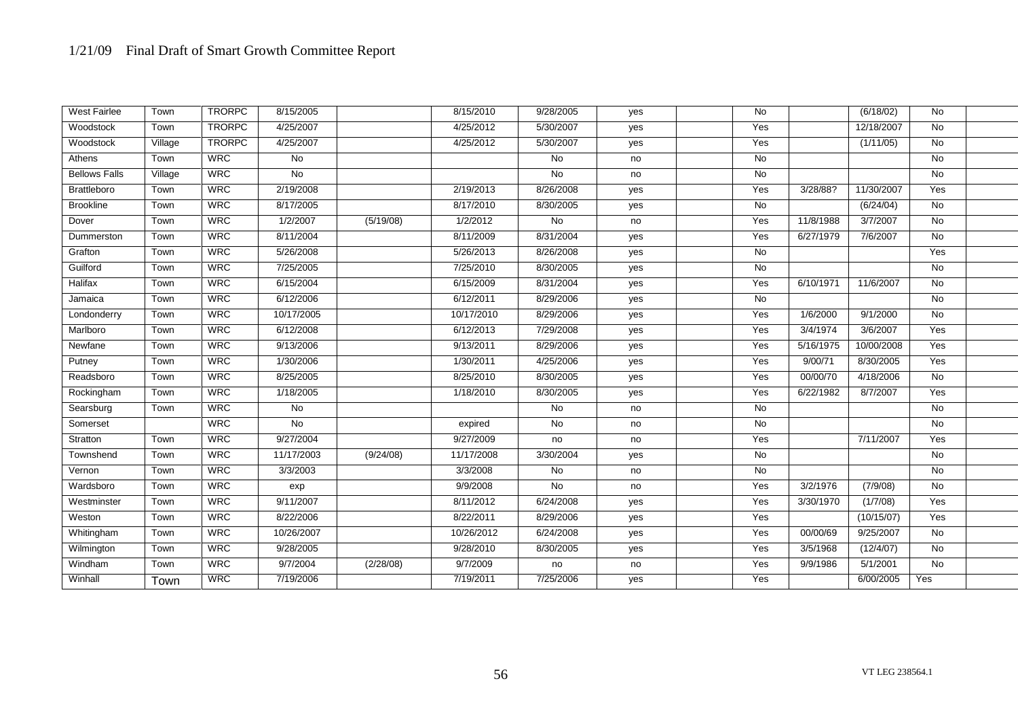| <b>West Fairlee</b>  | Town    | <b>TRORPC</b> | 8/15/2005  |           | 8/15/2010  | 9/28/2005 | yes | <b>No</b> |           | (6/18/02)  | No             |  |
|----------------------|---------|---------------|------------|-----------|------------|-----------|-----|-----------|-----------|------------|----------------|--|
| Woodstock            | Town    | <b>TRORPC</b> | 4/25/2007  |           | 4/25/2012  | 5/30/2007 | yes | Yes       |           | 12/18/2007 | $\overline{N}$ |  |
| Woodstock            | Village | <b>TRORPC</b> | 4/25/2007  |           | 4/25/2012  | 5/30/2007 | yes | Yes       |           | (1/11/05)  | No             |  |
| Athens               | Town    | <b>WRC</b>    | No         |           |            | No        | no  | No        |           |            | No             |  |
| <b>Bellows Falls</b> | Village | <b>WRC</b>    | <b>No</b>  |           |            | <b>No</b> | no  | No        |           |            | No             |  |
| Brattleboro          | Town    | <b>WRC</b>    | 2/19/2008  |           | 2/19/2013  | 8/26/2008 | yes | Yes       | 3/28/88?  | 11/30/2007 | Yes            |  |
| Brookline            | Town    | <b>WRC</b>    | 8/17/2005  |           | 8/17/2010  | 8/30/2005 | yes | No        |           | (6/24/04)  | No             |  |
| Dover                | Town    | <b>WRC</b>    | 1/2/2007   | (5/19/08) | 1/2/2012   | <b>No</b> | no  | Yes       | 11/8/1988 | 3/7/2007   | <b>No</b>      |  |
| Dummerston           | Town    | <b>WRC</b>    | 8/11/2004  |           | 8/11/2009  | 8/31/2004 | yes | Yes       | 6/27/1979 | 7/6/2007   | <b>No</b>      |  |
| Grafton              | Town    | <b>WRC</b>    | 5/26/2008  |           | 5/26/2013  | 8/26/2008 | yes | No        |           |            | Yes            |  |
| Guilford             | Town    | <b>WRC</b>    | 7/25/2005  |           | 7/25/2010  | 8/30/2005 | yes | <b>No</b> |           |            | <b>No</b>      |  |
| Halifax              | Town    | <b>WRC</b>    | 6/15/2004  |           | 6/15/2009  | 8/31/2004 | yes | Yes       | 6/10/1971 | 11/6/2007  | <b>No</b>      |  |
| Jamaica              | Town    | <b>WRC</b>    | 6/12/2006  |           | 6/12/2011  | 8/29/2006 | yes | <b>No</b> |           |            | No             |  |
| Londonderry          | Town    | <b>WRC</b>    | 10/17/2005 |           | 10/17/2010 | 8/29/2006 | yes | Yes       | 1/6/2000  | 9/1/2000   | No             |  |
| Marlboro             | Town    | <b>WRC</b>    | 6/12/2008  |           | 6/12/2013  | 7/29/2008 | yes | Yes       | 3/4/1974  | 3/6/2007   | Yes            |  |
| Newfane              | Town    | <b>WRC</b>    | 9/13/2006  |           | 9/13/2011  | 8/29/2006 | yes | Yes       | 5/16/1975 | 10/00/2008 | Yes            |  |
| Putney               | Town    | <b>WRC</b>    | 1/30/2006  |           | 1/30/2011  | 4/25/2006 | yes | Yes       | 9/00/71   | 8/30/2005  | Yes            |  |
| Readsboro            | Town    | <b>WRC</b>    | 8/25/2005  |           | 8/25/2010  | 8/30/2005 | yes | Yes       | 00/00/70  | 4/18/2006  | <b>No</b>      |  |
| Rockingham           | Town    | <b>WRC</b>    | 1/18/2005  |           | 1/18/2010  | 8/30/2005 | yes | Yes       | 6/22/1982 | 8/7/2007   | Yes            |  |
| Searsburg            | Town    | <b>WRC</b>    | No         |           |            | No        | no  | No        |           |            | <b>No</b>      |  |
| Somerset             |         | <b>WRC</b>    | No         |           | expired    | No        | no  | No        |           |            | No             |  |
| Stratton             | Town    | <b>WRC</b>    | 9/27/2004  |           | 9/27/2009  | no        | no  | Yes       |           | 7/11/2007  | Yes            |  |
| Townshend            | Town    | <b>WRC</b>    | 11/17/2003 | (9/24/08) | 11/17/2008 | 3/30/2004 | yes | No        |           |            | No             |  |
| Vernon               | Town    | <b>WRC</b>    | 3/3/2003   |           | 3/3/2008   | No        | no  | No        |           |            | No             |  |
| Wardsboro            | Town    | <b>WRC</b>    | exp        |           | 9/9/2008   | <b>No</b> | no  | Yes       | 3/2/1976  | (7/9/08)   | <b>No</b>      |  |
| Westminster          | Town    | <b>WRC</b>    | 9/11/2007  |           | 8/11/2012  | 6/24/2008 | yes | Yes       | 3/30/1970 | (1/7/08)   | Yes            |  |
| Weston               | Town    | <b>WRC</b>    | 8/22/2006  |           | 8/22/2011  | 8/29/2006 | yes | Yes       |           | (10/15/07) | Yes            |  |
| Whitingham           | Town    | <b>WRC</b>    | 10/26/2007 |           | 10/26/2012 | 6/24/2008 | yes | Yes       | 00/00/69  | 9/25/2007  | <b>No</b>      |  |
| Wilmington           | Town    | <b>WRC</b>    | 9/28/2005  |           | 9/28/2010  | 8/30/2005 | yes | Yes       | 3/5/1968  | (12/4/07)  | No             |  |
| Windham              | Town    | <b>WRC</b>    | 9/7/2004   | (2/28/08) | 9/7/2009   | no        | no  | Yes       | 9/9/1986  | 5/1/2001   | <b>No</b>      |  |
| Winhall              | Town    | <b>WRC</b>    | 7/19/2006  |           | 7/19/2011  | 7/25/2006 | yes | Yes       |           | 6/00/2005  | Yes            |  |
|                      |         |               |            |           |            |           |     |           |           |            |                |  |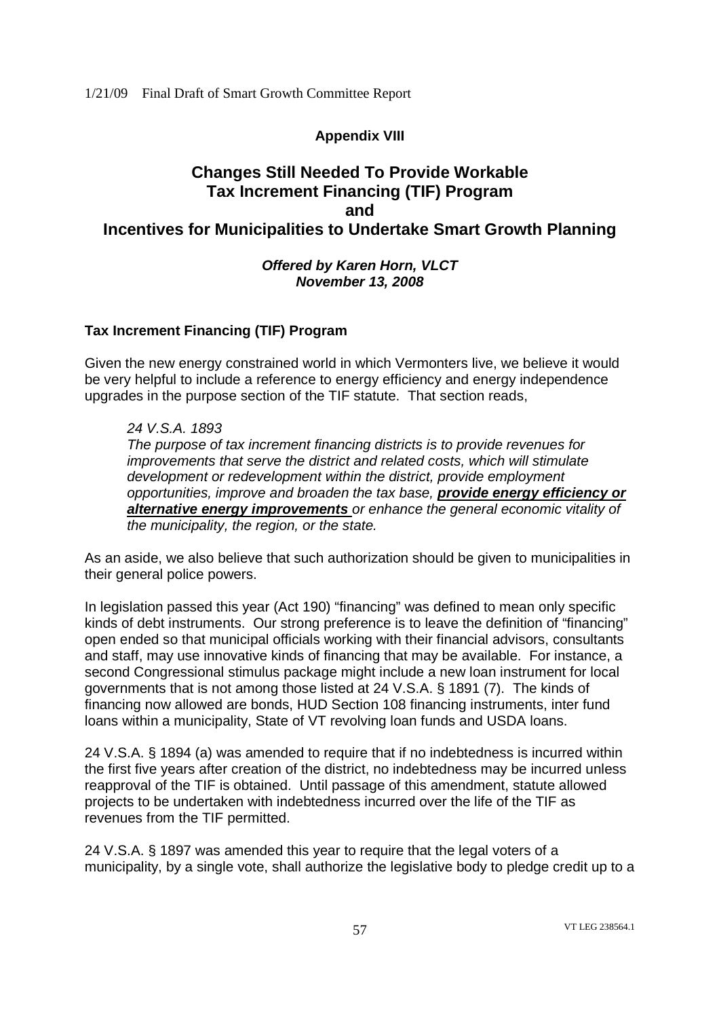# **Appendix VIII**

# **Changes Still Needed To Provide Workable Tax Increment Financing (TIF) Program and Incentives for Municipalities to Undertake Smart Growth Planning**

*Offered by Karen Horn, VLCT November 13, 2008*

# **Tax Increment Financing (TIF) Program**

Given the new energy constrained world in which Vermonters live, we believe it would be very helpful to include a reference to energy efficiency and energy independence upgrades in the purpose section of the TIF statute. That section reads,

*24 V.S.A. 1893 The purpose of tax increment financing districts is to provide revenues for improvements that serve the district and related costs, which will stimulate development or redevelopment within the district, provide employment opportunities, improve and broaden the tax base, provide energy efficiency or alternative energy improvements or enhance the general economic vitality of the municipality, the region, or the state.*

As an aside, we also believe that such authorization should be given to municipalities in their general police powers.

In legislation passed this year (Act 190) "financing" was defined to mean only specific kinds of debt instruments. Our strong preference is to leave the definition of "financing" open ended so that municipal officials working with their financial advisors, consultants and staff, may use innovative kinds of financing that may be available. For instance, a second Congressional stimulus package might include a new loan instrument for local governments that is not among those listed at 24 V.S.A. § 1891 (7). The kinds of financing now allowed are bonds, HUD Section 108 financing instruments, inter fund loans within a municipality, State of VT revolving loan funds and USDA loans.

24 V.S.A. § 1894 (a) was amended to require that if no indebtedness is incurred within the first five years after creation of the district, no indebtedness may be incurred unless reapproval of the TIF is obtained. Until passage of this amendment, statute allowed projects to be undertaken with indebtedness incurred over the life of the TIF as revenues from the TIF permitted.

24 V.S.A. § 1897 was amended this year to require that the legal voters of a municipality, by a single vote, shall authorize the legislative body to pledge credit up to a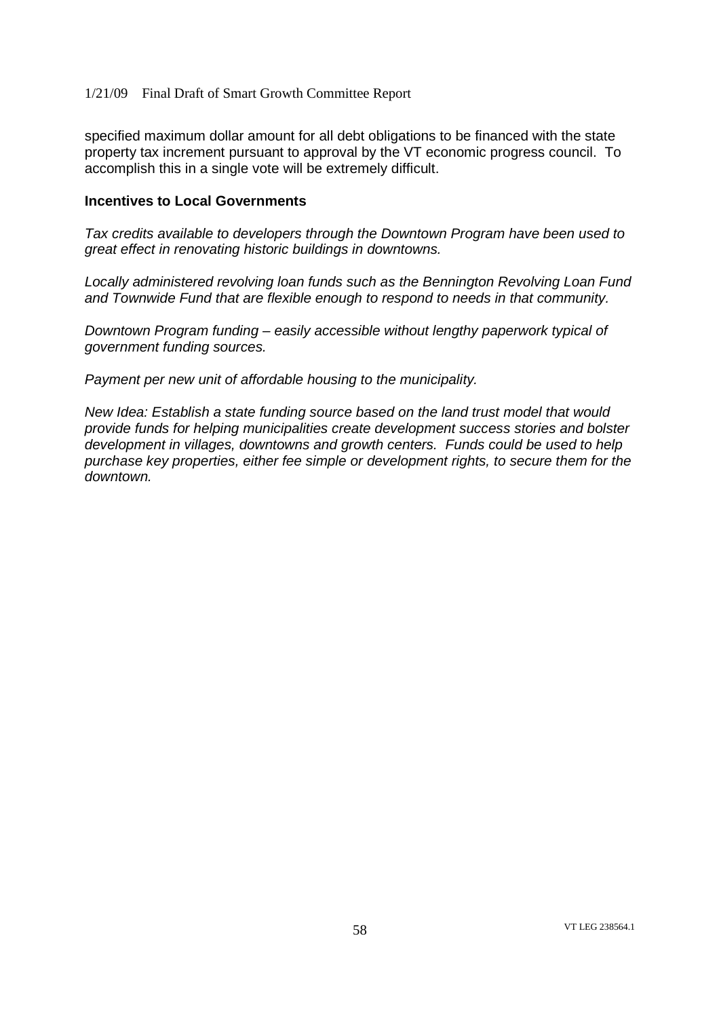specified maximum dollar amount for all debt obligations to be financed with the state property tax increment pursuant to approval by the VT economic progress council. To accomplish this in a single vote will be extremely difficult.

#### **Incentives to Local Governments**

*Tax credits available to developers through the Downtown Program have been used to great effect in renovating historic buildings in downtowns.*

*Locally administered revolving loan funds such as the Bennington Revolving Loan Fund and Townwide Fund that are flexible enough to respond to needs in that community.*

*Downtown Program funding – easily accessible without lengthy paperwork typical of government funding sources.*

*Payment per new unit of affordable housing to the municipality.*

*New Idea: Establish a state funding source based on the land trust model that would provide funds for helping municipalities create development success stories and bolster development in villages, downtowns and growth centers. Funds could be used to help purchase key properties, either fee simple or development rights, to secure them for the downtown.*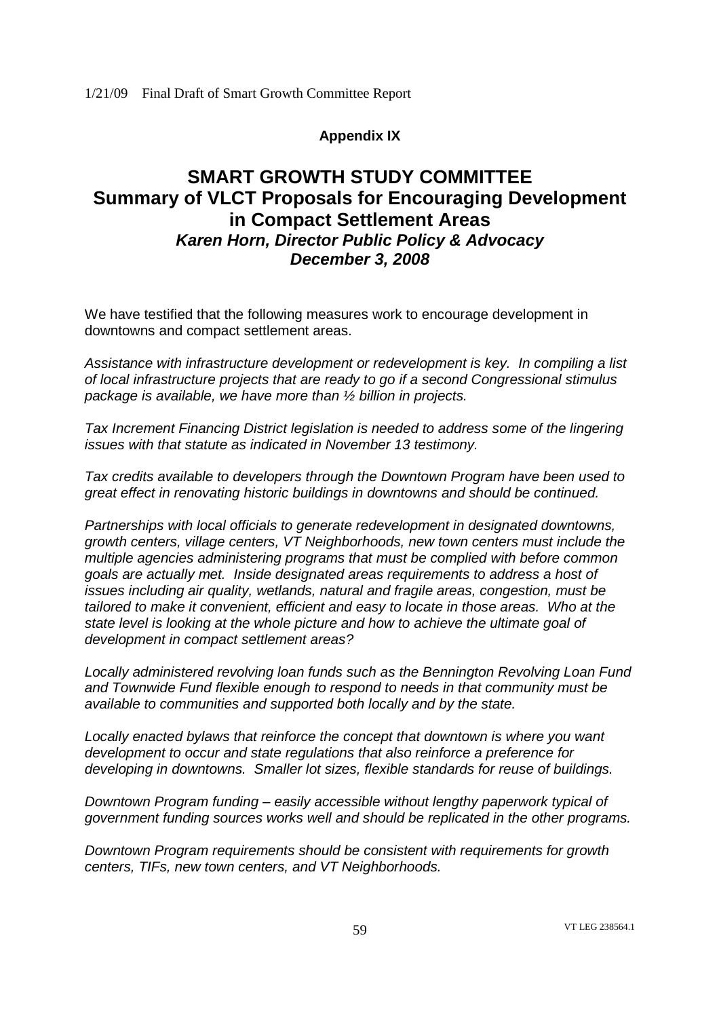# **Appendix IX**

# **SMART GROWTH STUDY COMMITTEE Summary of VLCT Proposals for Encouraging Development in Compact Settlement Areas** *Karen Horn, Director Public Policy & Advocacy December 3, 2008*

We have testified that the following measures work to encourage development in downtowns and compact settlement areas.

*Assistance with infrastructure development or redevelopment is key. In compiling a list of local infrastructure projects that are ready to go if a second Congressional stimulus package is available, we have more than ½ billion in projects.*

*Tax Increment Financing District legislation is needed to address some of the lingering issues with that statute as indicated in November 13 testimony.*

*Tax credits available to developers through the Downtown Program have been used to great effect in renovating historic buildings in downtowns and should be continued.*

*Partnerships with local officials to generate redevelopment in designated downtowns, growth centers, village centers, VT Neighborhoods, new town centers must include the multiple agencies administering programs that must be complied with before common goals are actually met. Inside designated areas requirements to address a host of issues including air quality, wetlands, natural and fragile areas, congestion, must be tailored to make it convenient, efficient and easy to locate in those areas. Who at the state level is looking at the whole picture and how to achieve the ultimate goal of development in compact settlement areas?*

*Locally administered revolving loan funds such as the Bennington Revolving Loan Fund and Townwide Fund flexible enough to respond to needs in that community must be available to communities and supported both locally and by the state.*

*Locally enacted bylaws that reinforce the concept that downtown is where you want development to occur and state regulations that also reinforce a preference for developing in downtowns. Smaller lot sizes, flexible standards for reuse of buildings.*

*Downtown Program funding – easily accessible without lengthy paperwork typical of government funding sources works well and should be replicated in the other programs.*

*Downtown Program requirements should be consistent with requirements for growth centers, TIFs, new town centers, and VT Neighborhoods.*